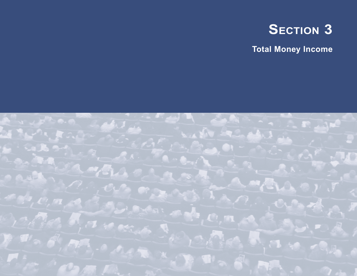

**Total Money Income**

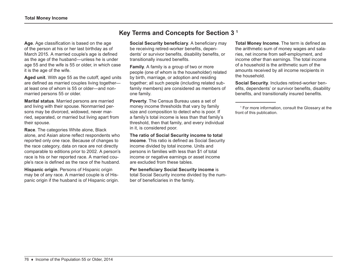**Age**. Age classification is based on the age of the person at his or her last birthday as of March 2015. A married couple's age is defined as the age of the husband—unless he is under age 55 and the wife is 55 or older, in which case it is the age of the wife.

**Aged unit**. With age 55 as the cutoff, aged units are defined as married couples living together at least one of whom is 55 or older—and nonmarried persons 55 or older.

**Marital status**. Married persons are married and living with their spouse. Nonmarried persons may be divorced, widowed, never married, separated, or married but living apart from their spouse.

**Race**. The categories White alone, Black alone, and Asian alone reflect respondents who reported only one race. Because of changes to the race category, data on race are not directly comparable to editions prior to 2002. A person's race is his or her reported race. A married couple's race is defined as the race of the husband.

**Hispanic origin**. Persons of Hispanic origin may be of any race. A married couple is of Hispanic origin if the husband is of Hispanic origin.

# **Key Terms and Concepts for Section 3 1**

**Social Security beneficiary**. A beneficiary may be receiving retired-worker benefits, dependents' or survivor benefits, disability benefits, or transitionally insured benefits.

**Family**. A family is a group of two or more people (one of whom is the householder) related by birth, marriage, or adoption and residing together; all such people (including related subfamily members) are considered as members of one family.

**Poverty**. The Census Bureau uses a set of money income thresholds that vary by family size and composition to detect who is poor. If a family's total income is less than that family's threshold, then that family, and every individual in it, is considered poor.

**The ratio of Social Security income to total income**. This ratio is defined as Social Security income divided by total income. Units and persons in families with less than \$1 of total income or negative earnings or asset income are excluded from these tables.

**Per beneficiary Social Security income** is total Social Security income divided by the number of beneficiaries in the family.

**Total Money Income**. The term is defined as the arithmetic sum of money wages and salaries, net income from self-employment, and income other than earnings. The total income of a household is the arithmetic sum of the amounts received by all income recipients in the household.

**Social Security**. Includes retired-worker benefits, dependents' or survivor benefits, disability benefits, and transitionally insured benefits.

<sup>1</sup> For more information, consult the Glossary at the front of this publication.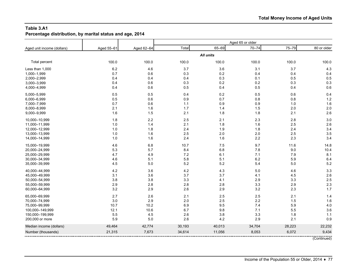**Percentage distribution, by marital status and age, 2014**

| Aged unit income (dollars) | Aged 55-61 | Aged 62-64 | Total  | 65-69            | $70 - 74$ | 75-79  | 80 or older |
|----------------------------|------------|------------|--------|------------------|-----------|--------|-------------|
|                            |            |            |        | <b>All units</b> |           |        |             |
| Total percent              | 100.0      | 100.0      | 100.0  | 100.0            | 100.0     | 100.0  | 100.0       |
| Less than 1,000            | 6.2        | 4.6        | 3.7    | 3.6              | 3.1       | 3.7    | 4.3         |
| 1,000-1,999                | 0.7        | 0.6        | 0.3    | 0.2              | 0.4       | 0.4    | 0.4         |
| 2,000-2,999                | 0.4        | 0.4        | 0.4    | 0.3              | 0.1       | 0.5    | 0.5         |
| 3,000-3,999                | 0.4        | 0.6        | 0.3    | 0.2              | 0.2       | 0.3    | 0.3         |
| 4,000-4,999                | 0.4        | 0.6        | 0.5    | 0.4              | 0.5       | 0.4    | 0.6         |
| 5,000-5,999                | 0.5        | 0.5        | 0.4    | 0.2              | 0.5       | 0.6    | 0.4         |
| 6,000-6,999                | 0.5        | 0.6        | 0.9    | 0.7              | 0.8       | 0.8    | 1.2         |
| 7,000-7,999                | 0.7        | 0.6        | 1.1    | 0.9              | 0.9       | 1.0    | 1.6         |
| 8,000-8,999                | 2.1        | 1.6        | 1.7    | 1.4              | 1.5       | 2.0    | 2.0         |
| 9,000-9,999                | 1.6        | 1.5        | 2.1    | 1.8              | 1.8       | 2.1    | 2.6         |
| 10,000-10,999              | 1.8        | 2.2        | 2.5    | 2.1              | 2.3       | 2.8    | 3.0         |
| 11,000-11,999              | 1.0        | 1.4        | 2.1    | 1.8              | 1.6       | 2.5    | 2.6         |
| 12,000-12,999              | 1.0        | 1.8        | 2.4    | 1.9              | 1.8       | 2.4    | 3.4         |
| 13,000-13,999              | 1.0        | 1.6        | 2.5    | 2.0              | 2.0       | 2.5    | 3.5         |
| 14,000-14,999              | 1.0        | 1.6        | 2.4    | 1.6              | 2.2       | 2.3    | 3.4         |
| 15,000-19,999              | 4.6        | 6.8        | 10.7   | 7.5              | 9.7       | 11.6   | 14.8        |
| 20,000-24,999              | 5.3        | 5.7        | 8.4    | 6.8              | 7.8       | 9.0    | 10.4        |
| 25,000-29,999              | 4.7        | 4.9        | 7.2    | 6.1              | 7.1       | 7.9    | 8.1         |
| 30,000-34,999              | 4.6        | 5.1        | 5.8    | 5.1              | 6.2       | 5.9    | 6.4         |
| 35,000-39,999              | 4.5        | 5.0        | 5.2    | 5.2              | 5.4       | $5.0$  | 5.2         |
| 40,000-44,999              | 4.2        | 3.6        | 4.2    | 4.3              | 5.0       | 4.6    | 3.3         |
| 45,000-49,999              | 3.1        | 3.6        | 3.7    | 3.7              | 4.1       | 4.5    | 2.6         |
| 50,000-54,999              | 3.8        | 3.8        | 3.3    | 4.1              | 2.9       | 3.3    | 2.5         |
| 55,000-59,999              | 2.9        | 2.8        | 2.8    | 2.8              | 3.3       | 2.9    | 2.3         |
| 60,000-64,999              | 3.2        | 2.9        | 2.6    | 2.9              | 3.2       | 2.3    | 1.7         |
| 65,000-69,999              | 2.7        | 2.6        | 2.1    | 2.5              | 2.5       | 2.1    | 1.4         |
| 70,000-74,999              | 3.0        | 2.9        | 2.0    | 2.5              | 2.2       | 1.5    | 1.6         |
| 75,000-99,999              | 10.7       | 10.2       | 6.9    | 9.5              | 7.4       | 5.9    | 4.0         |
| 100,000-149,999            | 12.1       | 10.6       | 6.7    | 9.8              | 7.1       | 5.5    | 3.6         |
| 150,000-199,999            | 5.5        | 4.5        | 2.6    | 3.8              | 3.3       | 1.8    | $1.1$       |
| 200,000 or more            | 5.9        | 5.0        | 2.6    | 4.2              | 2.9       | 2.1    | 0.9         |
| Median income (dollars)    | 49,464     | 42,774     | 30,193 | 40,013           | 34,704    | 28,223 | 22,232      |
| Number (thousands)         | 21,315     | 7,673      | 34,614 | 11,056           | 8,053     | 6,072  | 9,434       |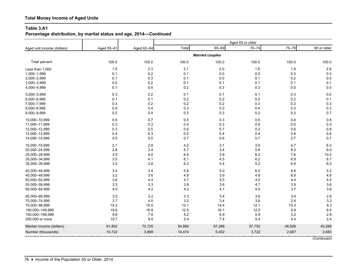**Percentage distribution, by marital status and age, 2014—***Continued*

| Aged unit income (dollars) | Aged 55-61 | Aged 62-64 | Total  | 65-69                  | $70 - 74$ | 75-79   | 80 or older |
|----------------------------|------------|------------|--------|------------------------|-----------|---------|-------------|
|                            |            |            |        | <b>Married couples</b> |           |         |             |
| Total percent              | 100.0      | 100.0      | 100.0  | 100.0                  | 100.0     | 100.0   | 100.0       |
| Less than 1,000            | 1.5        | 2.3        | 2.1    | 2.0                    | 1.6       | 1.9     | 2.9         |
| 1,000-1,999                | 0.1        | $0.2\,$    | 0.1    | 0.0                    | $0.0\,$   | 0.3     | 0.3         |
| 2,000-2,999                | 0.1        | 0.3        | 0.1    | 0.0                    | 0.1       | 0.2     | 0.0         |
| 3,000-3,999                | 0.0        | 0.2        | 0.1    | 0.1                    | 0.1       | 0.1     | 0.1         |
| 4,000-4,999                | 0.1        | 0.4        | 0.2    | 0.3                    | 0.3       | 0.0     | 0.0         |
| 5,000-5,999                | 0.3        | $0.2\,$    | 0.1    | 0.1                    | 0.1       | 0.3     | 0.0         |
| 6,000-6,999                | 0.1        | 0.1        | 0.2    | 0.2                    | 0.2       | 0.2     | 0.1         |
| 7,000-7,999                | 0.3        | 0.2        | 0.2    | 0.2                    | 0.3       | 0.2     | 0.3         |
| 8,000-8,999                | 0.5        | 0.4        | 0.3    | 0.3                    | 0.4       | 0.3     | 0.3         |
| 9,000-9,999                | $0.2\,$    | 0.4        | 0.3    | 0.3                    | 0.2       | 0.3     | 0.7         |
| 10,000-10,999              | 0.5        | 0.7        | 0.5    | 0.3                    | 0.5       | 0.6     | 0.8         |
| 11,000-11,999              | 0.3        | 0.3        | 0.4    | 0.3                    | 0.6       | 0.5     | 0.3         |
| 12,000-12,999              | 0.3        | 0.5        | 0.6    | $0.7\,$                | 0.3       | 0.6     | 0.8         |
| 13,000-13,999              | 0.4        | 0.3        | 0.5    | 0.4                    | 0.4       | 0.8     | 0.6         |
| 14,000-14,999              | 0.5        | 0.5        | 0.7    | $0.6\,$                | 0.7       | 0.7     | 0.7         |
| 15,000-19,999              | 2.1        | 2.9        | 4.2    | 3.1                    | 3.9       | 4.7     | 6.3         |
| 20,000-24,999              | 2.8        | 3.4        | 5.7    | 3.4                    | 5.6       | 8.3     | 8.0         |
| 25,000-29,999              | 3.0        | 4.0        | 6.4    | $3.9\,$                | 6.2       | 7.6     | 10.2        |
| 30,000-34,999              | 3.5        | 4.1        | 6.1    | 4.5                    | 6.2       | 6.8     | 8.7         |
| 35,000-39,999              | 3.5        | 3.8        | 6.2    | 5.4                    | 5.2       | $6.8\,$ | 8.5         |
| 40,000-44,999              | 3.4        | 3.4        | 5.6    | 5.0                    | 6.0       | 6.6     | 5.2         |
| 45,000-49,999              | 3.2        | 3.6        | 4.8    | 3.9                    | 4.8       | 6.8     | 4.6         |
| 50,000-54,999              | 3.6        | 4.4        | 4.7    | 5.5                    | 4.0       | 4.4     | 4.5         |
| 55,000-59,999              | 3.3        | 3.3        | 3.9    | 3.6                    | 4.7       | 3.9     | 3.6         |
| 60,000-64,999              | 4.0        | 4.2        | 4.2    | 4.1                    | 5.0       | 3.7     | 3.6         |
| 65,000-69,999              | 3.5        | 3.2        | 3.3    | 3.4                    | 3.6       | 3.4     | 2.6         |
| 70,000-74,999              | 3.7        | $4.0\,$    | 3.2    | 3.4                    | 3.6       | 2.4     | 3.2         |
| 75,000-99,999              | 15.2       | 15.0       | 12.1   | 14.4                   | 12.1      | 10.3    | 9.3         |
| 100,000-149,999            | 19.6       | 16.9       | 12.5   | 16.1                   | 12.0      | 9.9     | 8.5         |
| 150,000-199,999            | 9.6        | 7.8        | 5.2    | 6.9                    | 5.9       | 3.2     | 2.8         |
| 200,000 or more            | 10.7       | 9.0        | 5.4    | 7.4                    | 5.4       | 4.4     | 2.4         |
| Median income (dollars)    | 81,802     | 72,720     | 54,860 | 67,268                 | 57,752    | 46,926  | 40,266      |
| Number (thousands)         | 10,722     | 3,889      | 14,474 | 5,402                  | 3,722     | 2,667   | 2,683       |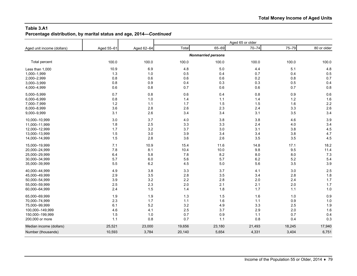#### **Table 3.A1 Percentage distribution, by marital status and age, 2014—***Continued*

| Aged unit income (dollars) | Aged 55-61 | Aged 62-64 | Total  | 65-69                     | $70 - 74$ | 75-79  | 80 or older |
|----------------------------|------------|------------|--------|---------------------------|-----------|--------|-------------|
|                            |            |            |        | <b>Nonmarried persons</b> |           |        |             |
| Total percent              | 100.0      | 100.0      | 100.0  | 100.0                     | 100.0     | 100.0  | 100.0       |
| Less than 1,000            | 10.9       | 6.9        | 4.8    | $5.0\,$                   | 4.4       | 5.1    | 4.8         |
| 1,000-1,999                | 1.3        | 1.0        | 0.5    | 0.4                       | 0.7       | 0.4    | 0.5         |
| 2,000-2,999                | 0.8        | 0.6        | 0.6    | 0.6                       | 0.2       | 0.8    | 0.7         |
| 3,000-3,999                | 0.8        | 0.9        | 0.4    | 0.3                       | 0.3       | 0.5    | 0.4         |
| 4,000-4,999                | 0.6        | 0.8        | 0.7    | 0.6                       | 0.6       | 0.7    | 0.8         |
| 5,000-5,999                | 0.7        | 0.8        | 0.6    | 0.4                       | 0.8       | 0.9    | 0.6         |
| 6,000-6,999                | 0.8        | 1.0        | 1.4    | 1.1                       | 1.4       | 1.2    | 1.6         |
| 7,000-7,999                | 1.2        | 1.1        | 1.7    | 1.5                       | 1.5       | 1.6    | 2.2         |
| 8,000-8,999                | 3.6        | 2.8        | 2.6    | 2.3                       | 2.4       | 3.3    | 2.6         |
| 9,000-9,999                | 3.1        | 2.6        | 3.4    | 3.4                       | 3.1       | 3.5    | 3.4         |
| 10,000-10,999              | 3.0        | 3.7        | 4.0    | 3.8                       | 3.8       | 4.6    | 3.9         |
| 11,000-11,999              | 1.8        | 2.5        | 3.3    | 3.3                       | 2.4       | 4.0    | 3.4         |
| 12,000-12,999              | 1.7        | 3.2        | 3.7    | 3.0                       | 3.1       | 3.8    | 4.5         |
| 13,000-13,999              | 1.5        | $3.0\,$    | 3.9    | 3.4                       | 3.4       | 3.8    | 4.7         |
| 14,000-14,999              | 1.5        | 2.8        | 3.6    | 2.6                       | 3.5       | 3.5    | 4.5         |
| 15,000-19,999              | 7.1        | 10.9       | 15.4   | 11.6                      | 14.8      | 17.1   | 18.2        |
| 20,000-24,999              | 7.8        | 8.1        | 10.4   | 10.0                      | 9.8       | 9.5    | 11.4        |
| 25,000-29,999              | 6.4        | 5.8        | 7.8    | 8.2                       | 8.0       | 8.0    | 7.3         |
| 30,000-34,999              | 5.7        | $6.0\,$    | 5.6    | 5.7                       | 6.2       | 5.2    | 5.4         |
| 35,000-39,999              | 5.5        | 6.2        | 4.5    | 5.0                       | 5.6       | 3.5    | 3.9         |
| 40,000-44,999              | 4.9        | 3.8        | 3.3    | 3.7                       | 4.1       | 3.0    | 2.5         |
| 45,000-49,999              | 2.9        | 3.5        | 2.8    | 3.5                       | 3.4       | 2.8    | 1.8         |
| 50,000-54,999              | 3.9        | 3.2        | 2.2    | 2.8                       | 2.0       | 2.4    | 1.7         |
| 55,000-59,999              | 2.5        | 2.3        | 2.0    | 2.1                       | 2.1       | 2.0    | 1.7         |
| 60,000-64,999              | 2.4        | 1.5        | 1.4    | 1.8                       | 1.7       | 1.1    | 1.0         |
| 65,000-69,999              | 1.9        | 1.9        | 1.3    | 1.5                       | 1.6       | 1.0    | 0.9         |
| 70,000-74,999              | 2.3        | 1.7        | $1.1$  | 1.6                       | 1.1       | 0.9    | 1.0         |
| 75,000-99,999              | 6.1        | 5.2        | 3.2    | 4.9                       | 3.3       | 2.5    | 1.9         |
| 100,000-149,999            | 4.6        | 4.1        | 2.5    | 3.7                       | 2.9       | 2.0    | 1.6         |
| 150,000-199,999            | 1.5        | 1.0        | 0.7    | 0.9                       | $1.1$     | 0.7    | 0.4         |
| 200,000 or more            | 1.1        | 0.8        | 0.7    | 1.1                       | 0.8       | 0.4    | 0.3         |
| Median income (dollars)    | 25,521     | 23,000     | 19,656 | 23,180                    | 21,493    | 18,245 | 17,940      |
| Number (thousands)         | 10,593     | 3,784      | 20,140 | 5,654                     | 4,331     | 3,404  | 6,751       |
|                            |            |            |        |                           |           |        |             |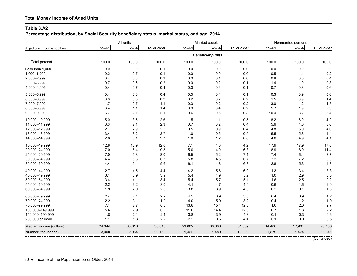**Percentage distribution, by Social Security beneficiary status, marital status, and age, 2014**

|                            | All units |           |             |           | Married couples          |             | Nonmarried persons |           |             |  |
|----------------------------|-----------|-----------|-------------|-----------|--------------------------|-------------|--------------------|-----------|-------------|--|
| Aged unit income (dollars) | $55 - 61$ | $62 - 64$ | 65 or older | $55 - 61$ | $62 - 64$                | 65 or older | $55 - 61$          | $62 - 64$ | 65 or older |  |
|                            |           |           |             |           | <b>Beneficiary units</b> |             |                    |           |             |  |
| <b>Total percent</b>       | 100.0     | 100.0     | 100.0       | 100.0     | 100.0                    | 100.0       | 100.0              | 100.0     | 100.0       |  |
| Less than 1,000            | 0.0       | 0.0       | 0.1         | 0.0       | 0.0                      | $0.0\,$     | 0.0                | 0.0       | 0.2         |  |
| 1,000-1,999                | 0.2       | 0.7       | 0.1         | 0.0       | 0.0                      | 0.0         | 0.5                | 1.4       | 0.2         |  |
| 2,000-2,999                | 0.4       | 0.3       | 0.3         | 0.0       | 0.1                      | $0.0\,$     | 0.8                | 0.5       | 0.4         |  |
| 3,000-3,999                | 0.7       | 0.6       | 0.2         | 0.0       | 0.2                      | 0.1         | 1.4                | 1.0       | 0.3         |  |
| 4,000-4,999                | 0.4       | 0.7       | 0.4         | 0.0       | 0.6                      | 0.1         | 0.7                | 0.8       | 0.6         |  |
| 5,000-5,999                | 0.4       | 0.6       | 0.4         | 0.5       | 0.4                      | 0.1         | 0.3                | 0.9       | 0.6         |  |
| 6,000-6,999                | 0.8       | 0.5       | 0.9         | 0.2       | 0.2                      | 0.2         | 1.5                | 0.9       | 1.4         |  |
| 7,000-7,999                | 1.7       | 0.7       | 1.1         | 0.3       | 0.2                      | 0.2         | 3.0                | 1.2       | 1.8         |  |
| 8,000-8,999                | 3.4       | 1.1       | 1.4         | 0.9       | 0.4                      | 0.2         | 5.7                | 1.9       | 2.3         |  |
| 9,000-9,999                | 5.7       | 2.1       | 2.1         | 0.6       | 0.5                      | 0.3         | 10.4               | 3.7       | 3.4         |  |
| 10,000-10,999              | 5.0       | 3.5       | 2.6         | 1.5       | 1.1                      | $0.5\,$     | 8.2                | 6.0       | 4.2         |  |
| 11,000-11,999              | 3.3       | 2.1       | 2.3         | 0.7       | 0.2                      | 0.4         | 5.6                | 4.0       | 3.6         |  |
| 12,000-12,999              | 2.7       | 2.9       | 2.5         | 0.5       | 0.9                      | 0.4         | 4.8                | 5.0       | 4.0         |  |
| 13,000-13,999              | 3.4       | 3.2       | 2.7         | 1.0       | 0.6                      | 0.5         | 5.5                | 5.8       | 4.4         |  |
| 14,000-14,999              | 2.6       | 3.1       | 2.7         | 1.0       | 1.2                      | 0.6         | 4.0                | 4.9       | 4.1         |  |
| 15,000-19,999              | 12.8      | 10.9      | 12.0        | 7.1       | 4.0                      | 4.2         | 17.9               | 17.9      | 17.6        |  |
| 20,000-24,999              | 7.0       | 6.4       | 9.3         | 5.0       | 4.0                      | 6.3         | 8.9                | 8.9       | 11.4        |  |
| 25,000-29,999              | $7.0$     | 5.8       | 8.0         | 6.5       | 5.2                      | 7.1         | 7.4                | 6.4       | 8.7         |  |
| 30,000-34,999              | 4.4       | 5.8       | 6.3         | 5.8       | 4.5                      | 6.7         | 3.2                | 7.2       | 6.0         |  |
| 35,000-39,999              | 4.4       | 5.1       | 5.6         | 6.1       | 4.8                      | $6.8\,$     | 2.8                | 5.3       | 4.8         |  |
| 40,000-44,999              | 2.7       | 4.5       | 4.4         | 4.2       | 5.6                      | 6.0         | 1.3                | 3.4       | 3.3         |  |
| 45,000-49,999              | 3.1       | 3.9       | 3.9         | 5.4       | 4.9                      | 5.2         | 1.0                | 2.9       | 3.0         |  |
| 50,000-54,999              | 3.4       | 4.1       | 3.4         | 5.4       | 5.7                      | 5.1         | 1.6                | 2.5       | 2.2         |  |
| 55,000-59,999              | 2.2       | 3.2       | 3.0         | 4.1       | 4.7                      | 4.4         | 0.6                | 1.6       | 2.0         |  |
| 60,000-64,999              | 1.9       | 2.0       | 2.6         | 3.8       | 3.9                      | 4.3         | 0.2                | 0.1       | 1.3         |  |
| 65,000-69,999              | 2.4       | 2.4       | 2.2         | 4.5       | 3.9                      | 3.5         | 0.4                | 0.9       | 1.2         |  |
| 70,000-74,999              | 2.2       | 3.1       | 1.9         | 4.0       | 5.0                      | 3.2         | 0.4                | $1.2$     | 1.0         |  |
| 75,000-99,999              | 7.1       | 8.7       | 6.8         | 13.8      | 15.4                     | 12.5        | 1.0                | 2.0       | 2.7         |  |
| 100,000-149,999            | 5.6       | 7.9       | 6.3         | 11.0      | 14.4                     | 12.0        | 0.7                | 1.3       | 2.2         |  |
| 150,000-199,999            | 1.8       | 2.1       | 2.4         | 3.8       | 3.9                      | 4.8         | 0.1                | 0.3       | 0.6         |  |
| 200,000 or more            | 1.1       | 1.8       | 2.2         | 2.2       | 3.6                      | 4.4         | 0.1                | 0.0       | 0.5         |  |
| Median income (dollars)    | 24,344    | 33,610    | 30,815      | 53,002    | 60,000                   | 54,069      | 14,400             | 17,904    | 20,400      |  |
| Number (thousands)         | 3,000     | 2,954     | 29,150      | 1,422     | 1,480                    | 12,308      | 1,579              | 1,474     | 16,841      |  |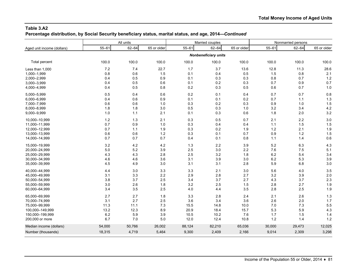**Percentage distribution, by Social Security beneficiary status, marital status, and age, 2014—***Continued*

|                            |           | All units |             |           | Married couples      |             | Nonmarried persons |           |             |  |
|----------------------------|-----------|-----------|-------------|-----------|----------------------|-------------|--------------------|-----------|-------------|--|
| Aged unit income (dollars) | $55 - 61$ | $62 - 64$ | 65 or older | $55 - 61$ | $62 - 64$            | 65 or older | $55 - 61$          | $62 - 64$ | 65 or older |  |
|                            |           |           |             |           | Nonbeneficiary units |             |                    |           |             |  |
| Total percent              | 100.0     | 100.0     | 100.0       | 100.0     | 100.0                | 100.0       | 100.0              | 100.0     | 100.0       |  |
| Less than 1,000            | 7.2       | 7.4       | 22.7        | 1.7       | 3.7                  | 13.6        | 12.8               | 11.3      | 28.6        |  |
| 1,000-1,999                | 0.8       | 0.6       | 1.5         | 0.1       | 0.4                  | 0.5         | 1.5                | 0.8       | 2.1         |  |
| 2,000-2,999                | 0.4       | 0.5       | 0.9         | 0.1       | 0.3                  | 0.3         | 0.8                | 0.7       | 1.2         |  |
| 3,000-3,999                | 0.4       | 0.5       | 0.6         | 0.1       | 0.2                  | 0.3         | 0.7                | 0.9       | 0.7         |  |
| 4,000-4,999                | 0.4       | 0.5       | 0.8         | 0.2       | 0.3                  | 0.5         | 0.6                | 0.7       | 1.0         |  |
| 5,000-5,999                | 0.5       | 0.4       | 0.6         | 0.2       | 0.1                  | 0.4         | 0.7                | 0.7       | 0.8         |  |
| 6,000-6,999                | 0.4       | 0.6       | 0.9         | 0.1       | 0.1                  | 0.2         | 0.7                | 1.1       | 1.3         |  |
| 7,000-7,999                | 0.6       | 0.6       | 1.0         | 0.3       | 0.2                  | 0.3         | 0.9                | 1.0       | 1.5         |  |
| 8,000-8,999                | 1.8       | 1.8       | 3.0         | 0.5       | 0.3                  | 1.0         | 3.2                | 3.4       | 4.2         |  |
| 9,000-9,999                | 1.0       | 1.1       | 2.1         | 0.1       | 0.3                  | 0.6         | 1.8                | 2.0       | 3.2         |  |
| 10,000-10,999              | $1.2$     | 1.3       | 2.1         | 0.3       | 0.5                  | 0.7         | 2.1                | 2.2       | 3.0         |  |
| 11,000-11,999              | 0.7       | 0.9       | 1.0         | 0.3       | 0.4                  | 0.4         | 1.1                | 1.5       | 1.5         |  |
| 12,000-12,999              | 0.7       | 1.1       | 1.9         | 0.3       | 0.2                  | 1.9         | 1.2                | 2.1       | 1.9         |  |
| 13,000-13,999              | 0.6       | 0.6       | $1.2$       | 0.3       | 0.1                  | 0.7         | 0.9                | $1.2$     | 1.5         |  |
| 14,000-14,999              | 0.7       | 0.7       | 0.7         | 0.4       | 0.1                  | 0.8         | $1.1$              | 1.4       | 0.6         |  |
| 15,000-19,999              | 3.2       | 4.2       | 4.2         | 1.3       | 2.2                  | 3.9         | 5.2                | 6.3       | 4.3         |  |
| 20,000-24,999              | $5.0$     | 5.2       | 3.9         | 2.5       | 3.0                  | 2.2         | 7.6                | 7.5       | 5.1         |  |
| 25,000-29,999              | 4.3       | 4.3       | 2.8         | 2.5       | 3.2                  | 1.8         | $6.2\,$            | 5.4       | 3.4         |  |
| 30,000-34,999              | 4.6       | 4.6       | 3.6         | 3.1       | 3.9                  | 3.0         | 6.2                | 5.3       | 3.9         |  |
| 35,000-39,999              | 4.5       | 4.9       | 3.0         | 3.1       | 3.1                  | 2.8         | 5.9                | 6.8       | 3.0         |  |
| 40,000-44,999              | 4.4       | 3.0       | 3.3         | 3.3       | 2.1                  | 3.0         | 5.6                | 4.0       | 3.5         |  |
| 45,000-49,999              | 3.1       | 3.3       | 2.2         | 2.9       | 2.8                  | 2.7         | 3.2                | 3.9       | 2.0         |  |
| 50,000-54,999              | 3.8       | 3.7       | 2.5         | 3.4       | 3.7                  | 2.7         | 4.3                | 3.7       | 2.3         |  |
| 55,000-59,999              | 3.0       | 2.6       | 1.8         | 3.2       | 2.5                  | 1.5         | 2.8                | 2.7       | 1.9         |  |
| 60,000-64,999              | 3.4       | 3.5       | 2.5         | 4.0       | 4.4                  | 3.5         | 2.8                | 2.5       | 1.9         |  |
| 65,000-69,999              | 2.7       | 2.7       | 1.8         | 3.3       | 2.8                  | 2.4         | 2.1                | 2.6       | 1.3         |  |
| 70,000-74,999              | 3.1       | 2.7       | 2.5         | 3.6       | 3.4                  | 3.6         | 2.6                | 2.0       | 1.7         |  |
| 75.000-99.999              | 11.3      | 11.1      | 7.3         | 15.5      | 14.8                 | 10.0        | 7.0                | 7.3       | 5.5         |  |
| 100,000-149,999            | 13.2      | 12.3      | 8.9         | 20.9      | 18.4                 | 15.7        | 5.3                | 5.9       | 4.3         |  |
| 150,000-199,999            | 6.2       | 5.9       | 3.9         | 10.5      | 10.2                 | 7.6         | 1.7                | 1.5       | 1.4         |  |
| 200,000 or more            | 6.7       | 7.0       | $5.0\,$     | 12.0      | 12.4                 | 10.8        | $1.2$              | 1.4       | 1.2         |  |
| Median income (dollars)    | 54,000    | 50,766    | 26,002      | 88,124    | 82,210               | 65,036      | 30,000             | 29,473    | 12,025      |  |
| Number (thousands)         | 18,315    | 4,719     | 5,464       | 9,300     | 2,409                | 2,166       | 9,014              | 2,309     | 3,298       |  |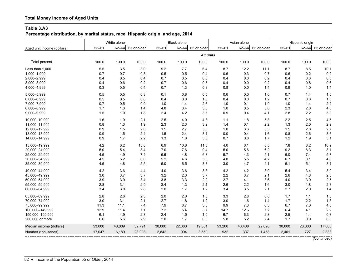# **Total Money Income of Aged Units**

#### **Table 3.A3**

**Percentage distribution, by marital status, race, Hispanic origin, and age, 2014**

|                            | White alone |           |             | <b>Black alone</b> |           |             |           | Asian alone |             | Hispanic origin |           |             |
|----------------------------|-------------|-----------|-------------|--------------------|-----------|-------------|-----------|-------------|-------------|-----------------|-----------|-------------|
| Aged unit income (dollars) | $55 - 61$   | $62 - 64$ | 65 or older | $55 - 61$          | $62 - 64$ | 65 or older | $55 - 61$ | $62 - 64$   | 65 or older | $55 - 61$       | $62 - 64$ | 65 or older |
|                            |             |           |             |                    |           | All units   |           |             |             |                 |           |             |
| Total percent              | 100.0       | 100.0     | 100.0       | 100.0              | 100.0     | 100.0       | 100.0     | 100.0       | 100.0       | 100.0           | 100.0     | 100.0       |
| Less than 1,000            | 5.5         | 3.5       | 3.0         | 9.2                | 7.7       | 6.4         | 8.7       | 12.2        | 11.1        | 8.7             | 8.5       | 10.1        |
| 1,000-1,999                | 0.7         | 0.7       | 0.3         | 0.5                | 0.5       | 0.4         | 0.6       | 0.3         | 0.7         | 0.6             | 0.2       | 0.2         |
| 2,000-2,999                | 0.4         | 0.5       | 0.4         | 0.7                | 0.5       | 0.3         | 0.4       | 0.0         | 0.2         | 0.4             | 0.3       | 0.8         |
| 3,000-3,999                | 0.4         | 0.6       | 0.2         | 0.7                | 0.6       | 0.5         | 0.4       | 0.0         | 0.2         | 0.4             | 0.8       | 0.6         |
| 4,000-4,999                | 0.3         | 0.5       | 0.4         | 0.7                | 1.3       | 0.8         | 0.8       | 0.0         | 1.4         | 0.9             | 1.0       | 1.4         |
| 5,000-5,999                | 0.5         | 0.5       | 0.3         | 0.1                | 0.8       | 0.5         | 0.6       | 0.0         | 1.0         | 0.7             | 1.4       | 1.0         |
| 6,000-6,999                | 0.5         | 0.5       | 0.8         | 0.4                | 0.8       | 1.6         | 0.4       | 0.0         | $1.2$       | 0.7             | 0.8       | 1.8         |
| 7,000-7,999                | 0.7         | 0.5       | 0.9         | 1.0                | 1.4       | 2.6         | 1.0       | 0.1         | 1.9         | 1.0             | 1.4       | 2.2         |
| 8,000-8,999                | 1.7         | 1.3       | 1.4         | 4.8                | 3.4       | 3.0         | 1.0       | 0.5         | 3.0         | 2.3             | 2.8       | 4.6         |
| 9,000-9,999                | 1.5         | 1.0       | 1.8         | 2.4                | 4.2       | 3.5         | 0.9       | 0.4         | 4.1         | 2.8             | 2.2       | 5.0         |
| 10.000-10.999              | 1.6         | 1.9       | 2.1         | 2.5                | 4.0       | 4.8         | 1.1       | 1.8         | 5.3         | 2.2             | 2.5       | 4.5         |
| 11,000-11,999              | 0.8         | 1.3       | 1.9         | 2.3                | 2.3       | 3.2         | 1.4       | 0.1         | 2.2         | 1.3             | 2.0       | 2.9         |
| 12,000-12,999              | 0.9         | 1.5       | 2.0         | 1.5                | 2.7       | 5.0         | 1.0       | 3.6         | 3.3         | 1.5             | 2.8       | 2.7         |
| 13,000-13,999              | 0.9         | 1.5       | 2.4         | 1.5                | 2.4       | 3.1         | 0.0       | 0.4         | 1.6         | 0.8             | 2.6       | 3.6         |
| 14,000-14,999              | 0.9         | 1.7       | 2.2         | 1.3                | 1.8       | 3.5         | 0.7       | 0.8         | 1.7         | 1.2             | 1.9       | 3.1         |
| 15,000-19,999              | 4.2         | 6.2       | 10.8        | 6.9                | 10.8      | 11.5        | 4.0       | 6.1         | 8.5         | 7.8             | 8.2       | 10.9        |
| 20,000-24,999              | $5.0$       | 5.4       | 8.4         | 7.0                | 7.6       | 9.4         | 5.0       | 5.6         | 6.2         | 9.2             | 8.3       | 8.1         |
| 25,000-29,999              | 4.5         | 4.9       | 7.4         | 5.6                | 4.8       | 6.8         | 5.7       | 4.3         | 5.1         | 6.0             | 7.4       | 5.7         |
| 30,000-34,999              | 4.5         | 5.2       | 6.0         | 5.2                | 4.6       | 5.3         | 4.8       | 5.5         | 4.2         | 6.7             | 8.1       | 4.8         |
| 35,000-39,999              | 4.5         | 4.8       | 5.5         | 5.0                | 6.5       | 3.8         | 3.0       | 4.7         | 4.1         | 6.1             | 5.1       | 3.1         |
| 40,000-44,999              | 4.2         | 3.6       | 4.4         | 4.0                | 3.6       | 3.3         | 4.2       | 4.2         | 3.0         | 5.4             | 3.4       | 3.0         |
| 45,000-49,999              | 3.0         | 3.7       | 3.7         | 3.2                | 2.3       | 3.7         | 2.2       | 3.7         | 2.1         | 2.6             | 4.8       | 2.3         |
| 50,000-54,999              | 3.9         | 3.9       | 3.4         | 3.8                | 3.3       | 2.2         | 2.7       | 4.1         | 3.6         | 4.0             | 3.0       | 2.5         |
| 55,000-59,999              | 2.8         | 3.1       | 2.9         | 3.4                | 1.3       | 2.1         | 2.6       | 2.2         | 1.6         | 3.0             | 1.8       | 2.3         |
| 60,000-64,999              | 3.4         | 3.0       | 2.8         | 2.0                | 1.7       | 1.2         | 3.4       | 3.5         | 2.1         | 2.7             | 2.0       | 1.4         |
| 65,000-69,999              | 2.8         | 2.6       | 2.3         | 2.0                | 2.0       | 1.5         | 3.3       | 2.8         | 0.8         | 1.7             | 1.1       | 1.5         |
| 70,000-74,999              | 3.0         | 3.1       | 2.1         | 2.7                | 1.8       | $1.2$       | 3.0       | 1.6         | 1.4         | 1.7             | 2.2       | 1.3         |
| 75,000-99,999              | 11.3        | 11.1      | 7.4         | 7.9                | 6.7       | 3.3         | 9.9       | 7.3         | 6.3         | 6.7             | 7.0       | 4.6         |
| 100,000-149,999            | 12.9        | 11.4      | 7.1         | 7.2                | 5.4       | 3.7         | 14.7      | 12.6        | 7.2         | 6.4             | 4.1       | 2.2         |
| 150,000-199,999            | 6.1         | 4.9       | 2.8         | 2.4                | 1.5       | 1.0         | 6.7       | 6.3         | 2.3         | 2.5             | 1.4       | 0.8         |
| 200,000 or more            | 6.6         | 5.6       | 2.9         | 2.0                | 1.7       | 0.8         | 5.8       | 5.2         | 2.4         | 1.7             | 0.9       | 0.8         |
| Median income (dollars)    | 53,000      | 48,009    | 32,791      | 30,000             | 22,380    | 19,381      | 53,200    | 43,408      | 22,020      | 30,000          | 26,000    | 17,000      |
| Number (thousands)         | 17,047      | 6,189     | 28,998      | 2,842              | 994       | 3,550       | 932       | 337         | 1,458       | 2,401           | 727       | 2,838       |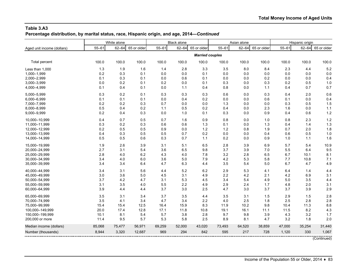**Percentage distribution, by marital status, race, Hispanic origin, and age, 2014—***Continued*

|                            | White alone |           |             | <b>Black alone</b> |           |                        |           | Asian alone |             | Hispanic origin |           |             |
|----------------------------|-------------|-----------|-------------|--------------------|-----------|------------------------|-----------|-------------|-------------|-----------------|-----------|-------------|
| Aged unit income (dollars) | $55 - 61$   | $62 - 64$ | 65 or older | $55 - 61$          | $62 - 64$ | 65 or older            | $55 - 61$ | $62 - 64$   | 65 or older | $55 - 61$       | $62 - 64$ | 65 or older |
|                            |             |           |             |                    |           | <b>Married couples</b> |           |             |             |                 |           |             |
| Total percent              | 100.0       | 100.0     | 100.0       | 100.0              | 100.0     | 100.0                  | 100.0     | 100.0       | 100.0       | 100.0           | 100.0     | 100.0       |
| Less than 1,000            | 1.3         | 1.9       | 1.6         | 1.4                | 2.8       | 3.3                    | 3.5       | 8.0         | 8.4         | 2.3             | 4.4       | 5.2         |
| 1,000-1,999                | 0.2         | 0.3       | 0.1         | 0.0                | 0.0       | 0.1                    | 0.0       | 0.0         | 0.0         | 0.0             | 0.0       | 0.0         |
| 2,000-2,999                | 0.1         | 0.3       | 0.1         | 0.0                | 0.6       | 0.1                    | 0.0       | 0.0         | 0.2         | 0.0             | 0.0       | 0.4         |
| 3,000-3,999                | 0.0         | 0.2       | 0.1         | 0.2                | 0.0       | 0.1                    | 0.3       | 0.0         | 0.3         | 0.2             | 0.5       | 1.0         |
| 4,000-4,999                | 0.1         | 0.4       | 0.1         | 0.0                | 1.1       | 0.4                    | 0.8       | 0.0         | 1.1         | 0.4             | 0.7       | 0.7         |
| 5,000-5,999                | 0.3         | 0.2       | 0.1         | 0.3                | 0.3       | 0.3                    | 0.6       | 0.0         | 0.3         | 0.4             | 2.0       | 0.6         |
| 6,000-6,999                | 0.1         | 0.1       | 0.1         | 0.0                | 0.4       | 0.2                    | 0.0       | 0.0         | 0.6         | 0.1             | 0.0       | 0.4         |
| 7,000-7,999                | 0.2         | 0.2       | 0.3         | 0.7                | 0.0       | 0.0                    | 1.3       | 0.0         | 0.0         | 0.3             | 0.5       | 1.5         |
| 8,000-8,999                | 0.5         | 0.4       | 0.2         | 1.1                | 0.5       | 0.2                    | 0.4       | 0.0         | 2.3         | 1.6             | 0.0       | $1.1$       |
| 9,000-9,999                | 0.2         | 0.4       | 0.3         | 0.0                | 1.0       | 0.1                    | 0.3       | 0.0         | 0.9         | 0.4             | 0.6       | 1.2         |
| 10,000-10,999              | 0.4         | 0.7       | 0.5         | 0.7                | 1.6       | 0.9                    | 0.8       | 0.0         | 1.0         | 0.8             | 2.3       | 1.2         |
| 11,000-11,999              | 0.3         | 0.2       | 0.3         | 0.6                | 0.6       | 1.3                    | 0.1       | 0.0         | 1.3         | 0.4             | 1.4       | 1.3         |
| 12,000-12,999              | 0.2         | 0.5       | 0.5         | 0.9                | 0.0       | 1.2                    | 1.2       | 0.8         | 1.9         | 0.7             | 2.0       | 1.8         |
| 13,000-13,999              | 0.4         | 0.3       | 0.5         | 0.5                | 0.7       | 0.2                    | 0.0       | 0.0         | 0.4         | 0.6             | 0.5       | 1.0         |
| 14,000-14,999              | 0.5         | 0.5       | 0.6         | 0.3                | 0.7       | 1.1                    | 0.2       | 0.0         | 0.9         | 1.0             | 1.1       | 1.6         |
| 15,000-19,999              | 1.9         | 2.6       | 3.9         | 3.1                | 5.1       | 6.5                    | 2.8       | 3.9         | 6.9         | 5.7             | 5.4       | 10.9        |
| 20,000-24,999              | 2.7         | 3.1       | 5.4         | 3.6                | 6.5       | 9.8                    | 3.7       | 3.9         | 7.0         | 5.5             | 6.4       | 9.5         |
| 25,000-29,999              | 2.8         | 4.0       | 6.2         | 4.3                | 4.0       | 7.8                    | 3.2       | 2.8         | 6.5         | 6.7             | 10.1      | 8.1         |
| 30,000-34,999              | 3.4         | 4.0       | 6.0         | 3.6                | 5.0       | 7.9                    | 4.2       | 5.3         | 5.8         | 7.7             | 10.8      | 7.1         |
| 35,000-39,999              | 3.4         | 3.4       | 6.4         | 4.7                | 6.3       | 4.4                    | 3.5       | 5.4         | 5.0         | 6.7             | 4.7       | 4.9         |
| 40,000-44,999              | 3.4         | 3.1       | 5.6         | 4.4                | 5.2       | 6.2                    | 2.9       | 5.3         | 4.1         | 6.4             | 1.4       | 4.4         |
| 45,000-49,999              | 3.0         | 3.6       | 5.0         | 4.5                | 3.1       | 4.9                    | 2.2       | 4.2         | 2.1         | 4.2             | 6.9       | 3.1         |
| 50,000-54,999              | 3.7         | 4.2       | 4.7         | 3.1                | 5.3       | 4.5                    | 3.4       | 5.4         | 4.9         | 5.0             | 3.5       | 4.4         |
| 55,000-59,999              | 3.1         | 3.5       | 4.0         | 5.5                | 2.2       | 4.9                    | 2.9       | 2.4         | 1.7         | 4.8             | 2.0       | 3.1         |
| 60,000-64,999              | 3.9         | 4.4       | 4.4         | 3.7                | 3.0       | 2.5                    | 4.7       | 3.0         | 3.7         | 3.7             | 3.9       | 2.9         |
| 65,000-69,999              | 3.5         | 3.1       | 3.4         | 3.7                | 3.5       | 4.4                    | 3.5       | 3.1         | 1.5         | 2.9             | 1.5       | 2.8         |
| 70,000-74,999              | 3.5         | 4.1       | 3.4         | 4.7                | 3.4       | 2.2                    | 4.0       | 2.5         | 1.8         | 2.5             | 2.8       | 2.8         |
| 75,000-99,999              | 15.4        | 15.4      | 12.5        | 16.4               | 15.9      | 8.3                    | 11.9      | 10.2        | 9.8         | 10.4            | 11.3      | 8.8         |
| 100,000-149,999            | 20.0        | 17.4      | 12.8        | 17.1               | 11.8      | 10.8                   | 19.1      | 16.1        | 11.1        | 11.5            | 8.2       | 4.3         |
| 150,000-199,999            | 10.1        | 8.1       | 5.4         | 5.7                | 3.8       | 2.8                    | 9.7       | 9.8         | 3.9         | 4.3             | 3.2       | 1.7         |
| 200,000 or more            | 11.4        | 9.5       | 5.7         | 5.3                | 5.8       | 2.5                    | 8.9       | 8.1         | 4.7         | 3.2             | 1.8       | 2.0         |
| Median income (dollars)    | 85,068      | 75,477    | 56,971      | 69,259             | 52,000    | 43,020                 | 73,493    | 64,520      | 38,859      | 47,000          | 35,254    | 31,440      |
| Number (thousands)         | 8,944       | 3,320     | 12,687      | 969                | 294       | 842                    | 595       | 217         | 728         | 1,120           | 330       | 1,067       |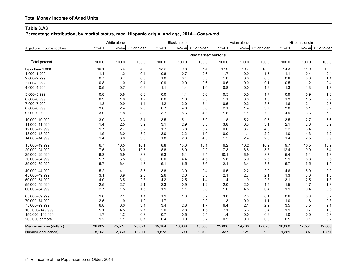**Percentage distribution, by marital status, race, Hispanic origin, and age, 2014—***Continued*

|                            | White alone | <b>Black alone</b> |             |           | Asian alone |                           |           | Hispanic origin |             |           |           |             |
|----------------------------|-------------|--------------------|-------------|-----------|-------------|---------------------------|-----------|-----------------|-------------|-----------|-----------|-------------|
| Aged unit income (dollars) | $55 - 61$   | $62 - 64$          | 65 or older | $55 - 61$ | $62 - 64$   | 65 or older               | $55 - 61$ | $62 - 64$       | 65 or older | $55 - 61$ | $62 - 64$ | 65 or older |
|                            |             |                    |             |           |             | <b>Nonmarried persons</b> |           |                 |             |           |           |             |
| <b>Total percent</b>       | 100.0       | 100.0              | 100.0       | 100.0     | 100.0       | 100.0                     | 100.0     | 100.0           | 100.0       | 100.0     | 100.0     | 100.0       |
| Less than 1,000            | 10.1        | 5.4                | 4.0         | 13.2      | 9.8         | 7.4                       | 17.9      | 19.7            | 13.9        | 14.3      | 11.9      | 13.0        |
| 1,000-1,999                | 1.4         | 1.2                | 0.4         | 0.8       | 0.7         | 0.6                       | 1.7       | 0.9             | 1.5         | 1.1       | 0.4       | 0.4         |
| 2,000-2,999                | 0.7         | 0.7                | 0.6         | 1.0       | 0.4         | 0.3                       | 1.0       | 0.0             | 0.3         | 0.8       | 0.6       | 1.1         |
| 3,000-3,999                | 0.8         | 1.0                | 0.4         | 0.9       | 0.9         | 0.6                       | 0.6       | 0.0             | 0.1         | 0.5       | $1.2$     | 0.4         |
| 4,000-4,999                | 0.5         | 0.7                | 0.6         | 1.1       | 1.4         | 1.0                       | 0.8       | 0.0             | 1.6         | 1.3       | 1.3       | 1.8         |
| 5,000-5,999                | 0.8         | 0.8                | 0.6         | 0.0       | $1.1$       | 0.6                       | 0.5       | $0.0\,$         | 1.7         | 0.9       | 0.9       | 1.3         |
| 6,000-6,999                | 0.9         | 1.0                | 1.2         | 0.6       | 1.0         | 2.0                       | 1.1       | 0.0             | 1.8         | 1.3       | 1.5       | 2.7         |
| 7,000-7,999                | 1.3         | 0.9                | 1.4         | 1.2       | 2.0         | 3.4                       | 0.5       | 0.2             | 3.7         | 1.6       | 2.1       | 2.5         |
| 8,000-8,999                | 3.0         | 2.4                | 2.3         | 6.7       | 4.6         | 3.8                       | 2.1       | 1.4             | 3.7         | 3.0       | 5.1       | 6.7         |
| 9,000-9,999                | 3.0         | 1.8                | 3.0         | 3.7       | 5.6         | 4.6                       | 1.8       | $1.1$           | 7.3         | 4.9       | 3.6       | 7.2         |
| 10,000-10,999              | 3.0         | 3.3                | 3.4         | 3.5       | 5.1         | 6.0                       | 1.8       | 5.2             | 9.7         | 3.5       | 2.7       | 6.6         |
| 11,000-11,999              | 1.4         | 2.5                | 3.2         | 3.1       | 2.9         | 3.8                       | 3.8       | 0.3             | 3.1         | 2.1       | 2.6       | 3.9         |
| 12,000-12,999              | 1.7         | 2.7                | 3.2         | 1.7       | 3.8         | 6.2                       | 0.6       | 8.7             | 4.8         | 2.2       | 3.4       | 3.3         |
| 13,000-13,999              | 1.5         | 3.0                | 3.9         | 2.0       | 3.2         | 4.0                       | 0.0       | 1.1             | 2.9         | $1.0$     | 4.3       | 5.2         |
| 14,000-14,999              | 1.4         | 3.0                | 3.5         | 1.8       | 2.3         | 4.3                       | 1.5       | 2.4             | 2.5         | 1.4       | 2.5       | 3.9         |
| 15,000-19,999              | 6.7         | 10.5               | 16.1        | 8.8       | 13.3        | 13.1                      | 6.2       | 10.2            | 10.2        | 9.7       | 10.5      | 10.9        |
| 20,000-24,999              | 7.5         | 8.0                | 10.7        | 8.8       | 8.0         | 9.2                       | 7.3       | 8.8             | 5.3         | 12.4      | 9.9       | 7.4         |
| 25,000-29,999              | 6.3         | 5.9                | 8.3         | 6.3       | 5.1         | 6.4                       | 10.1      | 6.9             | 3.7         | 5.4       | 5.1       | 4.3         |
| 30,000-34,999              | 5.7         | 6.5                | 6.0         | 6.0       | 4.4         | 4.5                       | 5.8       | 5.9             | 2.5         | 5.9       | 5.8       | 3.5         |
| 35,000-39,999              | 5.7         | 6.4                | 4.7         | 5.1       | 6.5         | 3.6                       | 2.1       | 3.4             | 3.3         | 5.7       | 5.5       | 1.9         |
| 40,000-44,999              | 5.2         | 4.1                | 3.5         | 3.8       | 3.0         | 2.4                       | 6.5       | 2.2             | 2.0         | 4.6       | 5.0       | 2.2         |
| 45,000-49,999              | 3.1         | 3.9                | 2.8         | 2.6       | 2.0         | 3.3                       | 2.1       | 2.7             | 2.1         | 1.3       | 3.0       | 1.8         |
| 50,000-54,999              | 4.0         | 3.5                | 2.3         | 4.2       | 2.5         | 1.4                       | 1.4       | 1.9             | 2.3         | 3.1       | 2.5       | 1.3         |
| 55,000-59,999              | 2.5         | 2.7                | 2.1         | 2.3       | 0.9         | 1.2                       | 2.0       | 2.0             | 1.5         | 1.5       | 1.7       | 1.8         |
| 60,000-64,999              | 2.7         | 1.5                | 1.5         | 1.1       | 1.1         | 0.8                       | 1.0       | 4.5             | 0.4         | 1.9       | 0.4       | 0.5         |
| 65.000-69.999              | 2.0         | 2.1                | 1.4         | 1.2       | 1.3         | 0.7                       | 3.0       | 2.3             | 0.1         | 0.6       | 0.8       | 0.7         |
| 70,000-74,999              | 2.5         | 1.9                | 1.2         | 1.7       | $1.1$       | 0.9                       | 1.3       | 0.0             | 1.1         | 1.0       | 1.6       | 0.3         |
| 75,000-99,999              | 6.8         | 6.0                | 3.4         | 3.4       | 2.8         | 1.7                       | 6.4       | 2.1             | 2.9         | 3.5       | 3.5       | 2.1         |
| 100,000-149,999            | 5.1         | 4.5                | 2.7         | 2.0       | 2.8         | 1.5                       | 7.1       | 6.3             | 3.4         | 1.9       | 0.7       | 1.0         |
| 150,000-199,999            | 1.7         | $1.2$              | 0.8         | 0.7       | 0.5         | 0.4                       | 1.4       | 0.0             | 0.6         | 1.0       | 0.0       | 0.3         |
| 200,000 or more            | 1.2         | 1.1                | 0.7         | 0.4       | 0.0         | 0.2                       | 0.5       | 0.0             | 0.0         | 0.5       | 0.1       | 0.2         |
| Median income (dollars)    | 28,002      | 25,524             | 20,821      | 19,184    | 16,868      | 15,300                    | 25,000    | 19,760          | 12,026      | 20,000    | 17,554    | 12,660      |
| Number (thousands)         | 8,103       | 2,869              | 16,311      | 1,873     | 699         | 2,708                     | 337       | 121             | 730         | 1,281     | 397       | 1,771       |
|                            |             |                    |             |           |             |                           |           |                 |             |           |           |             |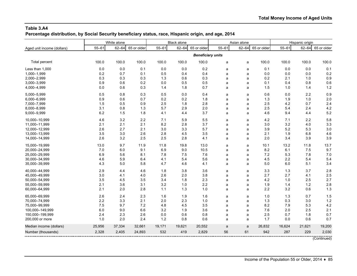**Percentage distribution, by Social Security beneficiary status, race, Hispanic origin, and age, 2014**

|                            | White alone |           |             | <b>Black alone</b> |           |                          | Asian alone |           |             | Hispanic origin |           |             |
|----------------------------|-------------|-----------|-------------|--------------------|-----------|--------------------------|-------------|-----------|-------------|-----------------|-----------|-------------|
| Aged unit income (dollars) | $55 - 61$   | $62 - 64$ | 65 or older | $55 - 61$          | $62 - 64$ | 65 or older              | $55 - 61$   | $62 - 64$ | 65 or older | $55 - 61$       | $62 - 64$ | 65 or older |
|                            |             |           |             |                    |           | <b>Beneficiary units</b> |             |           |             |                 |           |             |
| Total percent              | 100.0       | 100.0     | 100.0       | 100.0              | 100.0     | 100.0                    | a           | a         | 100.0       | 100.0           | 100.0     | 100.0       |
| Less than 1,000            | 0.0         | 0.0       | 0.1         | 0.0                | 0.0       | 0.2                      | a           | a         | 0.1         | 0.0             | 0.0       | 0.1         |
| 1,000-1,999                | 0.2         | 0.7       | 0.1         | 0.5                | 0.4       | 0.4                      | a           | a         | 0.0         | 0.0             | 0.0       | 0.2         |
| 2,000-2,999                | 0.3         | 0.3       | 0.3         | 1.3                | 0.6       | 0.3                      | a           | a         | 0.2         | 2.1             | 1.0       | 0.9         |
| 3,000-3,999                | 0.9         | 0.6       | 0.2         | 0.0                | 0.5       | 0.5                      | a           | a         | 0.1         | 0.4             | 0.8       | 0.6         |
| 4,000-4,999                | 0.0         | 0.6       | 0.3         | 1.4                | 1.8       | 0.7                      | a           | a         | 1.5         | 1.0             | 1.4       | 1.2         |
| 5,000-5,999                | 0.5         | 0.8       | 0.3         | 0.5                | 0.0       | 0.4                      | a           | a         | 0.6         | 0.0             | 2.2       | 0.9         |
| 6,000-6,999                | 0.9         | 0.6       | 0.7         | 0.2                | 0.2       | 1.8                      | a           | a         | 1.3         | 1.9             | 1.0       | 2.0         |
| 7,000-7,999                | 1.5         | 0.5       | 0.9         | 2.5                | 1.8       | 2.8                      | a           | a         | 2.5         | 4.2             | 0.7       | 2.4         |
| 8,000-8,999                | 3.1         | 0.8       | 1.3         | 5.7                | 2.9       | 2.0                      | a           | a         | 2.5         | 5.4             | 2.4       | 4.2         |
| 9,000-9,999                | 6.2         | 1.5       | 1.8         | 4.1                | 4.4       | 3.7                      | a           | a         | 4.6         | 9.4             | 4.4       | 5.2         |
| 10,000-10,999              | 4.6         | 3.2       | 2.2         | 7.1                | 5.9       | 5.5                      | a           | a         | 4.2         | 7.1             | 2.2       | 5.8         |
| 11,000-11,999              | 2.1         | 2.1       | 2.1         | 8.2                | 2.8       | 3.7                      | a           | a         | 3.0         | 3.2             | 4.0       | 3.3         |
| 12,000-12,999              | 2.6         | 2.7       | 2.1         | 3.0                | 3.3       | 5.7                      | a           | a         | 3.9         | 5.2             | 5.3       | 3.0         |
| 13,000-13,999              | 3.5         | 3.0       | 2.6         | 2.8                | 4.5       | 3.5                      | a           | a         | 2.1         | 1.9             | 6.8       | 4.6         |
| 14,000-14,999              | 2.6         | 3.2       | 2.5         | 2.5                | 2.8       | 4.1                      | a           | a         | 2.0         | 3.4             | 3.9       | 3.9         |
| 15,000-19,999              | 13.0        | 9.7       | 11.9        | 11.8               | 19.8      | 13.0                     | a           | a         | 10.1        | 13.2            | 11.8      | 13.7        |
| 20,000-24,999              | 7.0         | 6.0       | 9.1         | 6.9                | 9.0       | 10.5                     | a           | a         | 8.2         | 6.1             | 7.5       | 9.7         |
| 25,000-29,999              | 6.9         | 5.6       | 8.1         | 7.8                | 7.5       | 7.6                      | a           | a         | 7.2         | 5.3             | 7.8       | 7.0         |
| 30,000-34,999              | 4.6         | 5.9       | 6.4         | 4.1                | 5.4       | 5.6                      | a           | a         | 4.5         | 2.2             | 5.4       | 5.4         |
| 35,000-39,999              | 4.3         | 5.0       | 5.8         | 4.7                | 4.6       | 4.1                      | a           | a         | 5.0         | 6.0             | 5.1       | 3.4         |
| 40.000-44.999              | 2.9         | 4.4       | 4.6         | 1.8                | 3.8       | 3.6                      | a           | a         | 3.3         | 1.3             | 3.7       | 2.8         |
| 45,000-49,999              | 3.0         | 4.1       | 4.0         | 2.6                | 2.0       | 3.8                      | a           | a         | 2.7         | 2.7             | 4.1       | 2.5         |
| 50,000-54,999              | 3.5         | 4.5       | 3.5         | 3.4                | 1.8       | 2.3                      | a           | a         | 4.2         | 1.0             | 2.5       | 2.7         |
| 55,000-59,999              | 2.1         | 3.6       | 3.1         | 3.2                | 1.0       | 2.2                      | a           | a         | 1.9         | 1.4             | 1.2       | 2.8         |
| 60,000-64,999              | 2.1         | 2.0       | 2.8         | $1.1$              | 1.3       | 1.0                      | a           | a         | 2.2         | 3.2             | 0.6       | 1.3         |
| 65,000-69,999              | 2.6         | 2.4       | 2.3         | 1.6                | 1.9       | 1.6                      | a           | a         | 1.0         | 1.3             | 0.7       | 1.5         |
| 70,000-74,999              | 2.2         | 3.3       | 2.1         | 2.0                | 2.3       | 1.0                      | a           | a         | 1.3         | 0.3             | 3.0       | 1.2         |
| 75,000-99,999              | 7.5         | 9.7       | 7.2         | 4.8                | 4.5       | 3.5                      | a           | a         | 8.2         | 7.9             | 5.3       | 4.2         |
| 100,000-149,999            | 6.0         | 9.0       | 6.6         | 3.2                | 1.9       | 3.6                      | a           | a         | 7.6         | 2.0             | 2.5       | 2.1         |
| 150,000-199,999            | 2.4         | 2.3       | 2.6         | 0.0                | 0.6       | 0.8                      | a           | a         | 2.5         | 0.7             | 1.8       | 0.7         |
| 200,000 or more            | 1.0         | 2.0       | 2.4         | 1.2                | 0.8       | 0.6                      | a           | a         | 1.7         | 0.0             | 0.6       | 0.7         |
| Median income (dollars)    | 25,956      | 37,334    | 32,661      | 19,171             | 19,621    | 20,552                   | a           | a         | 26,832      | 16,624          | 21,621    | 19,200      |
| Number (thousands)         | 2,328       | 2,405     | 24,893      | 532                | 419       | 2,829                    | 56          | 61        | 942         | 287             | 229       | 2,030       |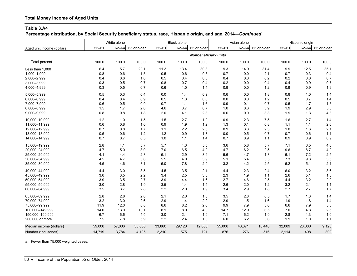**Percentage distribution, by Social Security beneficiary status, race, Hispanic origin, and age, 2014—***Continued*

|                            | White alone |           |             | <b>Black alone</b> |           |                             | Asian alone |           |             | Hispanic origin |           |             |
|----------------------------|-------------|-----------|-------------|--------------------|-----------|-----------------------------|-------------|-----------|-------------|-----------------|-----------|-------------|
| Aged unit income (dollars) | $55 - 61$   | $62 - 64$ | 65 or older | $55 - 61$          | $62 - 64$ | 65 or older                 | $55 - 61$   | $62 - 64$ | 65 or older | $55 - 61$       | $62 - 64$ | 65 or older |
|                            |             |           |             |                    |           | <b>Nonbeneficiary units</b> |             |           |             |                 |           |             |
| Total percent              | 100.0       | 100.0     | 100.0       | 100.0              | 100.0     | 100.0                       | 100.0       | 100.0     | 100.0       | 100.0           | 100.0     | 100.0       |
| Less than 1.000            | 6.4         | 5.7       | 20.1        | 11.3               | 13.4      | 30.8                        | 9.3         | 14.9      | 31.4        | 9.9             | 12.5      | 35.1        |
| 1,000-1,999                | 0.8         | 0.6       | 1.5         | 0.5                | 0.6       | 0.8                         | 0.7         | 0.0       | 2.1         | 0.7             | 0.3       | 0.4         |
| 2,000-2,999                | 0.4         | 0.6       | 1.0         | 0.5                | 0.4       | 0.3                         | 0.4         | 0.0       | 0.2         | 0.2             | 0.0       | 0.7         |
| 3,000-3,999                | 0.3         | 0.5       | 0.7         | 0.8                | 0.7       | 0.4                         | 0.2         | 0.0       | 0.4         | 0.4             | 0.9       | 0.7         |
| 4,000-4,999                | 0.3         | 0.5       | 0.7         | 0.6                | 1.0       | 1.4                         | 0.9         | 0.0       | 1.2         | 0.9             | 0.9       | 1.9         |
| 5,000-5,999                | 0.5         | 0.3       | 0.4         | 0.0                | 1.4       | 0.9                         | 0.6         | 0.0       | 1.8         | 0.8             | 1.0       | 1.4         |
| 6,000-6,999                | 0.4         | 0.4       | 0.9         | 0.5                | 1.3       | 0.8                         | 0.0         | 0.0       | 1.2         | 0.5             | 0.7       | 1.4         |
| 7,000-7,999                | 0.6         | 0.5       | 0.9         | 0.7                | 1.1       | 1.6                         | 0.9         | 0.1       | 0.7         | 0.5             | 1.7       | 1.5         |
| 8,000-8,999                | 1.5         | 1.7       | 2.0         | 4.6                | 3.7       | 6.7                         | 1.0         | 0.6       | 3.9         | 1.9             | 2.9       | 5.5         |
| 9,000-9,999                | 0.8         | 0.8       | 1.8         | 2.0                | 4.1       | 2.8                         | 0.6         | 0.0       | 3.3         | 1.9             | 1.3       | 4.3         |
| 10,000-10,999              | 1.2         | 1.0       | 1.5         | 1.5                | 2.7       | 1.9                         | 0.9         | 2.3       | 7.5         | 1.6             | 2.7       | 1.4         |
| 11,000-11,999              | 0.6         | 0.8       | 1.0         | 0.9                | 1.9       | 1.2                         | 1.3         | 0.1       | 0.8         | 1.1             | 1.1       | 2.0         |
| 12,000-12,999              | 0.7         | 0.8       | 1.7         | 1.1                | 2.2       | 2.5                         | 0.9         | 3.3       | 2.3         | 1.0             | 1.6       | 2.1         |
| 13,000-13,999              | 0.5         | 0.6       | 1.2         | $1.2$              | 0.9       | 1.7                         | 0.0         | 0.5       | 0.7         | 0.7             | 0.6       | $1.1$       |
| 14,000-14,999              | 0.7         | 0.7       | 0.5         | 1.0                | 1.1       | 1.4                         | 0.7         | 0.9       | 1.1         | 0.9             | 0.9       | 0.9         |
| 15,000-19,999              | 2.8         | 4.1       | 3.7         | 5.7                | 4.3       | 5.5                         | 3.6         | 5.8       | 5.7         | 7.1             | 6.5       | 4.0         |
| 20,000-24,999              | 4.7         | 5.0       | 3.9         | 7.0                | 6.5       | 4.9                         | 4.7         | 6.2       | 2.5         | 9.6             | 8.7       | 4.2         |
| 25,000-29,999              | 4.1         | 4.4       | 2.8         | 5.1                | 2.9       | 3.4                         | 5.6         | 4.7       | 1.3         | 6.1             | 7.2       | 2.5         |
| 30,000-34,999              | 4.5         | 4.7       | 3.6         | 5.5                | 4.0       | 3.9                         | 5.1         | 5.4       | 3.5         | 7.3             | 9.3       | 3.5         |
| 35,000-39,999              | 4.5         | 4.6       | 3.1         | 5.0                | 7.8       | 2.9                         | 3.2         | 4.2       | 2.5         | 6.2             | 5.1       | 2.1         |
| 40,000-44,999              | 4.4         | 3.0       | 3.5         | 4.5                | 3.5       | 2.1                         | 4.4         | 2.3       | 2.4         | 6.0             | 3.2       | 3.6         |
| 45,000-49,999              | 3.0         | 3.5       | 2.2         | 3.4                | 2.5       | 3.3                         | 2.3         | 1.9       | $1.1$       | 2.6             | 5.1       | 1.8         |
| 50,000-54,999              | 3.9         | 3.5       | 2.7         | 3.9                | 4.4       | 1.6                         | 2.7         | 4.6       | 2.5         | 4.4             | 3.2       | 2.0         |
| 55,000-59,999              | 3.0         | 2.8       | 1.9         | 3.5                | 1.4       | 1.5                         | 2.6         | 2.0       | 1.2         | 3.2             | 2.1       | $1.1$       |
| 60,000-64,999              | 3.5         | 3.7       | 2.8         | 2.2                | 2.0       | 1.9                         | 3.4         | 2.9       | 1.8         | 2.7             | 2.7       | 1.7         |
| 65,000-69,999              | 2.8         | 2.8       | 2.0         | 2.1                | 2.0       | 1.3                         | 3.5         | 2.8       | 0.5         | 1.7             | 1.3       | 1.4         |
| 70,000-74,999              | 3.2         | 3.0       | 2.6         | 2.9                | 1.4       | 2.2                         | 2.9         | 1.5       | 1.6         | 1.9             | 1.8       | 1.4         |
| 75,000-99,999              | 11.9        | 12.0      | 8.8         | 8.6                | 8.2       | 2.6                         | 9.9         | 7.9       | 3.0         | 6.6             | 7.9       | 5.5         |
| 100,000-149,999            | 14.0        | 13.0      | 10.1        | 8.1                | 8.0       | 4.3                         | 14.7        | 12.9      | 6.5         | 7.0             | 4.8       | 2.5         |
| 150,000-199,999            | 6.7         | 6.6       | 4.5         | 3.0                | 2.1       | 1.9                         | 7.1         | 6.2       | 1.9         | 2.8             | 1.3       | 1.0         |
| 200,000 or more            | 7.5         | 7.8       | 5.9         | 2.2                | 2.4       | 1.3                         | 6.0         | 6.2       | 3.6         | 1.9             | 1.0       | 1.1         |
| Median income (dollars)    | 59,000      | 57,006    | 35,000      | 33,860             | 29,120    | 12,000                      | 55,000      | 40,371    | 10,440      | 32,009          | 28,000    | 9,120       |
| Number (thousands)         | 14,719      | 3,784     | 4,105       | 2,310              | 575       | 721                         | 876         | 276       | 516         | 2,114           | 498       | 809         |

a. Fewer than 75,000 weighted cases.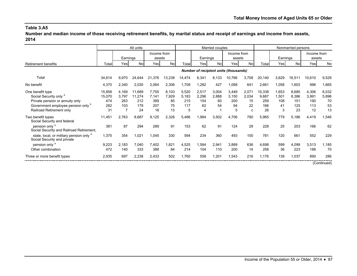**Number and median income of those receiving retirement benefits, by marital status and receipt of earnings and income from assets, 2014**

|                                                                                                                                                                       |                                      | All units                         |                                      | Married couples                    |                                  |                                   |                             |                            |                                              |                                 | Nonmarried persons                  |                                  |                                    |                                    |                                  |
|-----------------------------------------------------------------------------------------------------------------------------------------------------------------------|--------------------------------------|-----------------------------------|--------------------------------------|------------------------------------|----------------------------------|-----------------------------------|-----------------------------|----------------------------|----------------------------------------------|---------------------------------|-------------------------------------|----------------------------------|------------------------------------|------------------------------------|----------------------------------|
|                                                                                                                                                                       |                                      | Earnings                          |                                      | Income from<br>assets              |                                  |                                   | Earnings                    |                            | Income from<br>assets                        |                                 |                                     | Earnings                         |                                    | Income from<br>assets              |                                  |
| <b>Retirement benefits</b>                                                                                                                                            | Total                                | Yesl                              | <b>No</b>                            | Yesl                               | Nol                              | Total                             | Yesl                        | Nol                        | Yesl                                         | Nol                             | Total                               | Yes                              | Nol                                | Yes                                | No                               |
|                                                                                                                                                                       |                                      |                                   |                                      |                                    |                                  |                                   |                             |                            | <b>Number of recipient units (thousands)</b> |                                 |                                     |                                  |                                    |                                    |                                  |
| Total                                                                                                                                                                 | 34,614                               | 9,970                             | 24,644                               | 21,376                             | 13,238                           | 14,474                            | 6,341                       | 8,133                      | 10,766                                       | 3,708                           | 20,140                              | 3,629                            | 16,511                             | 10,610                             | 9,529                            |
| No benefit                                                                                                                                                            | 4,370                                | 2,340                             | 2,030                                | 2,064                              | 2,306                            | 1,709                             | 1,282                       | 427                        | 1,068                                        | 641                             | 2,661                               | 1,058                            | 1,603                              | 996                                | 1,665                            |
| One benefit type<br>Social Security only <sup>a</sup><br>Private pension or annuity only<br>Government employee pension only <sup>b</sup><br>Railroad Retirement only | 15,858<br>15,070<br>474<br>282<br>31 | 4,169<br>3,797<br>263<br>103<br>7 | 11,689<br>11,274<br>212<br>179<br>24 | 7,755<br>7,141<br>389<br>207<br>18 | 8,103<br>7,929<br>85<br>75<br>13 | 5,520<br>5,183<br>215<br>117<br>5 | 2,517<br>2,296<br>154<br>62 | 3,004<br>2,888<br>60<br>54 | 3,449<br>3,150<br>200<br>94<br>5             | 2,071<br>2,034<br>15<br>22<br>C | 10,338<br>9,887<br>259<br>166<br>26 | 1,653<br>1,501<br>108<br>41<br>3 | 8,685<br>8,386<br>151<br>125<br>23 | 4,306<br>3,991<br>190<br>113<br>12 | 6,032<br>5,896<br>70<br>53<br>13 |
| Two benefit types<br>Social Security and federal                                                                                                                      | 11,451                               | 2,763                             | 8,687                                | 9,125                              | 2,326                            | 5,486                             | 1,984                       | 3,502                      | 4,706                                        | 780                             | 5,965                               | 779                              | 5,186                              | 4,419                              | 1,546                            |
| pension only <sup>a</sup><br>Social Security and Railroad Retirement,                                                                                                 | 381                                  | 87                                | 294                                  | 289                                | 91                               | 153                               | 62                          | 91                         | 124                                          | 29                              | 228                                 | 25                               | 203                                | 166                                | 62                               |
| state, local, or military pension only <sup>a</sup><br>Social Security and private                                                                                    | 1,375                                | 354                               | 1,021                                | 1,045                              | 330                              | 594                               | 234                         | 360                        | 493                                          | 100                             | 781                                 | 120                              | 661                                | 552                                | 229                              |
| pension only <sup>a</sup><br>Other combination                                                                                                                        | 9,223<br>472                         | 2,183<br>140                      | 7,040<br>333                         | 7,402<br>388                       | 1,821<br>84                      | 4,525<br>214                      | 1,584<br>104                | 2,941<br>110               | 3,889<br>200                                 | 636<br>14                       | 4,698<br>258                        | 599<br>36                        | 4,099<br>223                       | 3,513<br>188                       | 1,185<br>70                      |
| Three or more benefit types                                                                                                                                           | 2,935                                | 697                               | 2,238                                | 2,433                              | 502                              | 1,760                             | 558                         | 1,201                      | 1,543                                        | 216                             | 1,176                               | 139                              | 1,037                              | 890                                | 286                              |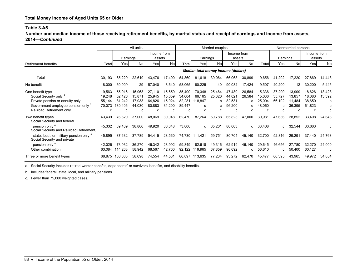**Number and median income of those receiving retirement benefits, by marital status and receipt of earnings and income from assets, 2014—***Continued*

|                                                                                                                                                                       | All units                                 |                                            |                                           |                                           |                                           | Married couples                           |                                       |                                 |                                           |                                 | Nonmarried persons                        |                                       |                                           |                                           |                                 |
|-----------------------------------------------------------------------------------------------------------------------------------------------------------------------|-------------------------------------------|--------------------------------------------|-------------------------------------------|-------------------------------------------|-------------------------------------------|-------------------------------------------|---------------------------------------|---------------------------------|-------------------------------------------|---------------------------------|-------------------------------------------|---------------------------------------|-------------------------------------------|-------------------------------------------|---------------------------------|
|                                                                                                                                                                       |                                           | Earnings                                   |                                           | Income from<br>assets                     |                                           |                                           | Earnings                              |                                 | Income from<br>assets                     |                                 |                                           | Earnings                              |                                           | Income from<br>assets                     |                                 |
| <b>Retirement benefits</b>                                                                                                                                            | Total                                     | Yesl                                       | <b>No</b>                                 | Yesl                                      | Nol                                       | Total                                     | Yesl                                  | No                              | Yesl                                      | Nol                             | Total                                     | Yes                                   | No                                        | Yesl                                      | No                              |
|                                                                                                                                                                       |                                           |                                            |                                           |                                           |                                           |                                           | Median total money income (dollars)   |                                 |                                           |                                 |                                           |                                       |                                           |                                           |                                 |
| Total                                                                                                                                                                 | 30,193                                    | 65,229                                     | 22,619                                    | 43,476                                    | 17,400                                    | 54,860                                    | 81,618                                | 39,064                          | 66,068                                    | 30,899                          | 19,656                                    | 41,202                                | 17,220                                    | 27,869                                    | 14,448                          |
| No benefit                                                                                                                                                            | 18,000                                    | 60,009                                     | 29                                        | 57,040                                    | 8,640                                     | 58,065                                    | 80,225                                | 40                              | 90,084                                    | 17,424                          | 9,507                                     | 40,200                                | $12 \,$                                   | 30,200                                    | 5,445                           |
| One benefit type<br>Social Security only <sup>a</sup><br>Private pension or annuity only<br>Government employee pension only <sup>b</sup><br>Railroad Retirement only | 19,563<br>19,248<br>55,144<br>70,073<br>c | 55,016<br>52.426<br>81.242<br>130,406<br>C | 15,963<br>15,871<br>17,933<br>44,030<br>C | 27,110<br>25,945<br>64,826<br>80,883<br>c | 15,659<br>15,659<br>15,024<br>31,200<br>C | 35,400<br>34,604<br>82,281<br>89,447<br>C | 70,348<br>66,165<br>118.847<br>c<br>C | 25,464<br>25,320<br>C<br>C<br>C | 47,489<br>44,021<br>82,531<br>96,200<br>c | 26,584<br>26,584<br>C<br>C<br>C | 15,336<br>15,036<br>25,004<br>48,060<br>C | 37,200<br>35,727<br>66,102<br>C.<br>C | 13,909<br>13,857<br>11.484<br>36,395<br>C | 18,626<br>18,083<br>38,650<br>61,823<br>c | 13,428<br>13,392<br>c<br>c<br>C |
| Two benefit types<br>Social Security and federal                                                                                                                      | 43,439                                    | 76,620                                     | 37.000                                    | 48,069                                    | 30,048                                    | 62,470                                    | 87,264                                | 50,788                          | 65,823                                    | 47,000                          | 30,981                                    | 47,636                                | 28,852                                    | 33,408                                    | 24,648                          |
| pension only <sup>a</sup><br>Social Security and Railroad Retirement,                                                                                                 | 45,332                                    | 89.409                                     | 38,806                                    | 49,920                                    | 36,648                                    | 73,800                                    | C.                                    | 65,201                          | 80,003                                    | C                               | 33,408                                    | $\mathbf{c}$                          | 32.544                                    | 33,663                                    | C                               |
| state, local, or military pension only <sup>a</sup><br>Social Security and private                                                                                    | 45,895                                    | 87,632                                     | 37.789                                    | 54,415                                    | 28,560                                    |                                           | 74,730 111,421                        | 59,751                          | 80,704                                    | 45,140                          | 32,700                                    | 52,816                                | 29.291                                    | 37,440                                    | 24,768                          |
| pension only <sup>a</sup><br>Other combination                                                                                                                        | 42,026<br>63,084                          | 73.932<br>114,203                          | 36,270<br>58,942                          | 46,342<br>68,567                          | 28,992<br>42,700                          | 59,849<br>92,122                          | 82,618<br>119,965                     | 49,316<br>67,859                | 62,919<br>96,692                          | 46,140<br>C                     | 29,645<br>56,610                          | 46,656<br>c                           | 27,780<br>50,400                          | 32,270<br>60,127                          | 24,000<br>c                     |
| Three or more benefit types                                                                                                                                           | 68,875                                    | 108,663                                    | 58,698                                    | 74,554                                    | 44,531                                    |                                           | 86,897 113,635                        | 77,234                          | 93,272                                    | 62,470                          | 45,477                                    | 66,395                                | 43,965                                    | 49,972                                    | 34,884                          |

a. Social Security includes retired-worker benefits, dependents' or survivors' benefits, and disability benefits.

b. Includes federal, state, local, and military pensions.

c. Fewer than 75,000 weighted cases.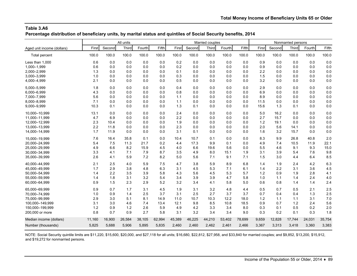**Percentage distribution of beneficiary units, by marital status and quintiles of Social Security benefits, 2014**

|                            | All units |        |        |        |        | Married couples |        |        |        |        | Nonmarried persons |        |              |        |        |
|----------------------------|-----------|--------|--------|--------|--------|-----------------|--------|--------|--------|--------|--------------------|--------|--------------|--------|--------|
| Aged unit income (dollars) | First     | Second | Third  | Fourth | Fifth  | First           | Second | Third  | Fourth | Fifth  | First              | Second | <b>Third</b> | Fourth | Fifth  |
| Total percent              | 100.0     | 100.0  | 100.0  | 100.0  | 100.0  | 100.0           | 100.0  | 100.0  | 100.0  | 100.0  | 100.0              | 100.0  | 100.0        | 100.0  | 100.0  |
| Less than 1.000            | 0.6       | 0.0    | 0.0    | 0.0    | 0.0    | 0.2             | 0.0    | 0.0    | 0.0    | 0.0    | 0.9                | 0.0    | 0.0          | 0.0    | 0.0    |
| 1,000-1,999                | 0.6       | 0.0    | 0.0    | 0.0    | 0.0    | 0.2             | 0.0    | 0.0    | 0.0    | 0.0    | 0.9                | 0.0    | 0.0          | 0.0    | 0.0    |
| 2,000-2,999                | 1.3       | 0.0    | 0.0    | 0.0    | 0.0    | 0.1             | 0.0    | 0.0    | 0.0    | 0.0    | 2.2                | 0.0    | 0.0          | 0.0    | 0.0    |
| 3,000-3,999                | 1.0       | 0.0    | 0.0    | 0.0    | 0.0    | 0.3             | 0.0    | 0.0    | 0.0    | 0.0    | 1.5                | 0.0    | 0.0          | 0.0    | 0.0    |
| 4,000-4,999                | 2.1       | 0.0    | 0.0    | 0.0    | 0.0    | 0.5             | 0.0    | 0.0    | 0.0    | 0.0    | 3.2                | 0.0    | 0.0          | 0.0    | 0.0    |
| 5,000-5,999                | 1.8       | 0.0    | 0.0    | 0.0    | 0.0    | 0.4             | 0.0    | 0.0    | 0.0    | 0.0    | 2.9                | 0.0    | 0.0          | 0.0    | 0.0    |
| 6,000-6,999                | 4.3       | 0.0    | 0.0    | 0.0    | 0.0    | 0.8             | 0.0    | 0.0    | 0.0    | 0.0    | 6.9                | 0.0    | 0.0          | 0.0    | 0.0    |
| 7,000-7,999                | 5.6       | 0.0    | 0.0    | 0.0    | 0.0    | 1.1             | 0.0    | 0.0    | 0.0    | 0.0    | 8.9                | 0.0    | 0.0          | 0.0    | 0.0    |
| 8,000-8,999                | 7.1       | 0.0    | 0.0    | 0.0    | 0.0    | 1.1             | 0.0    | 0.0    | 0.0    | 0.0    | 11.5               | 0.0    | 0.0          | 0.0    | 0.0    |
| 9,000-9,999                | 10.3      | 0.1    | 0.0    | 0.0    | 0.0    | 1.3             | 0.1    | 0.0    | 0.0    | 0.0    | 15.6               | 1.3    | 0.1          | 0.0    | 0.0    |
| 10.000-10.999              | 13.1      | 0.0    | 0.0    | 0.0    | 0.0    | 2.4             | 0.0    | 0.0    | 0.0    | 0.0    | 5.0                | 16.2   | 0.0          | 0.0    | 0.0    |
| 11,000-11,999              | 4.7       | 6.9    | 0.0    | 0.0    | 0.0    | 2.2             | 0.0    | 0.0    | 0.0    | 0.0    | 2.7                | 15.7   | 0.0          | 0.0    | 0.0    |
| 12,000-12,999              | 2.3       | 10.4   | 0.0    | 0.0    | 0.0    | 1.9             | 0.0    | 0.0    | 0.0    | 0.0    | 1.2                | 19.1   | 0.0          | 0.0    | 0.0    |
| 13,000-13,999              | 2.2       | 11.8   | 0.0    | 0.0    | 0.0    | 2.3             | 0.0    | 0.0    | 0.0    | 0.0    | 2.0                | 5.6    | 14.1         | 0.0    | 0.0    |
| 14,000-14,999              | 1.7       | 11.9   | 0.0    | 0.0    | 0.0    | 3.1             | 0.1    | 0.0    | 0.0    | 0.0    | 1.6                | 3.2    | 15.7         | 0.0    | 0.0    |
| 15,000-19,999              | 7.6       | 16.4   | 35.8   | 0.1    | 0.0    | 10.4            | 10.7   | 0.1    | 0.0    | 0.0    | 8.3                | 9.9    | 26.8         | 40.8   | 2.0    |
| 20,000-24,999              | 5.4       | 7.5    | 11.3   | 21.7   | 0.2    | 4.4             | 17.3   | 9.9    | 0.1    | 0.0    | 4.9                | 7.4    | 10.5         | 11.9   | 22.1   |
| 25,000-29,999              | 4.9       | 6.6    | 8.2    | 15.9   | 4.5    | 4.0             | 6.6    | 19.6   | 5.6    | 0.0    | 5.5                | 4.6    | 9.1          | 9.3    | 15.0   |
| 30,000-34,999              | 3.3       | 4.1    | 7.1    | 7.9    | 8.7    | 3.5             | 4.9    | 8.0    | 15.1   | 1.9    | 3.1                | 3.9    | 5.4          | 7.6    | 9.8    |
| 35,000-39,999              | 2.6       | 4.1    | 5.9    | 7.2    | 8.2    | 5.0             | 5.6    | 7.1    | 9.1    | 7.1    | 1.5                | 3.0    | 4.4          | 6.4    | 8.5    |
| 40.000-44.999              | 2.1       | 2.5    | 4.0    | 5.9    | 7.5    | 4.7             | 3.8    | 5.9    | 8.9    | 6.8    | 1.4                | 1.9    | 2.4          | 4.2    | 6.3    |
| 45.000-49.999              | 1.7       | 2.9    | 3.8    | 4.8    | 6.3    | 3.1             | 4.5    | 5.3    | 7.1    | 6.1    | 1.4                | 2.2    | 3.1          | 3.6    | 4.5    |
| 50,000-54,999              | 1.4       | 2.2    | 3.5    | 3.9    | 5.8    | 4.3             | 5.6    | 4.5    | 5.3    | 5.7    | 1.2                | 0.9    | 1.9          | 2.8    | 4.1    |
| 55,000-59,999              | 1.4       | 1.8    | 3.1    | 3.2    | 5.4    | 3.4             | 3.9    | 3.9    | 4.7    | 5.8    | 1.0                | 1.1    | 1.4          | 2.4    | 4.0    |
| 60,000-64,999              | 0.9       | 1.5    | 2.3    | 2.9    | 5.2    | 3.2             | 3.4    | 4.1    | 5.8    | 5.0    | 0.6                | 0.8    | 1.4          | 1.4    | 2.4    |
| 65,000-69,999              | 0.9       | 0.7    | 1.7    | 3.1    | 4.5    | 1.9             | 3.1    | 3.2    | 4.8    | 4.4    | 0.5                | 0.7    | 0.5          | 2.1    | 2.5    |
| 70,000-74,999              | 1.0       | 0.9    | 1.4    | 2.5    | 3.7    | 3.1             | 2.5    | 2.7    | 3.7    | 3.7    | 0.7                | 0.4    | 0.4          | 1.3    | 2.5    |
| 75,000-99,999              | 2.9       | 3.0    | 5.1    | 8.1    | 14.9   | 11.0            | 10.7   | 10.3   | 12.2   | 18.0   | 1.2                | 1.1    | 1.1          | 3.1    | 7.0    |
| 100.000-149.999            | 3.1       | 3.0    | 4.6    | 7.4    | 13.4   | 12.1            | 9.8    | 8.5    | 10.8   | 18.5   | 0.9                | 0.7    | 1.2          | 2.4    | 5.6    |
| 150.000-199.999            | 1.2       | 0.9    | 1.2    | 2.6    | 5.9    | 4.9             | 4.2    | 3.3    | 3.4    | 8.0    | 0.3                | 0.1    | 0.5          | 0.2    | 2.0    |
| 200,000 or more            | 0.8       | 0.7    | 0.9    | 2.7    | 5.8    | 3.1             | 3.2    | 3.4    | 3.4    | 9.0    | 0.3                | 0.2    | 0.1          | 0.3    | 1.8    |
| Median income (dollars)    | 11,160    | 16,900 | 26,584 | 38,105 | 62,994 | 45,389          | 46,225 | 44,210 | 53,402 | 78,699 | 9,659              | 12,828 | 17,744       | 24,031 | 35,754 |
| Number (thousands)         | 5,825     | 5,688  | 5,906  | 5,895  | 5,835  | 2,460           | 2,460  | 2,462  | 2,461  | 2,466  | 3,367              | 3,313  | 3,418        | 3,360  | 3,383  |

NOTE: Social Security quintile limits are \$11,220, \$15,600, \$20,000, and \$27,118 for all units; \$16,680, \$22,812, \$27,958, and \$33,840 for married couples; and \$9,852, \$13,200, \$15,912, and \$19,272 for nonmarried persons.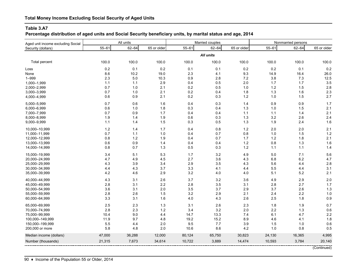**Percentage distribution of aged units and Social Security beneficiary units, by marital status and age, 2014**

| Aged unit income excluding Social | All units |           |             |           | Married couples |             | Nonmarried persons |           |             |  |
|-----------------------------------|-----------|-----------|-------------|-----------|-----------------|-------------|--------------------|-----------|-------------|--|
| Security (dollars)                | $55 - 61$ | $62 - 64$ | 65 or older | $55 - 61$ | $62 - 64$       | 65 or older | $55 - 61$          | $62 - 64$ | 65 or older |  |
|                                   |           |           |             |           | All units       |             |                    |           |             |  |
| Total percent                     | 100.0     | 100.0     | 100.0       | 100.0     | 100.0           | 100.0       | 100.0              | 100.0     | 100.0       |  |
| Loss                              | $0.2\,$   | 0.1       | 0.2         | 0.1       | 0.1             | 0.2         | 0.2                | 0.1       | 0.2         |  |
| None                              | 8.6       | 10.2      | 19.0        | 2.3       | 4.1             | 9.3         | 14.9               | 16.4      | 26.0        |  |
| $1 - 999$                         | 2.3       | 5.0       | 10.3        | 0.9       | 2.8             | 7.2         | $3.8\,$            | 7.3       | 12.5        |  |
| 1,000-1,999                       | 1.1       | 1.1       | 2.9         | 0.4       | 0.5             | 2.0         | 1.7                | 1.7       | 3.5         |  |
| 2,000-2,999                       | 0.7       | 1.0       | 2.1         | 0.2       | 0.5             | 1.0         | $1.2$              | 1.5       | 2.8         |  |
| 3,000-3,999                       | 0.7       | 1.0       | 2.1         | 0.2       | 0.4             | 1.8         | 1.3                | 1.6       | 2.3         |  |
| 4,000-4,999                       | 0.6       | 0.9       | 2.1         | 0.2       | 0.3             | 1.2         | 1.0                | 1.5       | 2.7         |  |
| 5,000-5,999                       | 0.7       | 0.6       | 1.6         | 0.4       | 0.3             | 1.4         | 0.9                | 0.9       | 1.7         |  |
| 6,000-6,999                       | 0.6       | 1.0       | 1.8         | 0.3       | 0.4             | 1.3         | 1.0                | 1.5       | 2.1         |  |
| 7,000-7,999                       | 0.7       | 0.9       | 1.7         | 0.4       | 0.4             | 1.1         | 1.1                | 1.4       | 2.1         |  |
| 8,000-8,999                       | 1.9       | 1.4       | 1.9         | 0.6       | 0.3             | 1.3         | $3.2\,$            | 2.6       | 2.4         |  |
| 9,000-9,999                       | 1.1       | 1.4       | 1.5         | 0.3       | 0.5             | 1.3         | 1.9                | 2.4       | 1.6         |  |
| 10,000-10,999                     | 1.2       | 1.4       | 1.7         | 0.4       | 0.8             | $1.2$       | 2.0                | 2.0       | 2.1         |  |
| 11,000-11,999                     | 0.7       | 1.1       | 1.0         | 0.4       | 0.7             | 0.8         | 1.0                | 1.5       | 1.2         |  |
| 12,000-12,999                     | 0.8       | $1.2$     | 1.9         | 0.4       | 0.7             | 1.7         | $1.2$              | 1.8       | 2.1         |  |
| 13,000-13,999                     | 0.6       | 0.9       | 1.4         | 0.4       | 0.4             | $1.2$       | 0.8                | 1.3       | 1.6         |  |
| 14,000-14,999                     | 0.8       | 0.7       | 1.3         | 0.5       | 0.3             | 1.2         | 1.1                | 1.1       | 1.4         |  |
| 15,000-19,999                     | 3.4       | 5.1       | 5.3         | 1.7       | 3.2             | 4.9         | 5.0                | 7.1       | 5.6         |  |
| 20,000-24,999                     | 4.7       | 4.9       | 4.5         | 2.7       | 3.6             | 4.3         | $6.8\,$            | 6.2       | 4.7         |  |
| 25,000-29,999                     | 4.3       | 3.9       | 3.4         | 2.9       | 3.5             | 4.3         | 5.6                | 4.4       | 2.8         |  |
| 30,000-34,999                     | 4.4       | 4.3       | 3.7         | 3.3       | 4.1             | 4.4         | 5.5                | 4.4       | 3.1         |  |
| 35,000-39,999                     | 4.2       | 4.6       | 2.9         | 3.2       | 4.0             | 4.0         | 5.1                | $5.2\,$   | 2.1         |  |
| 40,000-44,999                     | 4.3       | 3.1       | 2.6         | 3.7       | 3.2             | 3.6         | 4.9                | 2.9       | 2.0         |  |
| 45,000-49,999                     | 2.8       | 3.1       | $2.2\,$     | 2.8       | 3.5             | 3.1         | 2.8                | 2.7       | 1.7         |  |
| 50,000-54,999                     | 3.6       | 3.1       | 2.0         | 3.5       | 3.7             | 2.9         | 3.7                | 2.6       | 1.3         |  |
| 55,000-59,999                     | 2.8       | 2.6       | 1.5         | 3.2       | 2.9             | 2.1         | 2.4                | $2.2\,$   | 1.0         |  |
| 60,000-64,999                     | 3.3       | 3.1       | 1.6         | 4.0       | 4.3             | 2.6         | 2.5                | 1.8       | 0.9         |  |
| 65,000-69,999                     | 2.5       | 2.3       | 1.3         | 3.1       | 2.6             | 2.3         | 1.8                | 1.9       | 0.7         |  |
| 70,000-74,999                     | 2.8       | 2.3       | $1.2$       | 3.4       | 3.2             | 2.0         | 2.2                | 1.3       | 0.6         |  |
| 75,000-99,999                     | 10.4      | 9.0       | 4.4         | 14.7      | 13.3            | 7.4         | 6.1                | 4.7       | 2.2         |  |
| 100,000-149,999                   | 11.9      | 9.7       | 4.8         | 19.2      | 15.2            | 8.9         | 4.6                | 4.1       | 1.8         |  |
| 150,000-199,999                   | 5.5       | 4.4       | 2.0         | 9.5       | 7.7             | 3.9         | 1.5                | 1.0       | 0.6         |  |
| 200,000 or more                   | 5.8       | 4.8       | 2.0         | 10.6      | 8.6             | 4.2         | 1.0                | 0.8       | 0.5         |  |
| Median income (dollars)           | 47,000    | 36,288    | 12,000      | 80,124    | 65,750          | 30,823      | 24,130             | 16,365    | 4,995       |  |
| Number (thousands)                | 21,315    | 7,673     | 34,614      | 10,722    | 3,889           | 14,474      | 10,593             | 3,784     | 20,140      |  |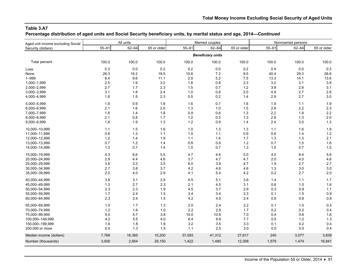**Percentage distribution of aged units and Social Security beneficiary units, by marital status and age, 2014—***Continued*

| Aged unit income excluding Social | All units |           |             |           | Married couples          |             | Nonmarried persons |           |             |  |
|-----------------------------------|-----------|-----------|-------------|-----------|--------------------------|-------------|--------------------|-----------|-------------|--|
| Security (dollars)                | $55 - 61$ | $62 - 64$ | 65 or older | $55 - 61$ | $62 - 64$                | 65 or older | $55 - 61$          | $62 - 64$ | 65 or older |  |
|                                   |           |           |             |           | <b>Beneficiary units</b> |             |                    |           |             |  |
| Total percent                     | 100.0     | 100.0     | 100.0       | 100.0     | 100.0                    | 100.0       | 100.0              | 100.0     | 100.0       |  |
| Loss                              | 0.3       | 0.0       | 0.2         | 0.2       | 0.0                      | 0.2         | 0.4                | 0.0       | 0.3         |  |
| None                              | 26.3      | 18.2      | 19.5        | 10.6      | 7.2                      | 9.5         | 40.4               | 29.3      | 26.8        |  |
| $1 - 999$                         | 8.4       | 9.6       | 11.1        | 2.9       | 5.2                      | 7.5         | 13.3               | 14.1      | 13.6        |  |
| 1,000-1,999                       | 2.5       | 1.9       | 3.2         | 1.8       | 0.8                      | $2.3\,$     | 3.2                | 3.1       | 3.8         |  |
| 2,000-2,999                       | 2.7       | 1.7       | 2.3         | 1.5       | 0.7                      | $1.2$       | 3.9                | 2.8       | 3.1         |  |
| 3,000-3,999                       | 3.1       | 1.8       | 2.4         | 1.0       | 0.8                      | 2.0         | 4.9                | 2.7       | 2.6         |  |
| 4,000-4,999                       | 1.8       | 1.5       | 2.3         | 0.5       | 0.2                      | 1.4         | 2.9                | 2.7       | 3.0         |  |
| 5,000-5,999                       | 1.8       | 0.9       | 1.8         | 1.6       | 0.7                      | 1.6         | 1.9                | 1.1       | 1.9         |  |
| 6,000-6,999                       | 2.1       | 1.6       | 2.0         | 1.3       | 1.0                      | 1.5         | 2.8                | 2.2       | 2.3         |  |
| 7,000-7,999                       | 1.6       | 1.4       | 1.8         | 0.9       | 0.8                      | 1.3         | 2.2                | 1.9       | 2.2         |  |
| 8,000-8,999                       | 2.1       | 0.8       | 1.7         | 1.2       | 0.3                      | 1.3         | 2.8                | 1.3       | 2.0         |  |
| 9,000-9,999                       | 1.8       | 1.9       | 1.3         | 1.2       | 0.9                      | 1.4         | 2.4                | 3.0       | 1.3         |  |
| 10,000-10,999                     | 1.1       | 1.5       | 1.6         | 1.0       | 1.3                      | 1.3         | 1.1                | 1.6       | 1.9         |  |
| 11,000-11,999                     | 0.8       | 1.3       | 1.1         | 1.0       | 1.1                      | 0.9         | 0.6                | 1.4       | 1.2         |  |
| 12,000-12,999                     | $1.2$     | 1.4       | 1.9         | 1.1       | 1.4                      | 1.7         | 1.3                | 1.3       | 2.1         |  |
| 13,000-13,999                     | 0.7       | 1.2       | 1.4         | 0.8       | 0.9                      | $1.2$       | 0.7                | 1.5       | 1.6         |  |
| 14,000-14,999                     | 1.3       | 0.7       | 1.4         | 1.0       | 0.7                      | 1.3         | 1.5                | 0.7       | 1.5         |  |
| 15,000-19,999                     | 4.3       | 6.6       | 5.5         | 4.7       | 4.8                      | $5.0\,$     | 4.0                | 8.4       | 5.9         |  |
| 20,000-24,999                     | 2.8       | 4.4       | 4.6         | 3.7       | 4.7                      | 4.7         | 2.0                | 4.0       | 4.6         |  |
| 25,000-29,999                     | 3.8       | 3.3       | 3.5         | 6.0       | 3.9                      | 4.7         | 1.9                | 2.7       | 2.7         |  |
| 30,000-34,999                     | 2.7       | 3.8       | 3.7         | 4.2       | 4.6                      | 4.6         | 1.3                | 3.0       | 3.0         |  |
| 35,000-39,999                     | 2.0       | 4.0       | 2.9         | 4.1       | 5.4                      | 4.2         | 0.2                | 2.7       | 2.0         |  |
| 40,000-44,999                     | 3.8       | 3.1       | 2.5         | 6.5       | 5.1                      | 3.6         | 1.4                | 1.1       | 1.7         |  |
| 45,000-49,999                     | 1.3       | 2.7       | 2.3         | 2.1       | 4.5                      | 3.1         | 0.6                | 1.0       | 1.6         |  |
| 50,000-54,999                     | 2.3       | 2.3       | 1.9         | 4.5       | 3.7                      | 2.9         | 0.3                | 0.9       | 1.1         |  |
| 55,000-59,999                     | 1.7       | 2.4       | 1.5         | 3.4       | 3.4                      | 2.3         | 0.1                | 1.5       | 0.9         |  |
| 60,000-64,999                     | 2.3       | 2.4       | 1.5         | $4.2\,$   | 4.0                      | 2.4         | 0.6                | 0.8       | 0.8         |  |
| 65.000-69.999                     | 1.0       | 1.7       | 1.3         | 2.0       | 2.4                      | 2.2         | 0.1                | 1.0       | 0.5         |  |
| 70,000-74,999                     | 1.2       | 1.6       | 1.0         | 2.2       | 2.9                      | 1.7         | 0.2                | 0.2       | 0.4         |  |
| 75,000-99,999                     | 5.0       | 5.7       | 3.8         | 10.0      | 10.8                     | 7.0         | 0.4                | 0.6       | 1.6         |  |
| 100,000-149,999                   | 4.2       | 5.5       | $4.0\,$     | 8.4       | 9.9                      | 7.7         | 0.5                | 1.2       | 1.3         |  |
| 150,000-199,999                   | 1.6       | 1.8       | 1.6         | 3.2       | 3.5                      | 3.3         | 0.1                | 0.2       | 0.4         |  |
| 200,000 or more                   | 0.5       | 1.3       | 1.5         | 1.1       | 2.5                      | 3.0         | 0.0                | $0.0\,$   | 0.4         |  |
| Median income (dollars)           | 7,766     | 16,365    | 10,200      | 37,093    | 41,312                   | 27,617      | 240                | 3,077     | 3,839       |  |
| Number (thousands)                | 3,000     | 2,954     | 29,150      | 1,422     | 1,480                    | 12,308      | 1,579              | 1,474     | 16,841      |  |
|                                   |           |           |             |           |                          |             |                    |           |             |  |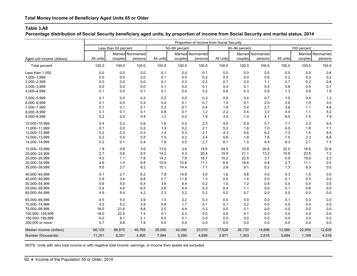**Percentage distribution of Social Security beneficiary aged units, by proportion of income from Social Security and marital status, 2014**

|                            | Proportion of income from Social Security |                      |                    |           |               |                    |           |               |                    |           |             |                    |
|----------------------------|-------------------------------------------|----------------------|--------------------|-----------|---------------|--------------------|-----------|---------------|--------------------|-----------|-------------|--------------------|
|                            |                                           | Less than 50 percent |                    |           | 50-89 percent |                    |           | 90-99 percent |                    |           | 100 percent |                    |
|                            |                                           |                      | Married Nonmarried |           |               | Married Nonmarried |           |               | Married Nonmarried |           |             | Married Nonmarried |
| Aged unit income (dollars) | All units                                 | couples              | persons            | All units | couples       | persons            | All units | couples       | persons            | All units | couples     | persons            |
| Total percent              | 100.0                                     | 100.0                | 100.0              | 100.0     | 100.0         | 100.0              | 100.0     | 100.0         | 100.0              | 100.0     | 100.0       | 100.0              |
| Less than 1.000            | 0.0                                       | 0.0                  | 0.0                | 0.1       | 0.0           | 0.1                | 0.0       | 0.0           | 0.0                | 0.5       | 0.0         | 0.6                |
| 1,000-1,999                | 0.0                                       | 0.0                  | 0.0                | 0.1       | 0.0           | 0.2                | 0.4       | 0.0           | 0.6                | 0.2       | 0.3         | 0.2                |
| 2,000-2,999                | 0.0                                       | 0.0                  | 0.0                | 0.1       | 0.0           | 0.2                | 0.7       | 0.0           | 1.1                | 0.7       | 0.2         | 0.8                |
| 3,000-3,999                | 0.0                                       | 0.0                  | 0.0                | 0.1       | 0.0           | 0.1                | 0.4       | 0.1           | 0.5                | 0.6       | 0.4         | 0.7                |
| 4,000-4,999                | 0.1                                       | 0.0                  | 0.1                | 0.1       | 0.0           | 0.2                | 0.6       | 0.3           | 0.8                | 1.3       | 0.8         | 1.5                |
| 5,000-5,999                | 0.1                                       | 0.0                  | 0.2                | 0.2       | 0.0           | 0.3                | 0.6       | 0.4           | 0.7                | 1.0       | 0.4         | 1.2                |
| 6,000-6,999                | 0.1                                       | 0.0                  | 0.2                | 0.4       | 0.1           | 0.7                | 1.4       | 0.1           | 2.0                | 2.6       | 1.0         | 3.0                |
| 7,000-7,999                | 0.1                                       | 0.1                  | 0.1                | 0.3       | 0.1           | 0.4                | 1.9       | 0.4           | 2.7                | 3.8       | 1.1         | 4.6                |
| 8,000-8,999                | 0.1                                       | 0.1                  | 0.1                | 0.8       | 0.1           | 1.2                | 2.2       | 0.4           | 3.2                | 4.4       | 1.1         | 5.2                |
| 9,000-9,999                | 0.2                                       | 0.0                  | 0.4                | 1.2       | 0.2           | 1.9                | 3.0       | 1.0           | 4.1                | 6.5       | 1.0         | 7.9                |
| 10,000-10,999              | 0.4                                       | 0.2                  | 0.6                | 1.6       | 0.2           | 2.5                | 4.0       | 0.9           | 5.7                | 7.7       | 2.3         | 9.0                |
| 11,000-11,999              | 0.1                                       | 0.0                  | 0.2                | 1.3       | 0.2           | 2.1                | 5.2       | 1.6           | 7.0                | 6.0       | 1.8         | 7.1                |
| 12,000-12,999              | 0.2                                       | 0.2                  | 0.3                | 1.4       | 0.3           | 2.1                | 4.3       | 0.6           | 6.2                | 7.3       | 1.5         | 8.8                |
| 13,000-13,999              | 0.2                                       | 0.0                  | 0.5                | 1.5       | 0.2           | 2.4                | 5.6       | 1.8           | 7.6                | 7.5       | 2.3         | 8.8                |
| 14,000-14,999              | 0.2                                       | 0.1                  | 0.4                | 1.8       | 0.5           | 2.7                | 6.1       | 1.5           | 8.4                | 6.3       | 2.7         | 7.3                |
| 15,000-19,999              | 1.9                                       | 0.6                  | 3.6                | 13.0      | 3.6           | 19.6               | 24.0      | 10.8          | 30.8               | 22.0      | 18.6        | 22.8               |
| 20,000-24,999              | 2.7                                       | 0.6                  | 5.5                | 14.2      | 5.3           | 20.4               | 15.9      | 21.1          | 13.2               | 10.6      | 23.8        | 7.2                |
| 25,000-29,999              | 4.0                                       | 1.1                  | 7.8                | 14.2      | 7.8           | 18.7               | 10.2      | 22.6          | 3.7                | 5.9       | 19.9        | 2.3                |
| 30,000-34,999              | 4.6                                       | 1.4                  | 8.8                | 10.9      | 10.6          | 11.1               | 6.8       | 18.6          | 0.8                | 2.7       | 11.1        | 0.5                |
| 35,000-39,999              | 5.5                                       | 2.7                  | 9.2                | 10.1      | 14.4          | 7.1                | 2.9       | 8.1           | 0.2                | 1.3       | 6.3         | 0.0                |
| 40.000-44.999              | 5.1                                       | 2.7                  | 8.2                | 7.8       | 14.6          | 3.0                | 1.6       | 4.8           | 0.0                | 0.3       | 1.5         | 0.0                |
| 45,000-49,999              | 5.8                                       | 3.4                  | 8.8                | 5.7       | 11.9          | 1.3                | 0.5       | 1.4           | 0.0                | 0.1       | 0.5         | 0.0                |
| 50,000-54,999              | 5.6                                       | 5.0                  | 6.4                | 3.6       | 8.4           | 0.2                | 1.0       | 1.2           | 0.8                | 0.4       | 0.4         | 0.5                |
| 55,000-59,999              | 5.4                                       | 4.6                  | 6.5                | 2.8       | 6.4           | 0.3                | 0.4       | 1.1           | 0.0                | 0.1       | 0.6         | 0.0                |
| 60,000-64,999              | 4.9                                       | 5.4                  | 4.2                | 2.3       | 5.2           | 0.2                | 0.2       | 0.7           | 0.0                | 0.0       | 0.0         | 0.0                |
| 65,000-69,999              | 4.5                                       | 5.0                  | 3.9                | 1.5       | 3.2           | 0.3                | 0.0       | 0.0           | 0.0                | 0.1       | 0.3         | 0.0                |
| 70,000-74,999              | 4.5                                       | 5.2                  | 3.5                | 0.8       | 1.7           | 0.1                | 0.1       | 0.2           | 0.0                | 0.0       | 0.0         | 0.0                |
| 75.000-99.999              | 16.0                                      | 21.6                 | 8.8                | 2.0       | 4.4           | 0.3                | 0.0       | 0.1           | 0.0                | 0.0       | 0.0         | 0.0                |
| 100,000-149,999            | 16.0                                      | 22.5                 | 7.4                | 0.1       | 0.3           | 0.0                | 0.0       | 0.1           | 0.0                | 0.0       | 0.0         | 0.0                |
| 150,000-199,999            | 6.0                                       | 9.1                  | 2.1                | 0.0       | 0.1           | 0.0                | 0.0       | 0.0           | 0.0                | 0.0       | 0.0         | 0.0                |
| 200,000 or more            | 5.7                                       | 8.6                  | 1.9                | 0.0       | 0.0           | 0.0                | 0.0       | 0.0           | 0.0                | 0.0       | 0.0         | 0.0                |
| Median income (dollars)    | 68,129                                    | 86,815               | 46,765             | 29,050    | 42,090        | 23,070             | 17,628    | 26,730        | 14,896             | 13,980    | 22,859      | 12,828             |
| Number (thousands)         | 11,251                                    | 6,351                | 4,900              | 7,994     | 3,295         | 4,699              | 3,971     | 1,353         | 2,618              | 5,684     | 1,169       | 4,516              |
|                            |                                           |                      |                    |           |               |                    |           |               |                    |           |             |                    |

NOTE: Units with zero total income or with negative total income, earnings, or income from assets are excluded.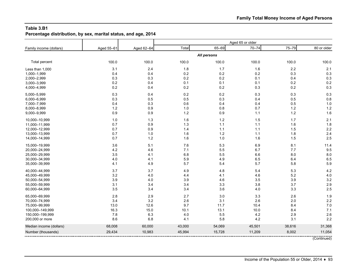**Percentage distribution, by sex, marital status, and age, 2014**

| Family income (dollars) | Aged 55-61 | Aged 62-64 | Total  | 65-69       | $70 - 74$ | 75-79  | 80 or older |
|-------------------------|------------|------------|--------|-------------|-----------|--------|-------------|
|                         |            |            |        | All persons |           |        |             |
| Total percent           | 100.0      | 100.0      | 100.0  | 100.0       | 100.0     | 100.0  | 100.0       |
| Less than 1,000         | 3.1        | 2.4        | 1.8    | 1.7         | 1.6       | 2.2    | 2.1         |
| 1,000-1,999             | 0.4        | 0.4        | 0.2    | 0.2         | 0.2       | 0.3    | 0.3         |
| 2,000-2,999             | 0.3        | 0.3        | 0.2    | 0.2         | 0.1       | 0.4    | 0.3         |
| 3,000-3,999             | 0.2        | 0.4        | 0.1    | 0.1         | 0.1       | 0.2    | 0.2         |
| 4,000-4,999             | 0.2        | 0.4        | 0.2    | 0.2         | 0.3       | 0.2    | 0.3         |
| 5,000-5,999             | 0.3        | 0.4        | 0.2    | 0.2         | 0.3       | 0.3    | 0.3         |
| 6,000-6,999             | 0.3        | 0.5        | 0.5    | 0.3         | 0.4       | 0.5    | 0.8         |
| 7,000-7,999             | 0.4        | 0.3        | 0.6    | 0.4         | 0.4       | 0.5    | 1.0         |
| 8,000-8,999             | 1.2        | 0.9        | 1.0    | 0.8         | 0.7       | $1.2$  | 1.2         |
| 9,000-9,999             | 0.9        | 0.9        | 1.2    | 0.9         | 1.1       | $1.2$  | 1.6         |
| 10,000-10,999           | 1.0        | 1.3        | 1.6    | 1.2         | 1.5       | 1.7    | 2.1         |
| 11,000-11,999           | 0.7        | 0.9        | 1.3    | $1.1$       | $1.1$     | 1.6    | 1.8         |
| 12,000-12,999           | 0.7        | 0.9        | 1.4    | $1.1$       | 1.1       | 1.5    | 2.2         |
| 13,000-13,999           | 0.7        | 1.0        | 1.6    | 1.2         | 1.1       | 1.8    | 2.4         |
| 14,000-14,999           | 0.7        | 1.2        | 1.6    | 1.0         | 1.6       | 1.5    | 2.5         |
| 15,000-19,999           | 3.6        | 5.1        | 7.6    | 5.3         | 6.9       | 8.1    | 11.4        |
| 20,000-24,999           | 4.2        | 4.6        | 7.1    | 5.5         | 6.7       | 7.7    | 9.5         |
| 25,000-29,999           | 3.5        | 4.1        | 6.8    | 5.5         | 6.6       | 8.0    | 8.0         |
| 30,000-34,999           | 4.0        | 4.1        | 5.9    | 4.9         | 6.5       | 6.4    | 6.5         |
| 35,000-39,999           | 4.1        | 4.9        | 5.7    | 5.4         | 5.7       | 5.8    | 5.9         |
| 40,000-44,999           | 3.7        | 3.7        | 4.9    | 4.8         | 5.4       | 5.3    | 4.2         |
| 45,000-49,999           | 3.2        | 4.0        | 4.4    | 4.1         | 4.6       | 5.2    | 4.0         |
| 50,000-54,999           | 3.9        | 4.0        | 3.9    | 4.6         | 3.5       | 3.9    | 3.2         |
| 55,000-59,999           | 3.1        | 3.4        | 3.4    | 3.3         | 3.8       | 3.7    | 2.9         |
| 60,000-64,999           | 3.5        | 3.4        | 3.4    | 3.6         | 4.0       | 3.3    | 2.5         |
| 65,000-69,999           | 2.8        | 2.9        | 2.7    | 3.0         | 3.3       | 2.6    | 1.9         |
| 70,000-74,999           | 3.4        | 3.2        | 2.6    | 3.1         | 2.6       | 2.0    | 2.2         |
| 75,000-99,999           | 13.0       | 12.6       | 9.7    | 11.7        | 10.4      | 8.4    | 7.0         |
| 100,000-149,999         | 16.3       | 15.0       | 10.1   | 13.1        | 10.0      | 8.4    | 7.1         |
| 150,000-199,999         | 7.8        | 6.3        | 4.0    | 5.5         | 4.2       | 2.9    | 2.6         |
| 200,000 or more         | 8.6        | 6.8        | 4.1    | 5.8         | 4.2       | 3.1    | 2.2         |
| Median income (dollars) | 68,008     | 60,000     | 43,000 | 54,069      | 45,501    | 38,616 | 31,368      |
| Number (thousands)      | 29,434     | 10,983     | 45,994 | 15,728      | 11,209    | 8,002  | 11,054      |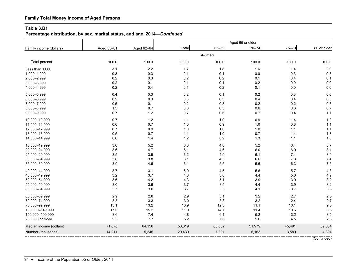# **Family Total Money Income of Aged Persons**

#### **Table 3.B1**

# **Percentage distribution, by sex, marital status, and age, 2014—***Continued*

|                         |            |            |        |         | Aged 65 or older |        |             |  |  |
|-------------------------|------------|------------|--------|---------|------------------|--------|-------------|--|--|
| Family income (dollars) | Aged 55-61 | Aged 62-64 | Total  | 65-69   | $70 - 74$        | 75-79  | 80 or older |  |  |
|                         |            |            |        | All men |                  |        |             |  |  |
| Total percent           | 100.0      | 100.0      | 100.0  | 100.0   | 100.0            | 100.0  | 100.0       |  |  |
| Less than 1,000         | 3.1        | 2.2        | 1.7    | 1.8     | 1.6              | 1.4    | 2.0         |  |  |
| 1,000-1,999             | 0.3        | $0.3\,$    | 0.1    | 0.1     | 0.0              | 0.3    | 0.3         |  |  |
| 2,000-2,999             | 0.2        | 0.3        | 0.2    | 0.2     | 0.1              | 0.4    | 0.1         |  |  |
| 3,000-3,999             | 0.2        | 0.1        | 0.1    | 0.1     | $0.2\,$          | 0.0    | 0.0         |  |  |
| 4,000-4,999             | 0.2        | 0.4        | 0.1    | 0.2     | 0.1              | 0.0    | 0.0         |  |  |
| 5,000-5,999             | 0.4        | 0.3        | 0.2    | 0.1     | 0.2              | 0.3    | 0.0         |  |  |
| 6,000-6,999             | 0.2        | 0.3        | 0.3    | 0.3     | 0.4              | 0.4    | 0.3         |  |  |
| 7,000-7,999             | 0.5        | 0.1        | 0.2    | 0.3     | 0.2              | 0.2    | 0.3         |  |  |
| 8,000-8,999             | 1.3        | 0.7        | 0.6    | 0.5     | 0.6              | 0.6    | 0.7         |  |  |
| 9,000-9,999             | 0.7        | 1.2        | 0.7    | 0.6     | 0.7              | 0.4    | 1.1         |  |  |
| 10,000-10,999           | 0.7        | $1.2$      | 1.1    | $1.0$   | 0.9              | 1.4    | 1.2         |  |  |
| 11,000-11,999           | 0.6        | 0.7        | 1.0    | 0.9     | 1.0              | 0.8    | 1.1         |  |  |
| 12,000-12,999           | 0.7        | 0.9        | 1.0    | 1.0     | 1.0              | 1.1    | 1.1         |  |  |
| 13,000-13,999           | 0.5        | 0.7        | 1.1    | 1.0     | 0.7              | 1.4    | 1.7         |  |  |
| 14,000-14,999           | 0.6        | 1.4        | $1.2$  | 0.9     | 1.3              | 1.1    | 1.6         |  |  |
| 15,000-19,999           | 3.6        | 5.2        | 6.0    | 4.8     | 5.2              | 6.4    | 8.7         |  |  |
| 20,000-24,999           | 3.6        | 4.7        | 6.1    | 4.6     | $6.0\,$          | 6.9    | 8.1         |  |  |
| 25,000-29,999           | 3.5        | 3.5        | 6.2    | 4.9     | 6.1              | 7.1    | 8.0         |  |  |
| 30,000-34,999           | 3.6        | 3.8        | 6.1    | 4.5     | 6.6              | 7.3    | 7.4         |  |  |
| 35,000-39,999           | 3.9        | 4.6        | 6.1    | 5.5     | 5.6              | 6.3    | 7.5         |  |  |
| 40,000-44,999           | 3.7        | 3.1        | 5.0    | 4.5     | 5.6              | 5.7    | 4.8         |  |  |
| 45,000-49,999           | 3.2        | 3.7        | 4.3    | 3.6     | 4.4              | 5.6    | 4.2         |  |  |
| 50,000-54,999           | 3.6        | 4.2        | 4.3    | 5.1     | 3.9              | 3.9    | 3.9         |  |  |
| 55,000-59,999           | 3.0        | 3.6        | 3.7    | 3.5     | 4.4              | 3.9    | 3.2         |  |  |
| 60,000-64,999           | 3.7        | 3.0        | 3.7    | 3.5     | 4.1              | 3.7    | 3.3         |  |  |
| 65,000-69,999           | 2.9        | 2.8        | 2.9    | 3.1     | 3.2              | 2.7    | 2.5         |  |  |
| 70,000-74,999           | 3.3        | 3.3        | 3.0    | 3.3     | 3.2              | 2.4    | 2.7         |  |  |
| 75,000-99,999           | 13.1       | 13.2       | 10.9   | 12.3    | 11.1             | 10.1   | 9.0         |  |  |
| 100,000-149,999         | 17.0       | 15.2       | 11.9   | 14.7    | 11.4             | 10.6   | 8.8         |  |  |
| 150,000-199,999         | 8.6        | 7.4        | 4.8    | 6.1     | 5.2              | 3.2    | 3.5         |  |  |
| 200,000 or more         | 9.3        | 7.7        | 5.2    | 7.0     | 5.0              | 4.5    | 2.8         |  |  |
| Median income (dollars) | 71,676     | 64,158     | 50,319 | 60,082  | 51,979           | 45,491 | 39,064      |  |  |
| Number (thousands)      | 14,211     | 5,245      | 20,439 | 7,391   | 5,163            | 3,580  | 4,304       |  |  |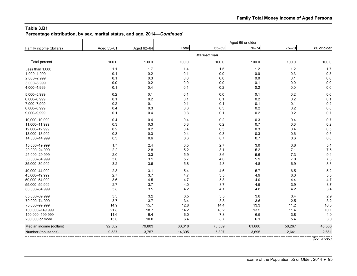**Percentage distribution, by sex, marital status, and age, 2014—***Continued*

| Family income (dollars) | Aged 55-61 | Aged 62-64 | Total  | 65-69              | $70 - 74$ | 75-79  | 80 or older |
|-------------------------|------------|------------|--------|--------------------|-----------|--------|-------------|
|                         |            |            |        | <b>Married men</b> |           |        |             |
| Total percent           | 100.0      | 100.0      | 100.0  | 100.0              | 100.0     | 100.0  | 100.0       |
| Less than 1,000         | 1.1        | 1.7        | 1.4    | 1.5                | 1.2       | 1.2    | 1.7         |
| 1,000-1,999             | 0.1        | 0.2        | 0.1    | 0.0                | $0.0\,$   | 0.3    | 0.3         |
| 2,000-2,999             | 0.1        | 0.3        | 0.0    | 0.0                | $0.0\,$   | 0.1    | 0.0         |
| 3,000-3,999             | 0.0        | 0.2        | 0.0    | 0.0                | 0.1       | 0.0    | 0.0         |
| 4,000-4,999             | 0.1        | 0.4        | 0.1    | 0.2                | 0.2       | 0.0    | 0.0         |
| 5,000-5,999             | 0.2        | 0.1        | 0.1    | $0.0\,$            | 0.1       | 0.2    | 0.0         |
| 6,000-6,999             | 0.1        | 0.2        | 0.1    | 0.1                | 0.2       | 0.2    | 0.1         |
| 7,000-7,999             | 0.2        | 0.1        | 0.1    | 0.1                | 0.1       | 0.1    | 0.2         |
| 8,000-8,999             | 0.4        | 0.3        | 0.3    | 0.3                | 0.2       | 0.2    | 0.6         |
| 9,000-9,999             | 0.1        | 0.4        | 0.3    | 0.1                | 0.2       | 0.2    | 0.7         |
| 10,000-10,999           | 0.4        | 0.4        | 0.4    | 0.2                | 0.3       | 0.4    | 0.7         |
| 11,000-11,999           | 0.3        | 0.3        | 0.3    | 0.2                | 0.7       | 0.3    | 0.2         |
| 12,000-12,999           | 0.2        | 0.2        | 0.4    | 0.5                | 0.3       | 0.4    | 0.5         |
| 13,000-13,999           | 0.3        | 0.3        | 0.4    | 0.3                | 0.3       | 0.6    | 0.5         |
| 14,000-14,999           | 0.3        | 0.6        | 0.6    | 0.7                | 0.7       | 0.6    | 0.6         |
| 15,000-19,999           | 1.7        | 2.4        | 3.5    | 2.7                | 3.0       | 3.8    | 5.4         |
| 20,000-24,999           | $2.2\,$    | 2.8        | 5.2    | 3.1                | $5.2\,$   | 7.1    | 7.5         |
| 25,000-29,999           | 2.0        | 3.3        | 5.9    | 3.6                | 5.6       | 7.3    | 9.4         |
| 30,000-34,999           | 3.0        | 3.1        | 5.7    | 4.0                | 5.9       | 7.0    | 7.8         |
| 35,000-39,999           | 3.2        | 3.6        | 5.8    | 4.8                | 4.8       | 6.9    | 8.3         |
| 40,000-44,999           | 2.8        | 3.1        | 5.4    | 4.6                | 5.7       | 6.5    | 5.2         |
| 45,000-49,999           | 2.7        | 3.7        | 4.7    | 3.5                | 4.9       | 6.3    | 5.0         |
| 50,000-54,999           | 3.6        | 4.5        | 4.7    | 5.3                | 4.0       | 4.4    | 4.7         |
| 55,000-59,999           | 2.7        | 3.7        | 4.0    | 3.7                | 4.5       | 3.9    | 3.7         |
| 60,000-64,999           | 3.8        | 3.5        | 4.2    | 4.1                | 4.8       | 4.2    | 3.4         |
| 65,000-69,999           | 3.3        | 3.2        | 3.5    | 3.5                | $3.8\,$   | 3.4    | 2.9         |
| 70,000-74,999           | 3.7        | 3.7        | 3.4    | 3.8                | 3.6       | 2.5    | 3.2         |
| 75,000-99,999           | 14.9       | 15.7       | 12.8   | 14.4               | 13.3      | 11.2   | 10.3        |
| 100,000-149,999         | 21.8       | 18.7       | 14.2   | 18.2               | 13.5      | 11.4   | 10.1        |
| 150,000-199,999         | 11.6       | 9.4        | 6.0    | 7.8                | 6.5       | 3.8    | 4.0         |
| 200,000 or more         | 13.0       | 10.0       | 6.4    | 8.7                | 6.1       | 5.4    | 3.0         |
| Median income (dollars) | 92,502     | 79,803     | 60,318 | 73,589             | 61,800    | 50,267 | 45,563      |
| Number (thousands)      | 9,537      | 3,757      | 14,305 | 5,307              | 3,695     | 2,641  | 2,661       |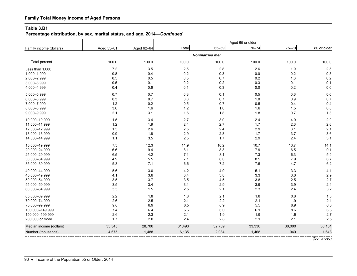# **Family Total Money Income of Aged Persons**

#### **Table 3.B1**

# **Percentage distribution, by sex, marital status, and age, 2014—***Continued*

| Family income (dollars) | Aged 55-61 | Aged 62-64 | Total  | 65-69                 | $70 - 74$ | 75-79  | 80 or older |
|-------------------------|------------|------------|--------|-----------------------|-----------|--------|-------------|
|                         |            |            |        | <b>Nonmarried men</b> |           |        |             |
| Total percent           | 100.0      | 100.0      | 100.0  | 100.0                 | 100.0     | 100.0  | 100.0       |
| Less than 1,000         | 7.2        | 3.5        | 2.5    | 2.8                   | 2.6       | 1.9    | 2.5         |
| 1,000-1,999             | 0.8        | 0.4        | 0.2    | 0.3                   | 0.0       | 0.2    | 0.3         |
| 2,000-2,999             | 0.5        | 0.5        | 0.5    | 0.7                   | $0.2\,$   | 1.3    | 0.2         |
| 3,000-3,999             | 0.5        | 0.1        | 0.2    | 0.2                   | 0.3       | 0.1    | 0.1         |
| 4,000-4,999             | 0.4        | 0.6        | 0.1    | 0.3                   | 0.0       | 0.2    | 0.0         |
| 5,000-5,999             | 0.7        | 0.7        | 0.3    | 0.1                   | 0.5       | 0.6    | 0.0         |
| 6,000-6,999             | 0.3        | 0.7        | 0.8    | 0.7                   | $1.0$     | 0.9    | 0.7         |
| 7,000-7,999             | $1.2$      | 0.2        | 0.5    | 0.7                   | 0.5       | 0.4    | 0.4         |
| 8,000-8,999             | 3.0        | 1.6        | 1.2    | 1.0                   | 1.6       | 1.5    | 0.8         |
| 9,000-9,999             | 2.1        | 3.1        | 1.6    | 1.8                   | 1.8       | 0.7    | 1.8         |
| 10,000-10,999           | 1.5        | 3.4        | 2.7    | 3.0                   | 2.4       | 4.0    | 2.0         |
| 11,000-11,999           | $1.2$      | 1.9        | 2.4    | 2.7                   | 1.7       | 2.3    | 2.6         |
| 12,000-12,999           | 1.5        | 2.6        | 2.5    | 2.4                   | 2.9       | 3.1    | 2.1         |
| 13,000-13,999           | 0.9        | 1.8        | 2.9    | 2.8                   | 1.7       | 3.7    | 3.6         |
| 14,000-14,999           | 1.1        | 3.5        | 2.5    | 1.7                   | 2.9       | 2.4    | 3.1         |
| 15,000-19,999           | 7.5        | 12.3       | 11.9   | 10.2                  | 10.7      | 13.7   | 14.1        |
| 20,000-24,999           | 6.6        | 9.4        | 8.1    | 8.3                   | 7.9       | 6.5    | 9.1         |
| 25,000-29,999           | 6.5        | 4.2        | 7.1    | 8.1                   | 7.3       | 6.3    | 5.9         |
| 30,000-34,999           | 4.9        | 5.5        | 7.1    | 6.0                   | 8.5       | 7.9    | 6.7         |
| 35,000-39,999           | 5.3        | 7.1        | 6.6    | $7.2$                 | 7.5       | 4.7    | 6.2         |
| 40,000-44,999           | 5.6        | 3.0        | 4.2    | 4.0                   | 5.1       | 3.3    | 4.1         |
| 45,000-49,999           | 4.1        | 3.6        | 3.4    | 3.8                   | 3.3       | 3.6    | 2.9         |
| 50,000-54,999           | 3.5        | 3.7        | 3.5    | 4.5                   | 3.8       | 2.5    | 2.7         |
| 55,000-59,999           | 3.5        | 3.4        | 3.1    | 2.9                   | 3.9       | 3.9    | 2.4         |
| 60,000-64,999           | 3.5        | $1.5$      | 2.5    | 2.1                   | 2.3       | 2.4    | 3.2         |
| 65,000-69,999           | $2.2\,$    | 1.8        | 1.8    | 2.1                   | 1.8       | 0.8    | 1.8         |
| 70,000-74,999           | 2.6        | 2.5        | 2.1    | 2.2                   | 2.1       | 1.9    | 2.1         |
| 75,000-99,999           | 9.6        | 6.9        | 6.5    | 6.9                   | 5.5       | 6.9    | 6.8         |
| 100,000-149,999         | 7.4        | 6.4        | 6.6    | 6.0                   | 6.1       | 8.6    | 6.6         |
| 150,000-199,999         | 2.6        | 2.3        | 2.1    | 1.9                   | 1.9       | 1.6    | 2.7         |
| 200,000 or more         | 1.7        | 2.0        | 2.4    | 2.8                   | 2.1       | 2.1    | 2.5         |
| Median income (dollars) | 35,345     | 28,700     | 31,493 | 32,709                | 33,330    | 30,000 | 30,161      |
| Number (thousands)      | 4,675      | 1,488      | 6,135  | 2,084                 | 1,468     | 940    | 1,643       |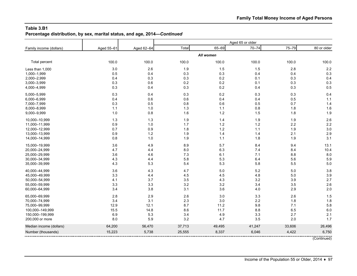**Percentage distribution, by sex, marital status, and age, 2014—***Continued*

| Family income (dollars) | Aged 55-61 | Aged 62-64 | Total  | 65-69     | $70 - 74$ | 75-79  | 80 or older |
|-------------------------|------------|------------|--------|-----------|-----------|--------|-------------|
|                         |            |            |        | All women |           |        |             |
| Total percent           | 100.0      | 100.0      | 100.0  | 100.0     | 100.0     | 100.0  | 100.0       |
| Less than 1,000         | 3.0        | 2.6        | 1.9    | 1.5       | 1.5       | 2.8    | 2.2         |
| 1,000-1,999             | 0.5        | 0.4        | 0.3    | 0.3       | 0.4       | 0.4    | 0.3         |
| 2,000-2,999             | 0.4        | 0.3        | 0.3    | 0.2       | 0.1       | 0.3    | 0.4         |
| 3,000-3,999             | 0.3        | 0.6        | 0.2    | 0.2       | 0.1       | 0.3    | 0.3         |
| 4,000-4,999             | 0.3        | 0.4        | 0.3    | 0.2       | 0.4       | 0.3    | 0.5         |
| 5,000-5,999             | 0.3        | 0.4        | 0.3    | 0.2       | 0.3       | 0.3    | 0.4         |
| 6,000-6,999             | 0.4        | 0.6        | 0.6    | 0.4       | 0.4       | 0.5    | 1.1         |
| 7,000-7,999             | 0.3        | 0.5        | 0.8    | 0.6       | 0.5       | 0.7    | 1.4         |
| 8,000-8,999             | 1.1        | 1.0        | 1.3    | 1.1       | 0.8       | 1.8    | 1.6         |
| 9,000-9,999             | 1.0        | 0.8        | 1.6    | $1.2$     | 1.5       | 1.8    | 1.9         |
| 10,000-10,999           | 1.3        | 1.3        | 1.9    | 1.4       | 1.9       | 1.9    | 2.6         |
| 11,000-11,999           | 0.9        | 1.0        | 1.7    | $1.2$     | 1.2       | 2.2    | 2.2         |
| 12,000-12,999           | 0.7        | 0.9        | 1.8    | $1.2$     | 1.1       | 1.9    | 3.0         |
| 13,000-13,999           | 0.9        | 1.2        | 1.9    | 1.4       | 1.4       | 2.1    | 2.9         |
| 14,000-14,999           | 0.8        | 1.0        | 1.9    | 1.1       | 1.8       | 1.9    | 3.1         |
| 15,000-19,999           | 3.6        | 4.9        | 8.9    | 5.7       | 8.4       | 9.4    | 13.1        |
| 20,000-24,999           | 4.7        | 4.4        | 8.0    | 6.3       | 7.4       | 8.4    | 10.4        |
| 25,000-29,999           | 3.6        | 4.6        | 7.3    | 6.1       | 7.1       | 8.8    | 8.0         |
| 30,000-34,999           | 4.3        | 4.4        | 5.8    | 5.3       | 6.4       | 5.6    | 5.9         |
| 35,000-39,999           | 4.3        | 5.3        | 5.4    | 5.3       | 5.8       | 5.5    | 5.0         |
| 40,000-44,999           | 3.6        | 4.3        | 4.7    | $5.0\,$   | $5.2\,$   | 5.0    | 3.8         |
| 45,000-49,999           | 3.3        | 4.4        | 4.5    | 4.5       | 4.8       | 5.0    | 3.9         |
| 50,000-54,999           | 4.1        | 3.7        | 3.5    | 4.3       | 3.2       | 3.9    | 2.7         |
| 55,000-59,999           | 3.3        | 3.3        | 3.2    | 3.2       | 3.4       | 3.5    | 2.6         |
| 60,000-64,999           | 3.4        | 3.8        | 3.1    | 3.6       | 4.0       | 2.9    | 2.0         |
| 65,000-69,999           | 2.8        | 2.9        | 2.6    | 3.0       | 3.3       | 2.6    | 1.5         |
| 70,000-74,999           | 3.4        | 3.1        | 2.3    | 3.0       | 2.2       | 1.8    | 1.8         |
| 75,000-99,999           | 12.9       | 12.1       | 8.7    | 11.2      | 9.8       | 7.1    | 5.8         |
| 100,000-149,999         | 15.5       | 14.8       | 8.6    | 11.7      | 8.8       | 6.5    | 6.0         |
| 150,000-199,999         | 6.9        | 5.3        | 3.4    | 4.9       | 3.3       | 2.7    | 2.1         |
| 200,000 or more         | 8.0        | 5.9        | 3.2    | 4.7       | 3.5       | 2.0    | 1.7         |
| Median income (dollars) | 64,200     | 56,470     | 37,713 | 49,495    | 41,247    | 33,606 | 26,496      |
| Number (thousands)      | 15,223     | 5,738      | 25,555 | 8,337     | 6,046     | 4,422  | 6,750       |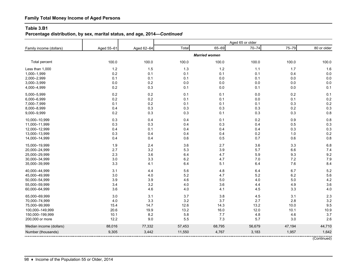# **Family Total Money Income of Aged Persons**

#### **Table 3.B1**

# **Percentage distribution, by sex, marital status, and age, 2014—***Continued*

| Family income (dollars) | Aged 55-61 | Aged 62-64 | Total  | 65-69                | $70 - 74$ | $75 - 79$ | 80 or older |
|-------------------------|------------|------------|--------|----------------------|-----------|-----------|-------------|
|                         |            |            |        | <b>Married women</b> |           |           |             |
| Total percent           | 100.0      | 100.0      | 100.0  | 100.0                | 100.0     | 100.0     | 100.0       |
| Less than 1,000         | 1.2        | 1.5        | 1.3    | 1.2                  | 1.1       | 1.7       | 1.6         |
| 1,000-1,999             | 0.2        | 0.1        | 0.1    | 0.1                  | 0.1       | 0.4       | 0.0         |
| 2,000-2,999             | 0.1        | 0.1        | 0.1    | 0.0                  | 0.1       | 0.0       | 0.0         |
| 3,000-3,999             | 0.0        | 0.2        | 0.0    | 0.0                  | 0.0       | 0.0       | 0.0         |
| 4,000-4,999             | 0.2        | 0.3        | 0.1    | 0.0                  | 0.1       | 0.0       | 0.1         |
| 5,000-5,999             | $0.2\,$    | 0.2        | 0.1    | 0.1                  | 0.0       | 0.2       | 0.1         |
| 6,000-6,999             | 0.2        | 0.2        | 0.1    | 0.1                  | 0.0       | 0.1       | 0.2         |
| 7,000-7,999             | 0.1        | 0.2        | 0.1    | 0.1                  | 0.1       | 0.3       | 0.2         |
| 8,000-8,999             | 0.4        | 0.3        | 0.3    | 0.3                  | 0.3       | 0.2       | 0.3         |
| 9,000-9,999             | 0.2        | $0.3\,$    | 0.3    | 0.1                  | 0.3       | 0.3       | 0.8         |
| 10,000-10,999           | 0.3        | 0.4        | 0.4    | 0.1                  | $0.2\,$   | 0.9       | 0.8         |
| 11,000-11,999           | 0.3        | 0.3        | 0.4    | 0.3                  | 0.4       | 0.5       | 0.3         |
| 12,000-12,999           | 0.4        | 0.1        | 0.4    | 0.4                  | 0.4       | 0.3       | 0.3         |
| 13,000-13,999           | 0.3        | 0.4        | 0.4    | 0.4                  | $0.2\,$   | 1.0       | 0.2         |
| 14,000-14,999           | 0.4        | 0.4        | 0.6    | 0.5                  | 0.7       | 0.6       | 0.8         |
| 15,000-19,999           | 1.9        | 2.4        | 3.6    | 2.7                  | 3.6       | 3.3       | 6.8         |
| 20,000-24,999           | 2.7        | 3.2        | 5.3    | 3.9                  | 5.7       | 6.6       | 7.4         |
| 25,000-29,999           | 2.3        | 3.6        | 6.4    | 4.7                  | 5.9       | 9.3       | 9.2         |
| 30,000-34,999           | 3.0        | 3.3        | 6.2    | 4.7                  | 7.0       | 7.2       | 7.9         |
| 35,000-39,999           | 3.3        | 4.1        | 6.4    | 5.1                  | 6.4       | 7.6       | 8.4         |
| 40,000-44,999           | 3.1        | 4.4        | 5.6    | 4.8                  | 6.4       | 6.7       | 5.2         |
| 45,000-49,999           | 3.0        | $4.0\,$    | 5.2    | 4.7                  | 5.2       | 6.2       | 5.6         |
| 50,000-54,999           | 3.9        | 3.9        | 4.6    | 5.0                  | 4.0       | 5.0       | 4.2         |
| 55,000-59,999           | 3.4        | 3.2        | 4.0    | 3.6                  | 4.4       | 4.9       | 3.6         |
| 60,000-64,999           | 3.6        | 4.6        | 4.0    | 4.1                  | 4.5       | 3.3       | 4.0         |
| 65,000-69,999           | 3.0        | 3.1        | 3.7    | 3.8                  | 4.5       | 3.1       | 2.3         |
| 70,000-74,999           | 4.0        | 3.3        | 3.2    | 3.7                  | 2.7       | 2.8       | 3.2         |
| 75,000-99,999           | 15.4       | 14.7       | 12.6   | 14.3                 | 13.2      | 10.0      | 9.5         |
| 100,000-149,999         | 20.6       | 19.9       | 13.2   | 16.0                 | 12.0      | 10.1      | 10.9        |
| 150,000-199,999         | 10.1       | 8.2        | 5.8    | 7.7                  | 4.8       | 4.6       | 3.7         |
| 200,000 or more         | 12.2       | 9.0        | 5.5    | 7.3                  | 5.7       | 3.0       | 2.6         |
| Median income (dollars) | 88,016     | 77,332     | 57,453 | 68,795               | 56,679    | 47,194    | 44,710      |
| Number (thousands)      | 9,305      | 3,442      | 11,550 | 4,767                | 3,183     | 1,957     | 1,642       |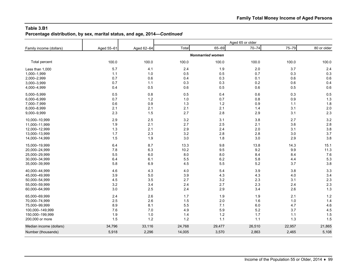**Percentage distribution, by sex, marital status, and age, 2014—***Continued*

| Family income (dollars) | Aged 55-61 | Aged 62-64 | Total  | 65-69                   | $70 - 74$ | 75-79  | 80 or older |
|-------------------------|------------|------------|--------|-------------------------|-----------|--------|-------------|
|                         |            |            |        | <b>Nonmarried women</b> |           |        |             |
| Total percent           | 100.0      | 100.0      | 100.0  | 100.0                   | 100.0     | 100.0  | 100.0       |
| Less than 1,000         | 5.7        | 4.1        | 2.4    | 1.9                     | 2.0       | 3.7    | 2.4         |
| 1,000-1,999             | 1.1        | 1.0        | 0.5    | 0.5                     | 0.7       | 0.3    | 0.3         |
| 2,000-2,999             | 0.7        | 0.6        | 0.4    | 0.3                     | 0.1       | 0.6    | 0.6         |
| 3,000-3,999             | 0.7        | 1.1        | 0.3    | 0.3                     | 0.2       | 0.6    | 0.4         |
| 4,000-4,999             | 0.4        | 0.5        | 0.6    | 0.5                     | 0.6       | 0.5    | 0.6         |
| 5,000-5,999             | 0.5        | 0.8        | 0.5    | 0.4                     | 0.6       | 0.3    | 0.5         |
| 6,000-6,999             | 0.7        | 1.2        | 1.0    | 0.7                     | 0.8       | 0.9    | 1.3         |
| 7,000-7,999             | 0.6        | 0.9        | 1.3    | $1.2$                   | 0.9       | 1.1    | 1.8         |
| 8,000-8,999             | 2.1        | 2.1        | 2.1    | 2.1                     | 1.4       | 3.1    | 2.0         |
| 9,000-9,999             | 2.3        | 1.5        | 2.7    | 2.8                     | 2.9       | 3.1    | 2.3         |
| 10,000-10,999           | 2.9        | 2.5        | 3.2    | 3.1                     | 3.8       | 2.7    | 3.2         |
| 11,000-11,999           | 1.9        | 2.1        | 2.7    | 2.5                     | 2.1       | 3.6    | 2.8         |
| 12,000-12,999           | 1.3        | 2.1        | 2.9    | 2.4                     | 2.0       | 3.1    | 3.8         |
| 13,000-13,999           | 1.7        | 2.3        | 3.2    | 2.8                     | 2.8       | 3.0    | 3.7         |
| 14,000-14,999           | 1.5        | 1.9        | 3.0    | 1.8                     | 3.0       | 2.9    | 3.8         |
| 15,000-19,999           | 6.4        | 8.7        | 13.3   | 9.8                     | 13.8      | 14.3   | 15.1        |
| 20,000-24,999           | 7.8        | 6.3        | 10.2   | 9.5                     | 9.2       | 9.9    | 11.3        |
| 25,000-29,999           | 5.5        | 6.0        | 8.0    | 8.0                     | 8.4       | 8.4    | 7.6         |
| 30,000-34,999           | 6.4        | 6.1        | 5.5    | $6.2\,$                 | 5.8       | 4.4    | 5.3         |
| 35,000-39,999           | 5.8        | 6.9        | 4.5    | 5.5                     | $5.2\,$   | 3.7    | 3.8         |
| 40,000-44,999           | 4.6        | 4.3        | 4.0    | 5.4                     | 3.9       | 3.8    | 3.3         |
| 45,000-49,999           | 3.9        | 5.0        | 3.9    | 4.3                     | 4.3       | 4.0    | 3.4         |
| 50,000-54,999           | 4.5        | 3.5        | 2.7    | 3.2                     | 2.3       | 3.1    | 2.3         |
| 55,000-59,999           | 3.2        | 3.4        | 2.4    | 2.7                     | 2.3       | 2.4    | 2.3         |
| 60,000-64,999           | 3.0        | 2.5        | 2.4    | 2.9                     | 3.4       | 2.6    | 1.3         |
| 65,000-69,999           | 2.4        | 2.6        | 1.7    | 1.9                     | 1.9       | 2.1    | $1.2$       |
| 70,000-74,999           | 2.5        | 2.6        | 1.5    | 2.0                     | 1.6       | 1.0    | 1.4         |
| 75,000-99,999           | 8.9        | 8.1        | 5.5    | 7.1                     | 6.0       | 4.7    | 4.6         |
| 100,000-149,999         | 7.6        | 7.0        | 4.9    | 5.9                     | 5.2       | 3.7    | 4.5         |
| 150,000-199,999         | 1.9        | 1.0        | 1.4    | $1.2$                   | 1.7       | $1.1$  | 1.5         |
| 200,000 or more         | 1.5        | 1.2        | $1.2$  | 1.1                     | 1.1       | 1.3    | 1.5         |
| Median income (dollars) | 34,796     | 33,116     | 24,768 | 29,477                  | 26,510    | 22,957 | 21,865      |
| Number (thousands)      | 5,918      | 2,296      | 14,005 | 3,570                   | 2,863     | 2,465  | 5,108       |
|                         |            |            |        |                         |           |        |             |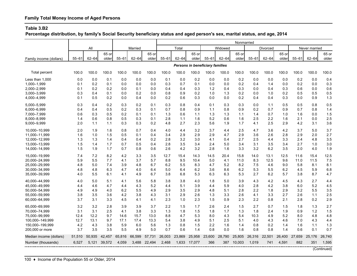**Percentage distribution, by family's Social Security beneficiary status and aged person's sex, marital status, and age, 2014**

|                                  |              |            |            |             | Nonmarried   |              |            |            |            |                                        |            |            |             |            |            |            |               |             |
|----------------------------------|--------------|------------|------------|-------------|--------------|--------------|------------|------------|------------|----------------------------------------|------------|------------|-------------|------------|------------|------------|---------------|-------------|
|                                  |              | All        |            |             | Married      |              |            | Total      |            |                                        | Widowed    |            |             | Divorced   |            |            | Never married |             |
|                                  |              |            | 65 or      |             |              | 65 or        |            |            | 65 or      |                                        |            | 65 or      |             |            | 65 or      |            |               | 65 or       |
| Family income (dollars)          | $55 - 61$    | $62 - 64$  | older      | $55 - 61$   | $62 - 64$    | older        | $55 - 61$  | $62 - 64$  | older      | $55 - 61$                              | $62 - 64$  | older      | $55 - 61$   | $62 - 64$  | older      | $55 - 61$  | $62 - 64$     | older       |
|                                  |              |            |            |             |              |              |            |            |            | <b>Persons in beneficiary families</b> |            |            |             |            |            |            |               |             |
| <b>Total percent</b>             | 100.0        | 100.0      | 100.0      | 100.0       | 100.0        | 100.0        | 100.0      | 100.0      | 100.0      | 100.0                                  | 100.0      | 100.0      | 100.0       | 100.0      | 100.0      | 100.0      | 100.0         | 100.0       |
| Less than 1,000                  | 0.0          | 0.0        | 0.1        | 0.0         | 0.0          | 0.0          | 0.1        | 0.0        | 0.2        | 0.0                                    | 0.0        | 0.2        | 0.0         | 0.0        | 0.0        | 0.2        | 0.0           | 0.4         |
| 1,000-1,999                      | 0.1          | 0.2        | 0.1        | 0.0         | 0.0          | 0.0          | 0.3        | 0.7        | 0.1        | 0.0                                    | 0.0        | 0.2        | 0.4         | 1.4        | 0.0        | 0.2        | 0.0           | 0.3         |
| 2,000-2,999                      | 0.1          | 0.2        | 0.2        | 0.0         | 0.1          | 0.0          | 0.4        | 0.4        | 0.3        | 1.2                                    | 0.4        | 0.3        | 0.0         | 0.4        | 0.3        | 0.6        | 0.0           | 0.6         |
| 3,000-3,999                      | 0.3          | 0.4        | 0.1        | 0.0         | 0.2          | 0.0          | 0.8        | 0.9        | 0.2        | 1.0                                    | 1.3        | 0.2        | 0.0         | 1.0        | 0.2        | 0.5        | 0.5           | 0.5         |
| 4,000-4,999                      | 0.1          | 0.5        | 0.2        | 0.0         | 0.4          | 0.0          | 0.2        | 0.6        | 0.3        | 0.0                                    | 0.0        | 0.2        | 0.4         | 0.4        | 0.3        | 0.0        | 0.9           | 1.3         |
| 5.000-5.999                      | 0.3          | 0.4        | 0.2        | 0.3         | 0.2          | 0.1          | 0.3        | 0.8        | 0.4        | 0.1                                    | 0.3        | 0.3        | 0.0         | 1.1        | 0.5        | 0.5        | 0.8           | 0.5         |
| 6,000-6,999                      | 0.4          | 0.4        | 0.5        | 0.2         | 0.3          | 0.1          | 0.7        | 0.8        | 0.9        | 1.1                                    | 0.8        | 0.9        | 0.2         | 0.7        | 0.9        | 0.7        | 0.8           | 1.4         |
| 7,000-7,999                      | 0.6          | 0.3        | 0.5        | 0.2         | 0.1          | 0.1          | 1.3        | 0.6        | 1.1        | 1.3                                    | 1.3        | 1.1        | 1.4         | 0.7        | 1.0        | 1.6        | 0.0           | 1.5         |
| 8,000-8,999                      | 1.4          | 0.6        | 0.8        | 0.5         | 0.3          | 0.1          | 2.8        | 1.1        | 1.6        | 5.2                                    | 0.6        | 1.6        | 2.5         | 2.2        | 1.6        | 2.1        | 0.0           | 2.5         |
| 9,000-9,999                      | 2.0          | 1.1        | 1.1        | 0.3         | 0.3          | 0.2          | 4.8        | 2.7        | 2.3        | 5.6                                    | 1.9        | 1.7        | 4.1         | 2.5        | 2.9        | 4.2        | 3.1           | 3.6         |
| 10,000-10,999                    | 2.0          | 1.9        | 1.6        | 0.8         | 0.7          | 0.4          | 4.0        | 4.4        | 3.2        | 3.7                                    | 4.4        | 2.5        | 4.7         | 3.6        | 4.2        | 3.7        | 5.0           | 3.7         |
| 11,000-11,999                    | 1.6          | 1.0        | 1.5        | 0.5         | 0.1          | 0.4          | 3.4        | 2.9        | 2.9        | 2.9                                    | 4.7        | 2.9        | 3.6         | 2.6        | 2.8        | 2.9        | 2.0           | 2.7         |
| 12.000-12.999                    | 1.3          | 1.3        | 1.4        | 0.4         | 0.4          | 0.2          | 2.8        | 3.2        | 3.0        | 4.1                                    | 0.4        | 2.7        | 2.5         | 4.4        | 3.3        | 2.4        | 4.8           | 3.5         |
| 13,000-13,999                    | 1.5          | 1.4        | 1.7        | 0.7         | 0.5          | 0.4          | 2.8        | 3.5        | 3.4        | 2.4                                    | 5.0        | 3.4        | 3.1         | 3.5        | 3.4        | 2.7        | 1.0           | 3.0         |
| 14,000-14,999                    | 1.5          | 1.9        | 1.7        | 0.7         | 0.8          | 0.6          | 2.6        | 4.2        | 3.2        | 2.8                                    | 1.6        | 3.3        | 3.2         | 6.2        | 3.5        | 2.0        | 4.0           | 1.9         |
| 15,000-19,999                    | 7.4          | 7.2        | 8.2        | 4.2         | 3.3          | 3.5          | 12.7       | 15.4       | 14.3       | 14.5                                   | 20.4       | 15.8       | 14.0        | 13.1       | 12.5       | 11.6       | 15.4          | 12.5        |
| 20,000-24,999                    | 5.9          | 5.5        | 7.7        | 4.1         | 3.7          | 5.7          | 8.8        | 9.5        | 10.4       | 5.0                                    | 4.1        | 11.0       | 8.3         | 12.5       | 9.6        | 11.0       | 11.5          | 7.5         |
| 25,000-29,999                    | 4.8          | 5.0        | 7.4        | 3.9         | 4.8          | 6.7          | 6.2        | 5.5        | 8.3        | 4.7                                    | 5.2        | 8.2        | 7.5         | 4.6        | 9.0        | 5.8        | 8.1           | 8.1         |
| 30,000-34,999                    | 4.8          | 4.8        | 6.3        | 4.7         | 4.0          | 6.4          | 5.0        | 6.4        | 6.2        | 3.6                                    | 8.6        | 6.2        | 5.3         | 5.5        | 6.2        | 4.5        | 5.9           | 6.8         |
| 35,000-39,999                    | 4.0          | 5.5        | 6.1        | 4.1         | 4.9          | 6.7          | 3.8        | 6.8        | 5.3        | 6.3                                    | 6.3        | 5.3        | 2.7         | 6.2        | 5.7        | 3.8        | 8.7           | 4.7         |
| 40.000-44.999                    | 4.0          | 5.0        | 5.1        | 4.1         | 5.6          | 5.8          | 3.8        | 3.8        | 4.0        | 1.8                                    | 5.0        | 3.9        | 4.3         | 4.2        | 4.5        | 4.3        | 2.7           | 4.4         |
| 45,000-49,999                    | 4.4          | 4.6        | 4.7        | 4.4         | 4.3          | 5.2          | 4.4        | 5.1        | 3.9        | 4.4                                    | 5.9        | 4.0        | 2.8         | 4.2        | 3.8        | 6.0        | 5.2           | 4.5         |
| 50,000-54,999                    | 4.9          | 4.9        | 4.0        | 6.2         | 5.5          | 4.9          | 2.9        | 3.5        | 2.9        | 4.8                                    | 5.1        | 2.8        | 2.2         | 1.8        | 2.9        | 3.2        | 5.5           | 3.5         |
| 55,000-59,999<br>60,000-64,999   | 3.8<br>3.7   | 3.5<br>3.1 | 3.6<br>3.3 | 4.2<br>4.5  | 3.8<br>4.1   | 4.3<br>4.1   | 3.1<br>2.3 | 2.9<br>1.0 | 2.6<br>2.3 | 1.3<br>1.5                             | 3.3<br>0.9 | 2.6<br>2.3 | 4.1<br>2.2  | 3.3<br>0.8 | 2.7<br>2.1 | 2.6<br>2.8 | 1.1<br>0.2    | 2.5<br>2.9  |
|                                  |              |            |            |             |              |              |            |            |            |                                        |            |            |             |            |            |            |               |             |
| 65.000-69.999                    | 3.2<br>3.1   | 3.2<br>3.1 | 2.8<br>2.5 | 3.9         | 3.9<br>3.8   | 3.7          | 2.2<br>1.3 | 1.5<br>1.8 | 1.7<br>1.5 | 2.6                                    | 2.4        | 1.5<br>1.3 | 2.7         | 0.7        | 1.5        | 1.8        | 1.3<br>1.2    | 2.7<br>1.5  |
| 70,000-74,999                    |              | 12.2       | 9.7        | 4.1<br>14.6 |              | 3.3          | 8.8        |            | 5.3        | 1.8                                    | 1.7<br>4.3 | 5.4        | 1.8<br>10.3 | 2.4<br>4.9 | 1.9<br>5.2 | 0.9<br>8.0 |               |             |
| 75,000-99,999<br>100,000-149,999 | 12.4<br>12.7 | 13.1       | 9.7        | 17.1        | 15.7<br>17.4 | 13.0<br>13.3 | 5.4        | 4.7<br>3.8 | 4.9        | 8.0<br>5.1                             | 2.5        | 5.1        | 4.0         | 4.3        | 4.6        | 7.0        | 4.8<br>4.3    | 4.8<br>4.4  |
| 150,000-199,999                  | 4.2          | 4.3        | 3.8        | 5.9         | 6.0          | 5.6          | 1.3        | 0.8        | 1.5        | 2.2                                    | 1.6        | 1.4        | 0.8         | 0.2        | 1.4        | 1.6        | 1.1           | 1.3         |
| 200,000 or more                  | 3.7          | 3.5        | 3.5        | 5.5         | 4.9          | 5.0          | 0.7        | 0.6        | 1.4        | 0.8                                    | 0.0        | 1.6        | 0.8         | 0.8        | 1.4        | 0.6        | 0.1           | 0.7         |
|                                  |              |            |            |             |              |              |            |            |            |                                        |            |            |             |            |            |            |               |             |
| Median income (dollars)          | 51,510       | 50.935     | 42.457     | 65,816      | 66.599       | 57,731       | 26,003     | 23,869     | 25,958     | 23,600                                 | 28,790     | 25.805     | 26,316      | 22.501     | 26.400     | 27,659     | 25.176        | 26,740      |
| Number (thousands)               | 6,527        | 5,121      | 39,572     | 4,059       | 3,488        | 22,494       | 2,468      | 1,633      | 17,077     | 366                                    | 387        | 10,003     | 1,019       | 741        | 4,591      | 882        | 351           | 1,595       |
|                                  |              |            |            |             |              |              |            |            |            |                                        |            |            |             |            |            |            |               | (Continued) |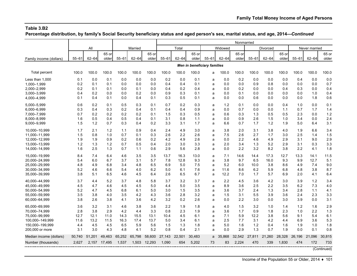**Percentage distribution, by family's Social Security beneficiary status and aged person's sex, marital status, and age, 2014—***Continued*

|                         |           |           |              |           |           |              |           |           |        |                             |           | Nonmarried |           |           |        |           |               |        |
|-------------------------|-----------|-----------|--------------|-----------|-----------|--------------|-----------|-----------|--------|-----------------------------|-----------|------------|-----------|-----------|--------|-----------|---------------|--------|
|                         |           | All       |              |           | Married   |              |           | Total     |        |                             | Widowed   |            |           | Divorced  |        |           | Never married |        |
|                         |           |           | 65 or        |           |           | 65 or        |           |           | 65 or  |                             |           | 65 or      |           |           | 65 or  |           |               | 65 or  |
| Family income (dollars) | $55 - 61$ | $62 - 64$ | older        | $55 - 61$ | $62 - 64$ | older        | $55 - 61$ | $62 - 64$ | older  | $55 - 61$                   | $62 - 64$ | older      | $55 - 61$ | $62 - 64$ | older  | $55 - 61$ | $62 - 64$     | older  |
|                         |           |           |              |           |           |              |           |           |        | Men in beneficiary families |           |            |           |           |        |           |               |        |
| Total percent           | 100.0     | 100.0     | 100.0        | 100.0     | 100.0     | 100.0        | 100.0     | 100.0     | 100.0  | a                           | 100.0     | 100.0      | 100.0     | 100.0     | 100.0  | 100.0     | 100.0         | 100.0  |
| Less than 1.000         | 0.1       | 0.0       | 0.1          | 0.0       | 0.0       | 0.0          | 0.2       | 0.0       | 0.1    | a                           | 0.0       | 0.2        | 0.0       | 0.0       | 0.0    | 0.4       | 0.0           | 0.0    |
| 1,000-1,999             | 0.2       | 0.1       | 0.1          | 0.0       | 0.0       | 0.0          | 0.4       | 0.4       | 0.1    | a                           | 0.0       | 0.0        | 0.9       | 0.8       | 0.0    | 0.0       | 0.0           | 0.7    |
| 2,000-2,999             | 0.2       | 0.1       | 0.1          | 0.0       | 0.1       | 0.0          | 0.4       | 0.2       | 0.4    | a                           | 0.0       | 0.2        | 0.0       | 0.0       | 0.4    | 0.3       | 0.0           | 0.4    |
| 3,000-3,999             | 0.4       | 0.2       | 0.0          | 0.0       | 0.2       | 0.0          | 0.9       | 0.3       | 0.1    | a                           | 0.0       | 0.1        | 0.0       | 0.0       | 0.0    | 0.0       | 1.0           | 0.4    |
| 4,000-4,999             | 0.1       | 0.4       | 0.1          | 0.0       | 0.4       | 0.1          | 0.3       | 0.5       | 0.1    | a                           | 0.0       | 0.0        | 0.6       | 0.0       | 0.0    | 0.0       | 1.8           | 0.6    |
| 5,000-5,999             | 0.6       | 0.2       | 0.1          | 0.5       | 0.3       | 0.1          | 0.7       | 0.2       | 0.3    | a                           | 1.2       | 0.1        | 0.0       | 0.0       | 0.4    | 1.0       | 0.0           | 0.1    |
| 6,000-6,999             | 0.3       | 0.4       | 0.3          | 0.2       | 0.4       | 0.1          | 0.4       | 0.4       | 0.9    | a                           | 0.0       | 0.7        | 0.0       | 0.0       | 1.1    | 0.7       | 1.7           | 1.4    |
| 7,000-7,999             | 0.7       | 0.2       | 0.2          | 0.2       | 0.2       | 0.1          | 1.5       | 0.3       | 0.5    | a                           | 0.6       | 0.3        | 1.3       | 0.5       | 0.5    | 2.3       | 0.0           | 1.2    |
| 8,000-8,999             | 1.6       | 0.5       | 0.4          | 0.5       | 0.4       | 0.1          | 3.1       | 0.8       | 1.1    | a                           | 0.0       | 0.9        | 2.6       | 1.5       | 1.0    | 3.4       | 0.0           | 2.4    |
| 9,000-9,999             | 1.5       | 1.2       | 0.7          | 0.3       | 0.4       | 0.2          | 3.3       | 3.1       | 1.7    | a                           | 6.6       | 0.7        | 1.7       | 1.2       | 1.9    | 5.0       | 6.4           | 3.1    |
| 10.000-10.999           | 1.7       | 2.1       | 1.2          | 1.1       | 0.9       | 0.4          | 2.4       | 4.9       | 3.0    | a                           | 3.8       | 2.0        | 3.1       | 3.8       | 4.0    | 1.9       | 6.6           | 3.4    |
| 11,000-11,999           | 1.5       | 0.8       | 1.0          | 0.7       | 0.1       | 0.3          | 2.6       | 2.2       | 2.6    | a                           | 7.5       | 2.6        | 2.7       | 1.7       | 3.0    | 2.5       | 1.4           | 1.5    |
| 12,000-12,999           | 1.9       | 1.9       | 0.9          | 0.2       | 0.6       | 0.2          | 4.2       | 4.9       | 2.6    | a                           | 0.0       | 2.2        | 4.6       | 4.9       | 2.9    | 3.1       | 9.0           | 2.9    |
| 13,000-13,999           | 1.2       | 1.3       | $1.2$        | 0.7       | 0.5       | 0.4          | 2.0       | 3.0       | 3.3    | a                           | 2.0       | 3.4        | 1.3       | 5.2       | 2.9    | 3.1       | 0.3           | 3.3    |
| 14,000-14,999           | 1.6       | 2.5       | 1.3          | 0.7       | 1.1       | 0.6          | 2.9       | 5.6       | 2.8    | a                           | 0.0       | 2.2        | 3.2       | 8.2       | 3.8    | 2.2       | 4.1           | 1.8    |
| 15,000-19,999           | 8.4       | 7.4       | 6.4          | 4.6       | 3.5       | 3.5          | 13.7      | 16.3      | 13.0   | a                           | 7.1       | 14.6       | 14.4      | 17.3      | 12.7   | 13.3      | 14.1          | 11.5   |
| 20,000-24,999           | 5.4       | 6.0       | 6.7          | 3.7       | 3.1       | 5.7          | 7.8       | 12.8      | 9.3    | a                           | 3.8       | 9.7        | 6.5       | 16.0      | 9.3    | 9.9       | 12.7          | 5.1    |
| 25,000-29,999           | 4.8       | 4.9       | 6.8          | 3.4       | 4.8       | 6.5          | 6.9       | 5.0       | 7.5    | a                           | 5.2       | 6.0        | 10.0      | 3.8       | 8.6    | 4.9       | 7.4           | 9.0    |
| 30,000-34,999           | 5.2       | 4.6       | 6.6          | 5.4       | 4.0       | 6.2          | 5.0       | 6.1       | 7.6    | a                           | 11.6      | 8.6        | 6.2       | 5.9       | 6.8    | 4.8       | 3.8           | 8.7    |
| 35,000-39,999           | 3.8       | 5.1       | 6.5          | 4.6       | 4.5       | 6.4          | 2.6       | 6.5       | 6.7    | a                           | 12.2      | 7.0        | 1.7       | 5.7       | 6.9    | 2.0       | 4.1           | 6.4    |
| 40,000-44,999           | 3.7       | 4.4       | 5.2          | 3.7       | 4.8       | 5.8          | 3.7       | 3.2       | 3.7    | a                           | 2.2       | 4.5        | 3.6       | 4.2       | 3.0    | 3.9       | 1.2           | 3.4    |
| 45.000-49.999           | 4.5       | 4.7       | 4.6          | 4.5       | 4.5       | 5.0          | 4.4       | 5.0       | 3.5    | a                           | 8.9       | 3.6        | 2.5       | 2.2       | 3.5    | 6.2       | 7.3           | 4.0    |
| 50,000-54,999           | 5.2       | 4.7       | 4.5          | 6.8       | 6.1       | 5.0          | 3.0       | 1.5       | 3.5    | a                           | 3.6       | 3.7        | 2.4       | 1.3       | 3.4    | 2.8       | 1.1           | 4.1    |
| 55,000-59,999           | 3.5       | 3.8       | 4.0          | 3.5       | 4.2       | 4.3          | 3.6       | 2.8       | 3.2    | a                           | 1.5       | 3.1        | 5.5       | 3.9       | 3.6    | 2.4       | 2.3           | 3.3    |
| 60,000-64,999           | 3.8       | 2.6       | 3.8          | 4.1       | 3.6       | 4.2          | 3.2       | 0.2       | 2.6    | a                           | 0.0       | 2.2        | 3.0       | 0.0       | 3.0    | 3.9       | 0.0           | 3.1    |
| 65.000-69.999           | 3.6       | 3.2       | 3.1          | 4.6       | 3.8       | 3.6          | 2.2       | 1.9       | 1.8    | a                           | 4.0       | 1.5        | 3.2       | 1.0       | 1.4    | 1.2       | 1.6           | 2.9    |
| 70,000-74,999           | 2.8       | 3.8       | 2.9          | 4.2       | 4.4       | 3.3          | 0.8       | 2.3       | 1.9    | a                           | 3.6       | 1.7        | 0.9       | 1.8       | 2.3    | 1.0       | 2.2           | 1.3    |
| 75,000-99,999           | 12.7      | 12.1      | 11.0         | 14.3      | 15.5      | 13.1         | 10.4      | 4.5       | 6.1    | a                           | 7.1       | 5.9        | 12.2      | 3.8       | 5.6    | 9.1       | 5.4           | 6.1    |
| 100,000-149,999         | 11.6      | 13.2      | 11.5         | 16.3      | 17.4      | 13.7         | 5.0       | 3.4       | 6.1    | a                           | 2.5       | 7.7        | 3.1       | 4.2       | 4.4    | 6.9       | 3.6           | 5.3    |
| 150,000-199,999         | 4.4       | 4.5       | 4.5          | 6.5       | 5.9       | 5.6          | 1.5       | 1.3       | 1.8    | a                           | 5.0       | 1.6        | 1.2       | 0.4       | 1.6    | 1.9       | 1.0           | 1.8    |
| 200,000 or more         | 3.1       | 3.0       | 4.3          | 4.8       | 4.1       | 5.2          | 0.8       | 0.4       | 2.1    | a                           | 0.0       | 2.9        | 1.3       | 0.7       | 1.9    | 0.0       | 0.1           | 0.8    |
| Median income (dollars) | 50,740    | 51.201    | 49,463       | 65,252    | 65,798    | 58,600       | 27,143    | 22,501    | 30,483 | a                           | 35.868    | 32,542     | 27,811    | 21,260    | 28,328 | 26,196    | 21,096        | 30,815 |
| Number (thousands)      | 2,627     |           | 2,157 17,495 | 1,537     |           | 1,503 12,293 | 1,090     | 654       | 5,202  | 73                          | 83        | 2,224      | 470       | 339       | 1,830  | 474       | 172           | 733    |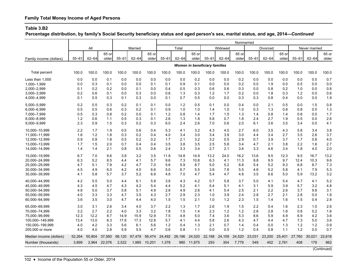**Percentage distribution, by family's Social Security beneficiary status and aged person's sex, marital status, and age, 2014—***Continued*

|                                    |            |            |            |            |            |              |            |            |            |                                      |            | Nonmarried |            |            |            |            |               |             |
|------------------------------------|------------|------------|------------|------------|------------|--------------|------------|------------|------------|--------------------------------------|------------|------------|------------|------------|------------|------------|---------------|-------------|
|                                    |            | All        |            |            | Married    |              |            | Total      |            |                                      | Widowed    |            |            | Divorced   |            |            | Never married |             |
|                                    |            |            | 65 or      |            |            | 65 or        |            |            | 65 or      |                                      |            | 65 or      |            |            | 65 or      |            |               | 65 or       |
| Family income (dollars)            | $55 - 61$  | $62 - 64$  | older      | $55 - 61$  | $62 - 64$  | older        | $55 - 61$  | $62 - 64$  | older      | $55 - 61$                            | $62 - 64$  | older      | $55 - 61$  | $62 - 64$  | older      | $55 - 61$  | $62 - 64$     | older       |
|                                    |            |            |            |            |            |              |            |            |            | <b>Women in beneficiary families</b> |            |            |            |            |            |            |               |             |
| Total percent                      | 100.0      | 100.0      | 100.0      | 100.0      | 100.0      | 100.0        | 100.0      | 100.0      | 100.0      | 100.0                                | 100.0      | 100.0      | 100.0      | 100.0      | 100.0      | 100.0      | 100.0         | 100.0       |
| Less than 1,000                    | 0.0        | 0.0        | 0.1        | 0.0        | 0.0        | 0.0          | 0.0        | 0.0        | 0.2        | 0.0                                  | 0.0        | 0.2        | 0.0        | 0.0        | 0.0        | 0.0        | 0.0           | 0.7         |
| 1,000-1,999                        | 0.0        | 0.3        | 0.1        | 0.0        | 0.0        | 0.1          | 0.1        | 0.9        | 0.1        | 0.0                                  | 0.0        | 0.2        | 0.0        | 1.9        | 0.0        | 0.5        | 0.0           | 0.0         |
| 2,000-2,999                        | 0.1        | 0.2        | 0.2        | 0.0        | 0.1        | 0.0          | 0.4        | 0.5        | 0.3        | 0.6                                  | 0.6        | 0.3        | 0.0        | 0.8        | 0.2        | 1.0        | 0.0           | 0.8         |
| 3,000-3,999                        | 0.2        | 0.6        | 0.1        | 0.0        | 0.3        | 0.0          | 0.6        | 1.3        | 0.3        | 1.2                                  | 1.7        | 0.2        | 0.0        | 1.8        | 0.3        | 1.2        | 0.0           | 0.6         |
| 4,000-4,999                        | 0.1        | 0.5        | 0.3        | 0.1        | 0.3        | 0.0          | 0.1        | 0.7        | 0.5        | 0.0                                  | 0.0        | 0.3        | 0.3        | 0.8        | 0.4        | 0.0        | 0.0           | 1.9         |
| 5.000-5.999                        | 0.2        | 0.5        | 0.3        | 0.2        | 0.1        | 0.1          | 0.0        | 1.2        | 0.5        | 0.1                                  | 0.0        | 0.4        | 0.0        | 2.1        | 0.5        | 0.0        | 1.5           | 0.8         |
| 6,000-6,999                        | 0.5        | 0.5        | 0.6        | 0.3        | 0.2        | 0.1          | 0.9        | 1.0        | 1.0        | 1.4                                  | 1.0        | 1.0        | 0.3        | 1.3        | 0.8        | 0.8        | 0.0           | 1.3         |
| 7,000-7,999                        | 0.5        | 0.3        | 0.8        | 0.2        | 0.0        | 0.1          | 1.2        | 0.8        | 1.4        | 1.7                                  | 1.5        | 1.3        | 1.4        | 0.8        | 1.4        | 0.8        | 0.0           | 1.7         |
| 8,000-8,999                        | 1.2        | 0.6        | 1.1        | 0.5        | 0.3        | 0.1          | 2.6        | 1.3        | 1.8        | 5.8                                  | 0.7        | 1.8        | 2.4        | 2.7        | 1.9        | 0.5        | 0.0           | 2.6         |
| 9,000-9,999                        | 2.3        | 0.9        | 1.5        | 0.3        | 0.2        | 0.3          | 6.0        | 2.4        | 2.6        | 7.0                                  | 0.6        | 2.0        | 6.1        | 3.6        | 3.5        | 3.4        | 0.0           | 4.1         |
| 10,000-10,999                      | 2.2        | 1.7        | 1.9        | 0.5        | 0.6        | 0.4          | 5.3        | 4.1        | 3.2        | 4.3                                  | 4.5        | 2.7        | 6.0        | 3.5        | 4.3        | 5.8        | 3.4           | 3.8         |
| 11,000-11,999                      | 1.6        | 1.2        | 1.8        | 0.3        | 0.2        | 0.4          | 4.0        | 3.4        | 3.0        | 3.4                                  | 3.9        | 3.0        | 4.4        | 3.4        | 2.7        | 3.5        | 2.6           | 3.7         |
| 12.000-12.999                      | 0.9        | 0.8        | 1.8        | 0.5        | 0.2        | 0.2          | 1.7        | 2.1        | 3.2        | 3.2                                  | 0.5        | 2.9        | 0.7        | 3.9        | 3.7        | 1.7        | 0.8           | 4.0         |
| 13,000-13,999                      | 1.7        | 1.5        | 2.0        | 0.7        | 0.4        | 0.4          | 3.5        | 3.8        | 3.5        | 2.5                                  | 5.8        | 3.4        | 4.7        | 2.1        | 3.8        | 2.2        | 1.6           | 2.7         |
| 14,000-14,999                      | 1.4        | 1.4        | 2.1        | 0.8        | 0.5        | 0.6          | 2.4        | 3.3        | 3.4        | 2.7                                  | 2.1        | 3.6        | 3.3        | 4.6        | 3.4        | 1.8        | 4.0           | 2.0         |
| 15,000-19,999                      | 6.7        | 7.0        | 9.6        | 3.9        | 3.2        | 3.5          | 11.8       | 14.8       | 14.9       | 13.2                                 | 24.0       | 16.2       | 13.6       | 9.5        | 12.3       | 9.5        | 16.7          | 13.2        |
| 20,000-24,999                      | 6.3        | 5.2        | 8.5        | 4.4        | 4.1        | 5.7          | 9.6        | 7.3        | 10.8       | 6.3                                  | 4.1        | 11.3       | 9.8        | 9.5        | 9.7        | 12.4       | 10.3          | 9.6         |
| 25,000-29,999                      | 4.7        | 5.1        | 7.9        | 4.2        | 4.7        | 7.0          | 5.6        | 5.9        | 8.7        | 5.0                                  | 5.2        | 8.8        | 5.4        | 5.2        | 9.3        | 6.8        | 8.7           | 7.3         |
| 30.000-34.999                      | 4.5        | 4.9        | 6.0        | 4.2        | 4.0        | 6.6          | 5.0        | 6.7        | 5.5        | 3.8                                  | 7.8        | 5.5        | 4.6        | 5.2        | 5.8        | 4.1        | 7.9           | 5.3         |
| 35,000-39,999                      | 4.1        | 5.8        | 5.7        | 3.7        | 5.2        | 6.9          | 4.8        | 7.0        | 4.7        | 5.4                                  | 4.7        | 4.8        | 3.5        | 6.6        | 5.0        | 5.9        | 13.2          | 3.2         |
| 40.000-44.999                      | 4.2        | 5.5        | 5.0        | 4.4        | 6.1        | 5.9          | 3.8        | 4.3        | 4.2        | 0.7                                  | 5.8        | 3.7        | 5.0        | 4.1        | 5.4        | 4.7        | 4.1           | 5.2         |
| 45,000-49,999                      | 4.3        | 4.5        | 4.7        | 4.3        | 4.2        | 5.4          | 4.4        | 5.2        | 4.1        | 5.4                                  | 5.1        | 4.1        | 3.1        | 5.9        | 3.9        | 5.7        | 3.2           | 4.8         |
| 50,000-54,999                      | 4.8        | 5.0        | 3.7        | 5.8        | 5.1        | 4.9          | 2.8        | 4.9        | 2.6        | 4.1                                  | 5.4        | 2.5        | 2.1        | 2.2        | 2.6        | 3.7        | 9.8           | 3.1         |
| 55,000-59,999                      | 4.0        | 3.3        | 3.3        | 4.7        | 3.5        | 4.3          | 2.7        | 2.9        | 2.3        | 1.0                                  | 3.9        | 2.4        | 2.8        | 2.7        | 2.1        | 2.8        | 0.0           | 1.8<br>2.8  |
| 60,000-64,999                      | 3.6        | 3.5        | 3.0        | 4.7        | 4.4        | 4.0          | 1.5        | 1.5        | 2.1        | 1.0                                  | 1.2        | 2.3        | 1.5        | 1.4        | 1.6        | 1.5        | 0.4           |             |
| 65.000-69.999                      | 3.0        | 3.1        | 2.6        | 3.4        | 4.0        | 3.7          | 2.2        | 1.3        | 1.7        | 2.6                                  | 1.9        | 1.5        | 2.2        | 0.4        | 1.6        | 2.3        | 1.0           | 2.6         |
| 70,000-74,999                      | 3.2        | 2.7        | 2.2        | 4.0        | 3.3        | 3.2          | 1.8        | 1.5        | 1.4        | 2.3                                  | 1.2        | 1.2        | 2.6        | 2.8        | 1.6        | 0.8        | 0.2           | 1.6         |
| 75,000-99,999                      | 12.3       | 12.2       | 8.7        | 14.9       | 15.9       | 12.9         | 7.5        | 4.8        | 5.0        | 7.4                                  | 3.6        | 5.3        | 8.6        | 5.9        | 4.9        | 6.9        | 4.2           | 3.6         |
| 100,000-149,999                    | 13.4       | 13.0       | 8.3        | 17.6       | 17.3       | 12.8         | 5.7        | 4.1        | 4.4        | 5.8<br>2.1                           | 2.6        | 4.3        | 4.7        | 4.4        | 4.7        | 7.3        | 5.0           | 3.6         |
| 150,000-199,999<br>200,000 or more | 4.0<br>4.0 | 4.2<br>4.0 | 3.3<br>2.8 | 5.6<br>5.9 | 6.1<br>5.5 | 5.6<br>4.7   | 1.2<br>0.6 | 0.4<br>0.8 | 1.3<br>1.1 | 0.0                                  | 0.7<br>0.0 | 1.4<br>1.2 | 0.4<br>0.4 | 0.0<br>0.8 | 1.3<br>1.1 | 1.2<br>1.2 | 1.2<br>0.0    | 0.9<br>0.7  |
|                                    |            |            |            |            |            |              |            |            |            |                                      |            |            |            |            |            |            |               |             |
| Median income (dollars)            | 52,264     | 50.804     | 37.560     | 66.120     | 67,479     | 56.474       | 24,492     | 26,196     | 24,520     | 22,188                               | 24,109     | 24,520     | 23,031     | 23.200     | 25.401     | 27.760     | 30.021        | 22,616      |
| Number (thousands)                 | 3,899      | 2,964      | 22,076     | 2,522      |            | 1,985 10,201 | 1,378      | 980        | 11,875     | 293                                  | 304        | 7,779      | 549        | 402        | 2,761      | 408        | 179           | 862         |
|                                    |            |            |            |            |            |              |            |            |            |                                      |            |            |            |            |            |            |               | (Continued) |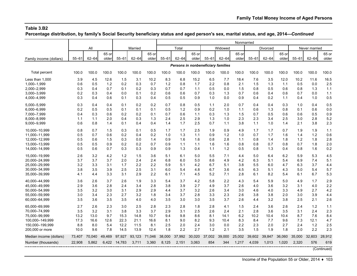**Percentage distribution, by family's Social Security beneficiary status and aged person's sex, marital status, and age, 2014—***Continued*

|                         |           |           |                |              |           |                |           |           |                |                                    |           | Nonmarried     |           |           |                |           |               |                |
|-------------------------|-----------|-----------|----------------|--------------|-----------|----------------|-----------|-----------|----------------|------------------------------------|-----------|----------------|-----------|-----------|----------------|-----------|---------------|----------------|
|                         |           | All       |                |              | Married   |                |           | Total     |                |                                    | Widowed   |                |           | Divorced  |                |           | Never married |                |
| Family income (dollars) | $55 - 61$ | $62 - 64$ | 65 or<br>older | $55 - 61$    | $62 - 64$ | 65 or<br>older | $55 - 61$ | $62 - 64$ | 65 or<br>older | $55 - 61$                          | $62 - 64$ | 65 or<br>older | $55 - 61$ | $62 - 64$ | 65 or<br>older | $55 - 61$ | $62 - 64$     | 65 or<br>older |
|                         |           |           |                |              |           |                |           |           |                | Persons in nonbeneficiary families |           |                |           |           |                |           |               |                |
| Total percent           | 100.0     | 100.0     | 100.0          | 100.0        | 100.0     | 100.0          | 100.0     | 100.0     | 100.0          | 100.0                              | 100.0     | 100.0          | 100.0     | 100.0     | 100.0          | 100.0     | 100.0         | 100.0          |
| Less than 1,000         | 3.9       | 4.5       | 12.6           | 1.5          | 3.1       | 10.2           | 8.3       | 6.8       | 15.2           | 6.5                                | 7.7       | 18.4           | 7.6       | 3.5       | 12.0           | 10.2      | 11.6          | 16.5           |
| 1,000-1,999             | 0.6       | 0.5       | 1.2            | 0.2          | 0.3       | 0.7            | 1.2       | 0.8       | 1.7            | 2.2                                | 0.8       | 2.1            | 1.5       | 1.3       | 1.1            | 0.5       | 0.0           | 2.5            |
| 2,000-2,999             | 0.3       | 0.4       | 0.7            | 0.1          | 0.2       | 0.3            | 0.7       | 0.7       | 1.1            | 0.5                                | 0.0       | 1.5            | 0.8       | 0.5       | 0.6            | 0.8       | 1.3           | $1.1$          |
| 3,000-3,999             | 0.2       | 0.3       | 0.4            | 0.0          | 0.1       | 0.2            | 0.6       | 0.6       | 0.7            | 0.3                                | 1.3       | 0.7            | 0.6       | 0.4       | 0.6            | 0.7       | 0.0           | 1.1            |
| 4,000-4,999             | 0.3       | 0.4       | 0.6            | 0.1          | 0.3       | 0.4            | 0.5       | 0.5       | 0.9            | 1.0                                | 0.0       | 0.9            | 0.4       | 0.2       | 1.1            | 0.4       | 1.0           | 0.5            |
| 5,000-5,999             | 0.3       | 0.4       | 0.4            | 0.1          | 0.2       | 0.2            | 0.7       | 0.8       | 0.5            | 1.1                                | 2.0       | 0.7            | 0.4       | 0.4       | 0.3            | 1.0       | 0.4           | 0.5            |
| 6,000-6,999             | 0.2       | 0.5       | 0.5            | 0.1          | 0.1       | 0.1            | 0.5       | $1.2$     | 0.9            | 0.2                                | 1.0       | 1.1            | 0.6       | 1.3       | 0.8            | 0.1       | 0.6           | 0.0            |
| 7.000-7.999             | 0.4       | 0.3       | 0.6            | 0.2          | 0.2       | 0.1            | 0.7       | 0.6       | 1.1            | 0.3                                | 1.3       | 1.5            | 0.7       | 0.5       | 0.6            | 0.6       | 0.5           | 0.9            |
| 8,000-8,999             | 1.1       | 1.1       | 2.0            | 0.4          | 0.3       | 1.3            | 2.4       | 2.5       | 2.9            | 1.3                                | 1.0       | 2.3            | 2.3       | 3.4       | 2.5            | 3.0       | 2.8           | 5.2            |
| 9,000-9,999             | 0.6       | 0.8       | 1.4            | 0.1          | 0.4       | 0.4            | 1.4       | 1.7       | 2.5            | 0.7                                | 1.1       | 3.8            | 1.1       | 1.0       | 1.4            | 2.1       | 3.8           | 2.3            |
| 10,000-10,999           | 0.8       | 0.7       | 1.5            | 0.3          | 0.1       | 0.5            | 1.7       | 1.7       | 2.5            | 1.9                                | 0.9       | 4.9            | 1.7       | 1.7       | 0.7            | 1.9       | 1.9           | 1.1            |
| 11,000-11,999           | 0.5       | 0.7       | 0.6            | 0.2          | 0.4       | 0.2            | 1.0       | 1.3       | 1.1            | 0.9                                | 1.2       | 1.0            | 0.7       | 1.7       | 1.6            | 1.4       | 1.2           | 0.6            |
| 12,000-12,999           | 0.5       | 0.6       | 1.5            | 0.3          | 0.0       | 1.4            | 0.9       | 1.6       | 1.6            | 0.8                                | 2.8       | 1.1            | 0.8       | 1.4       | 1.8            | 1.2       | 1.8           | 2.8            |
| 13,000-13,999           | 0.5       | 0.5       | 0.9            | 0.2          | 0.2       | 0.7            | 0.9       | 1.1       | 1.1            | 1.6                                | 1.6       | 0.8            | 0.8       | 0.7       | 0.8            | 0.7       | 1.8           | 2.0            |
| 14,000-14,999           | 0.5       | 0.6       | 0.7            | 0.3          | 0.3       | 0.9            | 0.9       | 1.3       | 0.4            | 1.1                                | 1.2       | 0.5            | 0.8       | 1.3       | 0.4            | 0.8       | 1.6           | 0.2            |
| 15,000-19,999           | 2.6       | 3.2       | 4.2            | 1.2          | 1.5       | 3.6            | 5.1       | 6.1       | 5.0            | 5.5                                | 7.1       | 4.4            | 5.0       | 6.4       | 6.2            | 5.9       | 5.3           | 4.5            |
| 20,000-24,999           | 3.7       | 3.7       | 3.7            | 2.0          | 2.4       | 2.4            | 6.8       | 6.0       | 5.0            | 8.6                                | 4.9       | 4.2            | 6.3       | 5.1       | 5.4            | 6.9       | 7.4           | 5.1            |
| 25.000-29.999           | 3.2       | 3.3       | 3.1            | 1.7          | 2.2       | 2.2            | 5.9       | 5.1       | 4.2            | 6.7                                | 5.1       | 3.8            | 5.5       | 6.0       | 4.7            | 6.3       | 3.7           | 4.4            |
| 30,000-34,999           | 3.8       | 3.5       | 3.9            | 2.5          | 2.5       | 3.1            | 6.0       | 5.4       | 4.8            | 6.7                                | 3.6       | 4.5            | 6.3       | 5.1       | 4.3            | 5.0       | 5.4           | 5.7            |
| 35,000-39,999           | 4.1       | 4.4       | 3.3            | 3.1          | 2.9       | 2.2            | 6.1       | 7.1       | 4.5            | 5.2                                | 7.1       | 2.8            | 6.1       | 8.2       | 5.4            | 6.1       | 6.7           | 5.3            |
| 40,000-44,999           | 3.6       | 2.6       | 3.7            | 2.6          | 1.9       | 3.3            | 5.4       | 3.7       | 4.2            | 5.8                                | 2.2       | 4.3            | 5.4       | 5.9       | 5.0            | 4.9       | 1.7           | 2.9            |
| 45,000-49,999           | 2.9       | 3.6       | 2.8            | 2.4          | 3.4       | 2.8            | 3.8       | 3.9       | 2.7            | 4.9                                | 3.7       | 2.6            | 4.0       | 3.6       | 3.2            | 3.1       | 4.0           | 2.2            |
| 50,000-54,999           | 3.5       | 3.2       | 3.0            | 3.1          | 2.9       | 2.9            | 4.4       | 3.7       | 3.2            | 2.6                                | 3.4       | 3.0            | 4.6       | 4.0       | 3.3            | 4.9       | 2.7           | 4.2            |
| 55,000-59,999           | 3.0       | 3.4       | 2.3            | 2.7          | 3.2       | 1.8            | 3.4       | 3.7       | 2.8            | 3.3                                | 2.3       | 2.6            | 3.8       | 3.8       | 2.0            | 3.0       | 3.9           | 4.4            |
| 60,000-64,999           | 3.5       | 3.6       | 3.5            | 3.5          | 4.0       | 4.0            | 3.5       | 3.0       | 3.0            | 3.5                                | 3.7       | 2.6            | 4.4       | 3.2       | 3.8            | 2.5       | 2.1           | 2.6            |
| 65,000-69,999           | 2.7       | 2.6       | 2.3            | 3.0          | 2.5       | 2.8            | 2.3       | 2.8       | 1.8            | 2.8                                | 4.1       | 1.5            | 2.4       | 3.6       | 2.6            | 2.4       | 1.2           | 1.1            |
| 70.000-74.999           | 3.5       | 3.2       | 3.1            | 3.8          | 3.3       | 3.7            | 2.9       | 3.1       | 2.5            | 2.6                                | 2.4       | 2.1            | 2.8       | 3.6       | 3.5            | 3.1       | 2.4           | 2.3            |
| 75,000-99,999           | 13.2      | 13.0      | 9.7            | 15.3         | 14.8      | 10.7           | 9.4       | 9.8       | 8.6            | 8.1                                | 14.1      | 6.2            | 10.2      | 10.4      | 10.4           | 8.7       | 7.6           | 8.4            |
| 100,000-149,999         | 17.3      | 16.6      | 12.6           | 22.3         | 21.1      | 16.6           | 8.1       | 9.0       | 8.2            | 9.3                                | 10.4      | 8.3            | 8.4       | 7.7       | 9.6            | 7.3       | 12.1          | 4.7            |
| 150,000-199,999         | 8.8       | 8.0       | 5.4            | 12.2         | 11.5      | 8.1            | 2.5       | 2.0       | 2.4            | 3.0                                | 0.0       | 2.2            | 2.3       | 2.0       | 2.7            | 2.4       | 1.2           | 2.5            |
| 200,000 or more         | 10.0      | 9.6       | 7.8            | 14.5         | 13.9      | 12.4           | 1.8       | 2.2       | 2.7            | 1.2                                | 2.1       | 3.5            | 1.5       | 1.9       | 1.8            | 2.0       | 2.2           | 2.3            |
| Median income (dollars) | 73,407    | 70.040    | 49,469         | 97,927       | 93,123    | 71,046         | 38,000    | 37,992    | 30,020         | 37,002                             | 39,000    | 25,002         | 39,602    | 39,847    | 36.060         | 35,000    | 32,603        | 28,912         |
| Number (thousands)      | 22,908    | 5,862     |                | 6,422 14,783 | 3,711     | 3,360          | 8,125     | 2,151     | 3,063          | 854                                | 344       | 1,217          | 4,039     | 1,013     | 1,020          | 2,320     | 576           | 619            |
|                         |           |           |                |              |           |                |           |           |                |                                    |           |                |           |           |                |           |               |                |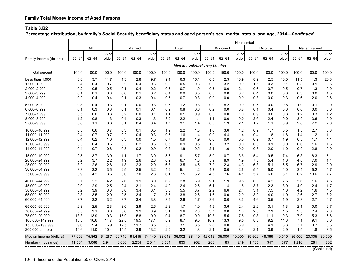**Percentage distribution, by family's Social Security beneficiary status and aged person's sex, marital status, and age, 2014—***Continued*

|                                  |              |              |              |              |              |              |            |            |            |                                |              | Nonmarried |            |                                            |             |            |               |             |
|----------------------------------|--------------|--------------|--------------|--------------|--------------|--------------|------------|------------|------------|--------------------------------|--------------|------------|------------|--------------------------------------------|-------------|------------|---------------|-------------|
|                                  |              | All          |              |              | Married      |              |            | Total      |            |                                | Widowed      |            |            | Divorced                                   |             |            | Never married |             |
|                                  |              |              | 65 or        |              |              | 65 or        |            |            | 65 or      |                                |              | 65 or      |            |                                            | 65 or       |            |               | 65 or       |
| Family income (dollars)          | $55 - 61$    | $62 - 64$    | older        | $55 - 61$    | $62 - 64$    | older        | $55 - 61$  | $62 - 64$  | older      | $55 - 61$                      | $62 - 64$    | older      | $55 - 61$  | $62 - 64$                                  | older       | $55 - 61$  | $62 - 64$     | older       |
|                                  |              |              |              |              |              |              |            |            |            | Men in nonbeneficiary families |              |            |            |                                            |             |            |               |             |
| Total percent                    | 100.0        | 100.0        | 100.0        | 100.0        | 100.0        | 100.0        | 100.0      | 100.0      | 100.0      | 100.0                          | 100.0        | 100.0      | 100.0      | 100.0                                      | 100.0       | 100.0      | 100.0         | 100.0       |
| Less than 1.000                  | 3.8          | 3.7          | 11.7         | 1.3          | 2.8          | 9.7          | 9.4        | 6.3        | 16.1       | 6.5                            | 2.3          | 18.9       | 8.9        | 2.5                                        | 13.0        | 11.5       | 11.3          | 20.8        |
| 1,000-1,999                      | 0.4          | 0.4          | 0.7          | 0.2          | 0.4          | 0.6          | 0.9        | 0.5        | 0.8        | 0.2                            | 3.2          | 0.0        | 1.5        | 0.3                                        | 0.1         | 0.3        | 0.1           | 2.5         |
| 2,000-2,999                      | 0.2          | 0.5          | 0.5          | 0.1          | 0.4          | 0.2          | 0.6        | 0.7        | 1.0        | 0.5                            | 0.0          | 2.1        | 0.6        | 0.7                                        | 0.5         | 0.7        | 1.3           | 0.0         |
| 3,000-3,999                      | 0.1          | 0.1          | 0.3          | 0.0          | 0.1          | 0.2          | 0.4        | 0.0        | 0.5        | 0.5                            | 0.0          | 0.2        | 0.4        | 0.0                                        | 0.0         | 0.3        | 0.0           | 1.5         |
| 4,000-4,999                      | 0.2          | 0.4          | 0.4          | 0.1          | 0.3          | 0.4          | 0.5        | 0.7        | 0.3        | 0.0                            | 0.0          | 0.0        | 0.3        | 0.0                                        | 0.3         | 0.6        | 2.0           | 0.6         |
| 5,000-5,999                      | 0.3          | 0.4          | 0.3          | 0.1          | 0.0          | 0.3          | 0.7        | 1.2        | 0.3        | 0.0                            | 8.2          | 0.0        | 0.5        | 0.0                                        | 0.8         | 1.0        | 0.1           | 0.0         |
| 6,000-6,999                      | 0.1          | 0.3          | 0.3          | 0.1          | 0.1          | 0.1          | 0.2        | 0.8        | 0.6        | 0.2                            | 0.0          | 0.8        | 0.1        | 0.4                                        | 0.6         | 0.0        | 0.0           | 0.0         |
| 7,000-7,999                      | 0.5          | 0.0          | 0.3          | 0.2          | 0.0          | 0.1          | 1.1        | 0.1        | 0.9        | 0.0                            | 0.0          | 1.0        | 0.9        | 0.0                                        | 0.8         | 1.2        | 0.3           | 1.2         |
| 8,000-8,999                      | 1.2          | 0.8          | 1.3          | 0.4          | 0.3          | 1.3          | 3.0        | 2.2        | 1.4        | 1.4                            | 0.0          | 0.0        | 2.6        | 2.4                                        | 0.0         | 3.9        | 3.6           | 5.0         |
| 9,000-9,999                      | 0.6          | 1.1          | 0.8          | 0.1          | 0.4          | 0.4          | 1.7        | 3.1        | 1.4        | 0.5                            | 1.9          | 2.1        | 1.2        | 1.1                                        | 0.9         | 2.8        | 7.2           | 2.0         |
| 10,000-10,999                    | 0.5          | 0.6          | 0.7          | 0.3          | 0.1          | 0.5          | 1.2        | 2.2        | 1.3        | 1.6                            | 3.6          | 4.2        | 0.9        | 1.7                                        | 0.5         | 1.5        | 2.7           | 0.3         |
| 11,000-11,999                    | 0.4          | 0.7          | 0.7          | 0.2          | 0.4          | 0.3          | 0.7        | 1.6        | 1.4        | 0.0                            | 4.4          | 1.4        | 0.4        | 1.8                                        | 1.8         | 1.4        | 1.2           | 1.1         |
| 12,000-12,999                    | 0.4          | 0.2          | 1.6          | 0.3          | 0.0          | 1.5          | 0.7        | 0.9        | 1.9        | 0.0                            | 0.0          | 0.0        | 0.9        | 0.7                                        | 1.9         | 0.5        | 1.7           | 4.1         |
| 13,000-13,999                    | 0.3          | 0.4          | 0.6          | 0.3          | 0.2          | 0.6          | 0.5        | 0.9        | 0.5        | 1.6                            | 3.2          | 0.0        | 0.3        | 0.1                                        | 0.0         | 0.6        | 1.6           | 1.6         |
| 14,000-14,999                    | 0.4          | 0.7          | 0.8          | 0.3          | 0.2          | 0.9          | 0.6        | 1.9        | 0.5        | 2.4                            | 1.0          | 0.0        | 0.3        | 2.0                                        | 1.0         | 0.9        | 2.8           | 0.0         |
| 15,000-19,999                    | 2.5          | 3.7          | 3.9          | 1.1          | 1.7          | 3.0          | 5.6        | 9.1        | 5.7        | 5.0                            | 10.7         | 3.6        | 5.4        | 9.5                                        | 7.4         | 6.8        | 8.3           | 5.1         |
| 20,000-24,999                    | 3.2          | 3.7          | 2.2          | 1.9          | 2.6          | 2.3          | 6.2        | 6.7        | 1.8        | 5.9                            | 8.9          | 1.9        | 7.3        | 5.4                                        | 1.6         | 4.8        | 7.0           | 1.4         |
| 25,000-29,999                    | 3.2          | 2.6          | 2.8          | 1.8          | 2.3          | 2.0          | 6.3        | 3.5        | 4.5        | 7.2                            | 2.3          | 4.3        | 6.3        | 5.1                                        | 6.5         | 6.7        | 2.9           | 2.0         |
| 30,000-34,999                    | 3.3          | 3.2          | 3.5          | 2.5          | 2.5          | 3.2          | 4.9        | 5.1        | 4.2        | 4.3                            | 0.0          | 2.6        | 5.5        | 5.0                                        | 4.0         | 3.4        | 5.2           | 4.7         |
| 35,000-39,999                    | 3.9          | 4.2          | 3.6          | 3.0          | 3.0          | 2.3          | 6.1        | 7.5        | 6.2        | 4.5                            | 7.6          | 4.1        | 5.7        | 6.0                                        | 6.1         | 6.2        | 10.6          | 7.7         |
| 40,000-44,999                    | 3.7          | 2.2          | 4.2          | 2.6          | 1.9          | 3.0          | 6.2        | 2.8        | 6.9        | 9.1                            | 1.9          | 9.5        | 6.3        | 4.2                                        | 7.5         | 5.6        | 1.6           | 4.5         |
| 45,000-49,999                    | 2.9          | 2.9          | 2.5          | 2.4          | 3.1          | 2.4          | 4.0        | 2.4        | 2.6        | 6.1                            | 1.4          | 1.5        | 3.7        | 2.3                                        | 3.9         | 4.0        | 2.4           | 1.7         |
| 50,000-54,999                    | 3.2          | 3.9          | 3.3          | 3.0          | 3.4          | 3.1          | 3.6        | 5.5        | 3.7        | 2.2                            | 6.6          | 2.4        | 3.1        | 7.5                                        | 4.6         | 4.2        | 1.6           | 4.5         |
| 55.000-59.999<br>60,000-64,999   | 2.8<br>3.7   | 3.5<br>3.2   | 2.0<br>3.2   | 2.5<br>3.7   | 3.4<br>3.4   | 1.7<br>3.8   | 3.5<br>3.5 | 3.8<br>2.6 | 2.6<br>1.7 | 1.6<br>3.6                     | 0.0<br>0.0   | 2.9<br>3.3 | 3.9<br>4.6 | 4.0<br>3.5                                 | 1.9<br>1.9  | 2.6<br>2.8 | 2.7<br>2.7    | 3.2<br>0.7  |
|                                  |              |              |              |              |              |              |            |            |            |                                |              |            |            |                                            |             |            |               |             |
| 65.000-69.999                    | 2.8          | 2.5          | 2.3          | 3.0          | 2.9          | 2.5          | 2.2        | 1.7        | 1.9        | 4.5                            | 3.6          | 2.4        | 2.2        | 3.1                                        | 1.3         | 2.1        | 0.0           | 2.7         |
| 70,000-74,999                    | 3.5          | 3.1          | 3.6          | 3.6          | 3.2          | 3.9          | 3.1        | 2.6        | 2.8        | 3.7                            | 0.0          | 1.3        | 2.8        | 2.3                                        | 4.5         | 3.5        | 2.4           | 2.3         |
| 75,000-99,999<br>100,000-149,999 | 13.3<br>18.3 | 13.9<br>16.6 | 10.3<br>14.7 | 15.0<br>22.8 | 15.8<br>19.5 | 10.9<br>17.1 | 9.4<br>8.2 | 8.7<br>8.7 | 9.0<br>9.5 | 10.8<br>10.9                   | 15.5<br>13.3 | 7.8<br>9.5 | 9.8<br>8.5 | 11.1<br>9.2                                | 9.3<br>11.3 | 7.9<br>7.1 | 5.3<br>9.1    | 6.6<br>5.0  |
| 150,000-199,999                  | 9.6          | 9.4          | 6.9          | 12.5         | 11.7         | 8.5          | 3.0        | 3.1        | 3.5        | 2.8                            | 0.0          | 3.9        | 3.0        | 4.1                                        | 3.3         | 3.7        | 0.7           | 3.6         |
| 200,000 or more                  | 10.6         | 11.0         | 10.4         | 14.5         | 13.9         | 13.2         | 2.0        | 3.2        | 4.3        | 2.4                            | 0.5          | 8.4        | 2.1        | 3.9                                        | 2.9         | 1.5        | 1.8           | 3.5         |
|                                  |              |              |              |              |              |              |            |            |            |                                |              |            |            |                                            |             |            |               |             |
| Median income (dollars)          | 77.006       | 75.862       | 61.287       | 99,719       | 91,415       | 74,140       | 38,018     | 36.002     | 38.410     | 42.012                         | 35,000       | 40.000     | 39.602     | 48.369                                     | 40.010      | 35,000     | 23.305        | 30,000      |
| Number (thousands)               | 11,584       | 3,088        | 2,944        | 8,000        | 2,254        | 2,011        | 3,584      | 835        | 932        | 206                            | 85           | 219        | 1,735      | 347<br>----------------------------------- | 377         | 1,216      | 281           | 262         |
|                                  |              |              |              |              |              |              |            |            |            |                                |              |            |            |                                            |             |            |               | (Continued) |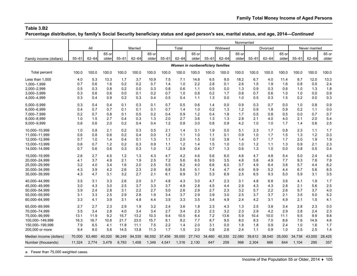**Percentage distribution, by family's Social Security beneficiary status and aged person's sex, marital status, and age, 2014—***Continued*

|                                |             |             |                |             |             |                |            |             |                |                                  |             | Nonmarried     |            |             |                |            |               |                |
|--------------------------------|-------------|-------------|----------------|-------------|-------------|----------------|------------|-------------|----------------|----------------------------------|-------------|----------------|------------|-------------|----------------|------------|---------------|----------------|
|                                |             | All         |                |             | Married     |                |            | Total       |                |                                  | Widowed     |                |            | Divorced    |                |            | Never married |                |
| Family income (dollars)        | $55 - 61$   | $62 - 64$   | 65 or<br>older | $55 - 61$   | $62 - 64$   | 65 or<br>older | $55 - 61$  | $62 - 64$   | 65 or<br>older | $55 - 61$                        | $62 - 64$   | 65 or<br>older | $55 - 61$  | $62 - 64$   | 65 or<br>older | $55 - 61$  | $62 - 64$     | 65 or<br>older |
|                                |             |             |                |             |             |                |            |             |                | Women in nonbeneficiary families |             |                |            |             |                |            |               |                |
| Total percent                  | 100.0       | 100.0       | 100.0          | 100.0       | 100.0       | 100.0          | 100.0      | 100.0       | 100.0          | 100.0                            | 100.0       | 100.0          | 100.0      | 100.0       | 100.0          | 100.0      | 100.0         | 100.0          |
| Less than 1,000                | 4.0         | 5.3         | 13.3           | 1.7         | 3.7         | 10.9           | 7.5        | 7.1         | 14.8           | 6.5                              | 9.5         | 18.2           | 6.7        | 4.0         | 11.4           | 8.7        | 12.0          | 13.3           |
| 1.000-1.999                    | 0.7         | 0.6         | 1.6            | 0.2         | 0.2         | 0.7            | 1.4        | 1.0         | 2.2            | 2.8                              | 0.1         | 2.6            | 1.5        | 1.9         | 1.6            | 0.8        | 0.0           | 2.4            |
| 2,000-2,999<br>3,000-3,999     | 0.5<br>0.3  | 0.3<br>0.6  | 0.8<br>0.6     | 0.2<br>0.0  | 0.0<br>0.1  | 0.3<br>0.2     | 0.8<br>0.7 | 0.6<br>1.0  | 1.1<br>0.8     | 0.5<br>0.2                       | 0.0<br>1.7  | 1.3<br>0.8     | 0.9        | 0.3<br>0.6  | 0.6<br>1.0     | 1.0        | 1.3<br>0.0    | 1.8<br>0.9     |
| 4,000-4,999                    | 0.3         | 0.4         | 0.9            | 0.2         | 0.3         | 0.4            | 0.5        | 0.4         | 1.1            | 1.3                              | 0.0         | 1.0            | 0.7<br>0.5 | 0.3         | 1.5            | 1.0<br>0.2 | 0.0           | 0.3            |
| 5.000-5.999                    | 0.3         | 0.4         | 0.4            | 0.1         | 0.3         | 0.1            | 0.7        | 0.5         | 0.6            | 1.4                              | 0.0         | 0.9            | 0.3        | 0.7         | 0.0            | 1.0        | 0.8           | 0.9            |
| 6,000-6,999                    | 0.4         | 0.7         | 0.7            | 0.1         | 0.1         | 0.1            | 0.7        | 1.4         | 1.0            | 0.2                              | 1.3         | 1.2            | 0.9        | 1.8         | 0.9            | 0.2        | 1.1           | 0.0            |
| 7,000-7,999                    | 0.2         | 0.7         | 0.8            | 0.1         | 0.5         | 0.2            | 0.4        | 0.9         | 1.2            | 0.4                              | 1.8         | 1.7            | 0.5        | 0.8         | 0.5            | 0.0        | 0.7           | 0.7            |
| 8,000-8,999                    | 1.0         | 1.5         | 2.7            | 0.4         | 0.3         | 1.3            | 2.0        | 2.7         | 3.6            | 1.3                              | 1.3         | 2.8            | 2.1        | 4.0         | 4.0            | 2.1        | 2.0           | 5.4            |
| 9,000-9,999                    | 0.6         | 0.6         | 2.0            | 0.2         | 0.4         | 0.4            | 1.2        | 0.8         | 3.0            | 0.8                              | 0.9         | 4.2            | 1.0        | 1.0         | 1.7            | 1.4        | 0.6           | 2.5            |
| 10,000-10,999                  | 1.0         | 0.8         | 2.1            | 0.2         | 0.3         | 0.5            | 2.1        | 1.4         | 3.1            | 1.9                              | 0.0         | 5.1            | 2.3        | 1.7         | 0.8            | 2.3        | 1.1           | 1.7            |
| 11.000-11.999                  | 0.6         | 0.8         | 0.6            | 0.2         | 0.4         | 0.0            | 1.2        | 1.1         | 1.0            | 1.1                              | 0.1         | 0.9            | 1.0        | 1.7         | 1.5            | 1.3        | 1.2           | 0.3            |
| 12,000-12,999                  | 0.7         | 1.0         | 1.4            | 0.4         | 0.1         | 1.3            | 1.1        | 2.0         | 1.5            | 1.0                              | 3.8         | 1.4            | 0.7        | 1.7         | 1.7            | 2.0        | 1.9           | 1.9            |
| 13,000-13,999                  | 0.6         | 0.7         | 1.2            | 0.2         | 0.3         | 0.9            | 1.1        | 1.2         | 1.4            | 1.5                              | 1.0         | 1.0            | 1.2        | 1.1         | 1.3            | 0.9        | 2.1           | 2.3            |
| 14,000-14,999                  | 0.7         | 0.6         | 0.6            | 0.3         | 0.3         | 1.0            | 1.2        | 0.9         | 0.4            | 0.7                              | 1.3         | 0.6            | 1.3        | 1.0         | 0.0            | 0.8        | 0.5           | 0.4            |
| 15,000-19,999                  | 2.6         | 2.7         | 4.5            | 1.2         | 1.3         | 4.3            | 4.7        | 4.2         | 4.6            | 5.6                              | 6.0         | 4.6            | 4.7        | 4.8         | 5.4            | 5.0        | 2.4           | 4.0            |
| 20,000-24,999                  | 4.1         | 3.7         | 4.9            | 2.1         | 1.9         | 2.5            | 7.2        | 5.6         | 6.5            | 9.5                              | 3.5         | 4.8            | 5.6        | 4.9         | 7.7            | 9.3        | 7.8           | 7.8            |
| 25.000-29.999                  | 3.2         | 4.0         | 3.4            | 1.6         | 2.0         | 2.5            | 5.5        | 6.2         | 4.0            | 6.6                              | 6.0         | 3.7            | 4.9        | 6.4         | 3.6            | 5.7        | 4.4           | 6.2            |
| 30,000-34,999                  | 4.3         | 3.9         | 4.2            | 2.6         | 2.3         | 2.9            | 6.8        | 5.6         | 5.1            | 7.4                              | 4.7         | 4.9            | 6.9        | 5.2         | 4.4            | 6.7        | 5.6           | 6.5            |
| 35,000-39,999                  | 4.3         | 4.7         | 3.1            | 3.2         | 2.7         | 2.1            | 6.1        | 6.9         | 3.7            | 5.3                              | 6.9         | 2.5            | 6.5        | 9.3         | 5.0            | 5.9        | 3.1           | 3.5            |
| 40,000-44,999                  | 3.5         | 3.1         | 3.3            | 2.6         | 2.0         | 3.7            | 4.8        | 4.3         | 3.0            | 4.7                              | 2.3         | 3.1            | 4.8        | 6.8         | 3.6            | 4.1        | 1.9           | 1.7            |
| 45,000-49,999                  | 3.0         | 4.3         | 3.0            | 2.5         | 3.7         | 3.3            | 3.7        | 4.9         | 2.8            | 4.5                              | 4.4         | 2.9            | 4.3        | 4.3         | 2.8            | 2.1        | 5.6           | 2.5            |
| 50,000-54,999                  | 3.9         | 2.4         | 2.8            | 3.1         | 2.2         | 2.7            | 5.0        | 2.6         | 2.9            | 2.7                              | 2.3         | 3.2            | 5.7        | 2.2         | 2.6            | 5.7        | 3.7           | 4.0            |
| 55,000-59,999                  | 3.1         | 3.3         | 2.5            | 2.9         | 2.8         | 1.9            | 3.4        | 3.7         | 2.9            | 3.9                              | 3.0         | 2.5            | 3.7        | 3.7         | 2.1            | 3.5        | 5.0           | 5.2            |
| 60,000-64,999                  | 3.3         | 4.1         | 3.9            | 3.1         | 4.8         | 4.4            | 3.5        | 3.3         | 3.5            | 3.4                              | 4.9         | 2.4            | 4.2        | 3.1         | 4.9            | 2.1        | 1.5           | 4.1            |
| 65,000-69,999                  | 2.7         | 2.7         | 2.3            | 2.9         | 1.9         | 3.2            | 2.4        | 3.6         | 1.8            | 2.3                              | 4.3         | 1.3            | 2.5<br>2.9 | 3.8         | 3.4            | 2.8        | 2.3           | 0.0            |
| 70.000-74.999<br>75,000-99,999 | 3.5<br>13.1 | 3.4<br>11.9 | 2.8<br>9.2     | 4.0<br>15.7 | 3.4<br>13.2 | 3.4<br>10.3    | 2.7<br>9.4 | 3.4<br>10.5 | 2.3<br>8.4     | 2.3<br>7.2                       | 3.2<br>13.6 | 2.3<br>5.9     | 10.4       | 4.2<br>10.0 | 2.9<br>11.1    | 2.8<br>9.5 | 2.4<br>9.9    | 2.3<br>9.8     |
| 100,000-149,999                | 16.3        | 16.7        | 10.8           | 21.7        | 23.5        | 15.7           | 8.1        | 9.2         | 7.7            | 8.7                              | 9.5         | 8.0            | 8.3        | 7.0         | 8.6            | 7.6        | 14.9          | 4.6            |
| 150,000-199,999                | 7.9         | 6.5         | 4.1            | 11.8        | 11.1        | 7.5            | 2.2        | 1.4         | 2.0            | 3.1                              | 0.0         | 1.9            | 1.8        | 0.9         | 2.4            | 1.0        | 1.6           | 1.7            |
| 200,000 or more                | 9.4         | 8.0         | 5.6            | 14.5        | 13.8        | 11.3           | 1.7        | 1.5         | 2.0            | 0.8                              | 2.6         | 2.4            | 1.1        | 0.9         | 1.0            | 2.5        | 2.5           | 1.4            |
| Median income (dollars)        | 70,000      | 63,460      | 40,020         | 96,249      | 94,535      | 66,592         | 37,456     | 39,000      | 27,743         | 34,460                           | 40,330      | 22,080         | 39,612     | 38,540      | 35,000         | 34,738     | 43,000        | 28,425         |
| Number (thousands)             | 11,324      | 2.774       | 3.479          | 6.783       | 1,458       | 1,349          | 4.541      | 1.316       | 2.130          | 647                              | 259         | 998            | 2,304      | 666         | 644            | 1,104      | 295           | 357            |

a. Fewer than 75,000 weighted cases.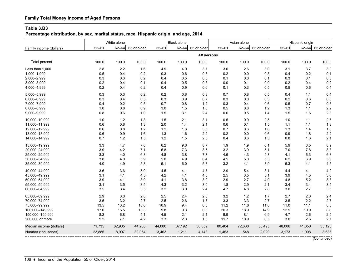# **Family Total Money Income of Aged Persons**

#### **Table 3.B3**

**Percentage distribution, by sex, marital status, race, Hispanic origin, and age, 2014**

|                         |           | White alone |             |           | <b>Black alone</b> |             |           | Asian alone |             |           | Hispanic origin |             |
|-------------------------|-----------|-------------|-------------|-----------|--------------------|-------------|-----------|-------------|-------------|-----------|-----------------|-------------|
| Family income (dollars) | $55 - 61$ | $62 - 64$   | 65 or older | $55 - 61$ | $62 - 64$          | 65 or older | $55 - 61$ | $62 - 64$   | 65 or older | $55 - 61$ | $62 - 64$       | 65 or older |
|                         |           |             |             |           |                    | All persons |           |             |             |           |                 |             |
| <b>Total percent</b>    | 100.0     | 100.0       | 100.0       | 100.0     | 100.0              | 100.0       | 100.0     | 100.0       | 100.0       | 100.0     | 100.0           | 100.0       |
| Less than 1,000         | 2.8       | 2.2         | 1.6         | 4.9       | 4.0                | 3.7         | 3.0       | 2.6         | 3.0         | 3.1       | 3.7             | 3.0         |
| 1,000-1,999             | 0.5       | 0.4         | 0.2         | 0.3       | 0.6                | 0.3         | 0.2       | 0.0         | 0.3         | 0.4       | 0.2             | 0.1         |
| 2,000-2,999             | 0.3       | 0.3         | 0.2         | 0.4       | 0.5                | 0.3         | 0.1       | 0.0         | 0.1         | 0.3       | 0.1             | 0.5         |
| 3,000-3,999             | 0.2       | 0.4         | 0.1         | 0.4       | 0.5                | 0.3         | 0.0       | 0.1         | 0.0         | 0.2       | 0.4             | 0.2         |
| 4,000-4,999             | 0.2       | 0.4         | 0.2         | 0.4       | 0.9                | 0.6         | 0.1       | 0.3         | 0.5         | 0.5       | 0.6             | 0.4         |
| 5,000-5,999             | 0.3       | 0.3         | $0.2\,$     | 0.2       | 0.8                | 0.3         | 0.7       | 0.8         | 0.5         | 0.4       | 1.1             | 0.4         |
| 6,000-6,999             | 0.3       | 0.4         | 0.5         | 0.3       | 0.9                | 0.7         | 0.3       | 0.0         | 0.3         | 0.2       | 0.6             | 0.8         |
| 7,000-7,999             | 0.4       | 0.2         | 0.5         | 0.7       | 0.8                | 1.2         | 0.3       | 0.4         | 0.6         | 0.5       | 0.7             | 0.5         |
| 8,000-8,999             | 1.0       | 0.8         | 0.9         | 3.0       | 1.5                | 1.6         | 0.5       | 0.8         | $1.2$       | 1.3       | 1.1             | 2.2         |
| 9,000-9,999             | 0.8       | 0.6         | 1.0         | 1.5       | 3.1                | 2.4         | 0.6       | 0.5         | 1.4         | 1.5       | 1.6             | 2.3         |
| 10,000-10,999           | 1.0       | $1.2$       | 1.3         | 1.5       | 2.1                | 3.1         | 0.5       | 0.9         | 2.5         | 1.0       | 1.1             | 2.6         |
| 11,000-11,999           | 0.6       | 0.8         | 1.3         | 2.0       | 1.4                | 2.1         | 0.6       | 0.1         | 1.5         | 1.1       | 1.1             | 1.8         |
| 12,000-12,999           | 0.6       | 0.8         | 1.2         | 1.2       | 1.6                | 3.5         | 0.7       | 0.6         | 1.6         | 1.3       | 1.4             | 1.8         |
| 13,000-13,999           | 0.6       | 0.9         | 1.6         | 1.3       | 1.6                | 2.2         | 0.2       | 0.0         | 0.6         | 0.9       | 1.8             | 2.2         |
| 14,000-14,999           | 0.7       | $1.2$       | 1.5         | $1.2$     | 1.5                | 2.5         | 0.4       | 0.6         | 1.3         | 0.8       | 1.6             | 2.1         |
| 15,000-19,999           | 3.3       | 4.7         | 7.6         | 6.2       | 9.6                | 8.7         | 1.9       | 1.9         | 6.1         | 5.9       | 6.5             | 8.9         |
| 20,000-24,999           | 3.9       | 4.2         | 7.1         | 5.8       | 7.3                | 8.5         | 3.2       | 3.9         | 5.1         | 7.0       | 7.8             | 8.3         |
| 25,000-29,999           | 3.3       | 4.0         | 6.8         | 4.8       | 3.8                | 7.7         | 4.5       | 4.3         | 4.8         | 4.1       | 6.3             | 6.3         |
| 30,000-34,999           | 3.8       | 4.0         | 5.9         | 5.0       | 4.9                | 6.4         | 4.5       | 5.0         | 5.3         | 6.2       | 6.9             | 5.3         |
| 35,000-39,999           | 4.0       | 4.9         | 5.8         | 5.1       | 6.0                | 5.3         | 3.2       | 4.1         | 3.9         | 6.3       | 4.1             | 4.5         |
| 40,000-44,999           | 3.6       | 3.6         | 5.0         | 4.5       | 4.1                | 4.7         | 2.9       | 5.4         | 3.1         | 4.4       | 4.1             | 4.2         |
| 45,000-49,999           | 3.1       | 4.1         | 4.5         | 4.2       | 4.1                | 4.3         | 2.5       | 3.5         | 3.1         | 3.9       | 4.5             | 3.6         |
| 50,000-54,999           | 3.9       | 4.1         | 3.9         | 4.1       | 3.8                | 3.2         | 2.9       | 2.7         | 4.9         | 4.8       | 5.2             | 3.8         |
| 55,000-59,999           | 3.1       | 3.5         | 3.5         | 4.3       | 3.2                | 3.0         | 1.8       | 2.9         | 2.1         | 3.4       | 3.4             | 3.5         |
| 60,000-64,999           | 3.5       | 3.4         | 3.5         | 3.2       | 3.0                | 2.4         | 4.7       | 4.8         | 2.8         | 3.0       | 2.7             | 3.5         |
| 65,000-69,999           | 2.9       | 3.0         | 2.8         | 2.5       | 2.4                | 2.8         | 3.2       | 1.2         | 1.7         | 2.7       | 2.0             | 2.4         |
| 70,000-74,999           | 3.5       | 3.2         | 2.7         | 2.5       | 2.6                | 1.7         | 3.3       | 3.3         | 2.7         | 3.5       | 2.2             | 2.7         |
| 75,000-99,999           | 13.5      | 13.2        | 10.0        | 10.9      | 9.4                | 6.3         | 11.2      | 11.6        | 11.0        | 11.0      | 11.1            | 8.3         |
| 100,000-149,999         | 17.0      | 15.5        | 10.3        | 9.8       | 9.3                | 6.6         | 20.3      | 18.9        | 14.9        | 12.9      | 10.9            | 8.6         |
| 150,000-199,999         | 8.2       | 6.8         | 4.1         | 4.5       | 2.1                | 2.1         | 9.9       | 8.1         | 6.9         | 4.7       | 2.6             | 2.5         |
| 200,000 or more         | 9.2       | 7.1         | 4.2         | 3.3       | 2.3                | 1.6         | 11.7      | 10.9        | 6.5         | 3.0       | 2.6             | 2.7         |
| Median income (dollars) | 71,735    | 62,935      | 44,208      | 44,000    | 37,192             | 30,059      | 80,404    | 72,630      | 53,495      | 48,006    | 41,650          | 35,123      |
| Number (thousands)      | 23,885    | 8,997       | 39,054      | 3,463     | 1,211              | 4,143       | 1,453     | 548         | 2,029       | 3,173     | 1,008           | 3,636       |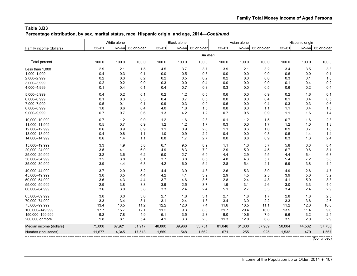**Percentage distribution, by sex, marital status, race, Hispanic origin, and age, 2014—***Continued*

|                         |           | White alone |             |           | <b>Black alone</b> |             |           | Asian alone |             |           | Hispanic origin |             |
|-------------------------|-----------|-------------|-------------|-----------|--------------------|-------------|-----------|-------------|-------------|-----------|-----------------|-------------|
| Family income (dollars) | $55 - 61$ | $62 - 64$   | 65 or older | $55 - 61$ | $62 - 64$          | 65 or older | $55 - 61$ | $62 - 64$   | 65 or older | $55 - 61$ | $62 - 64$       | 65 or older |
|                         |           |             |             |           |                    | All men     |           |             |             |           |                 |             |
| Total percent           | 100.0     | 100.0       | 100.0       | 100.0     | 100.0              | 100.0       | 100.0     | 100.0       | 100.0       | 100.0     | 100.0           | 100.0       |
| Less than 1,000         | 2.9       | 2.1         | 1.5         | 4.5       | 3.7                | 3.7         | 3.9       | 2.1         | 3.2         | 3.4       | 3.5             | 3.3         |
| 1,000-1,999             | 0.4       | 0.3         | 0.1         | 0.0       | 0.5                | 0.3         | 0.0       | 0.0         | 0.0         | 0.6       | 0.0             | 0.1         |
| 2,000-2,999             | 0.2       | 0.3         | 0.2         | 0.2       | 0.5                | 0.2         | 0.2       | 0.0         | 0.0         | 0.3       | 0.1             | 1.0         |
| 3,000-3,999             | 0.2       | 0.2         | 0.0         | 0.3       | 0.0                | 0.4         | 0.0       | 0.0         | 0.0         | 0.1       | 0.4             | 0.2         |
| 4,000-4,999             | 0.1       | 0.4         | 0.1         | 0.4       | 0.7                | 0.3         | 0.3       | 0.0         | 0.5         | 0.6       | 0.2             | 0.4         |
| 5,000-5,999             | 0.4       | 0.2         | 0.1         | 0.2       | $1.2$              | 0.5         | 0.6       | 0.0         | 0.9         | 0.2       | 1.6             | 0.1         |
| 6,000-6,999             | 0.1       | 0.3         | 0.3         | 0.4       | 0.7                | 0.5         | 0.0       | 0.0         | 0.4         | 0.1       | 0.4             | 0.5         |
| 7,000-7,999             | 0.5       | 0.1         | 0.1         | 0.9       | 0.3                | 0.9         | 0.6       | 0.0         | 0.4         | 0.3       | 0.3             | 0.6         |
| 8,000-8,999             | 1.0       | 0.6         | 0.4         | 4.0       | 1.8                | 1.5         | 0.8       | 0.0         | 1.1         | 1.1       | 0.4             | 1.5         |
| 9,000-9,999             | 0.7       | 0.7         | 0.6         | 1.3       | 4.2                | 1.2         | 0.7       | 0.5         | 0.9         | 1.1       | 1.6             | 1.4         |
| 10.000-10.999           | 0.7       | 1.2         | 0.9         | 1.2       | 1.6                | 2.8         | 0.1       | 1.2         | 1.5         | 0.7       | 1.6             | 2.3         |
| 11,000-11,999           | 0.5       | 0.7         | 0.9         | 1.2       | 1.2                | 1.7         | 0.3       | 0.0         | 1.7         | 1.2       | 1.0             | 1.8         |
| 12,000-12,999           | 0.6       | 0.9         | 0.9         | 1.1       | 0.9                | 2.6         | 1.1       | 0.6         | 1.0         | 0.9       | 0.7             | 1.6         |
| 13,000-13,999           | 0.4       | 0.8         | 1.1         | 1.0       | 0.9                | 2.2         | 0.4       | 0.0         | 0.3         | 0.5       | 1.4             | 1.4         |
| 14,000-14,999           | 0.6       | 1.4         | 1.1         | 0.8       | 1.7                | 2.7         | 0.0       | 0.8         | 0.9         | 0.3       | 1.3             | 2.4         |
| 15,000-19,999           | 3.3       | 4.9         | 5.8         | 6.7       | 9.5                | 8.9         | 1.1       | 1.0         | 5.7         | 5.8       | 6.3             | 8.4         |
| 20,000-24,999           | 3.5       | 4.1         | 6.0         | 4.9       | 8.3                | 7.9         | 2.9       | 5.0         | 4.5         | 6.7       | 9.6             | 8.1         |
| 25,000-29,999           | 3.2       | 3.6         | 6.2         | 5.0       | 2.7                | 6.9         | 4.4       | 2.9         | 5.5         | 4.4       | 6.4             | 6.3         |
| 30,000-34,999           | 3.5       | 3.8         | 6.1         | 3.7       | 3.8                | 6.5         | 4.8       | 4.3         | 5.7         | 5.4       | 7.2             | 5.6         |
| 35,000-39,999           | 3.9       | 4.4         | 6.3         | 4.2       | 6.0                | 5.4         | 2.8       | 5.4         | 4.1         | 6.9       | 3.8             | 4.9         |
| 40,000-44,999           | 3.7       | 2.9         | 5.2         | 4.4       | 3.9                | 4.3         | 2.6       | 5.3         | 3.0         | 4.9       | 2.6             | 4.7         |
| 45,000-49,999           | 3.0       | 3.5         | 4.4         | 4.2       | 4.1                | 3.9         | 2.9       | 4.5         | 2.5         | 3.9       | 5.0             | 3.2         |
| 50,000-54,999           | 3.6       | 4.3         | 4.4         | 3.7       | 4.6                | 3.6         | 2.8       | 2.4         | 4.8         | 4.1       | 5.0             | 3.8         |
| 55,000-59,999           | 2.9       | 3.8         | 3.8         | 3.9       | 2.5                | 3.7         | 1.9       | 3.1         | 2.6         | 3.0       | 3.3             | 4.0         |
| 60,000-64,999           | 3.6       | 3.0         | 3.8         | 3.3       | 2.4                | 2.4         | 5.1       | 2.7         | 3.3         | 3.4       | 2.4             | 2.9         |
| 65,000-69,999           | 3.0       | 3.0         | 3.0         | 2.7       | 1.8                | 3.1         | 2.7       | 1.8         | 1.7         | 2.8       | 1.8             | 2.3         |
| 70,000-74,999           | 3.3       | 3.4         | 3.1         | 3.1       | 2.4                | 1.8         | 3.4       | 3.0         | 2.2         | 3.3       | 3.6             | 2.6         |
| 75,000-99,999           | 13.4      | 13.5        | 11.2        | 12.2      | 12.0               | 7.4         | 11.6      | 10.5        | 11.1        | 11.2      | 12.0            | 10.0        |
| 100,000-149,999         | 17.7      | 15.7        | 12.1        | 11.2      | 9.3                | 8.3         | 21.7      | 20.4        | 16.0        | 13.5      | 11.4            | 9.6         |
| 150,000-199,999         | 9.2       | 7.8         | 4.9         | 5.1       | 3.5                | 2.3         | 9.0       | 10.6        | 7.9         | 5.6       | 3.2             | 2.4         |
| 200,000 or more         | 9.8       | 8.1         | 5.4         | 4.1       | 3.3                | 2.0         | 11.3      | 12.0        | 6.8         | 3.5       | 2.0             | 2.9         |
| Median income (dollars) | 75,000    | 67,921      | 51,917      | 48,800    | 39,968             | 33,751      | 81,048    | 81,000      | 57,969      | 50,004    | 44,532          | 37,738      |
| Number (thousands)      | 11,677    | 4,345       | 17,513      | 1,559     | 548                | 1,662       | 671       | 255         | 925         | 1,532     | 479             | 1,567       |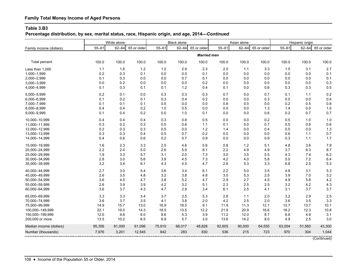# **Family Total Money Income of Aged Persons**

#### **Table 3.B3**

**Percentage distribution, by sex, marital status, race, Hispanic origin, and age, 2014—***Continued*

|                         |           | White alone |             |           | <b>Black alone</b> |                    |           | Asian alone |             |           | Hispanic origin |             |
|-------------------------|-----------|-------------|-------------|-----------|--------------------|--------------------|-----------|-------------|-------------|-----------|-----------------|-------------|
| Family income (dollars) | $55 - 61$ | $62 - 64$   | 65 or older | $55 - 61$ | $62 - 64$          | 65 or older        | $55 - 61$ | $62 - 64$   | 65 or older | $55 - 61$ | $62 - 64$       | 65 or older |
|                         |           |             |             |           |                    | <b>Married men</b> |           |             |             |           |                 |             |
| <b>Total percent</b>    | 100.0     | 100.0       | 100.0       | 100.0     | 100.0              | 100.0              | 100.0     | 100.0       | 100.0       | 100.0     | 100.0           | 100.0       |
| Less than 1,000         | 1.1       | 1.6         | $1.2$       | 1.2       | 2.9                | 2.3                | 2.0       | 1.1         | 3.3         | 1.5       | 3.1             | 2.7         |
| 1,000-1,999             | 0.2       | 0.3         | 0.1         | 0.0       | 0.0                | 0.1                | 0.0       | 0.0         | 0.0         | 0.0       | 0.0             | 0.1         |
| 2,000-2,999             | 0.1       | 0.3         | 0.0         | 0.0       | 0.7                | 0.1                | 0.0       | 0.0         | 0.0         | 0.0       | 0.0             | 0.1         |
| 3,000-3,999             | 0.0       | 0.2         | 0.0         | 0.0       | 0.0                | 0.2                | 0.0       | 0.0         | 0.0         | 0.0       | 0.0             | 0.3         |
| 4,000-4,999             | 0.1       | 0.3         | 0.1         | 0.1       | 1.2                | 0.4                | 0.1       | 0.0         | 0.6         | 0.3       | 0.3             | 0.5         |
| 5,000-5,999             | 0.2       | 0.1         | 0.0         | 0.3       | 0.3                | 0.3                | 0.7       | 0.0         | 0.7         | 0.1       | 1.1             | 0.2         |
| 6,000-6,999             | 0.1       | 0.2         | 0.1         | 0.3       | 0.4                | 0.2                | 0.0       | 0.0         | 0.3         | 0.0       | 0.0             | 0.4         |
| 7,000-7,999             | 0.1       | 0.1         | 0.1         | 0.5       | 0.0                | 0.0                | 0.8       | 0.0         | 0.0         | 0.2       | 0.5             | 0.8         |
| 8,000-8,999             | 0.4       | 0.4         | 0.2         | 1.0       | 0.5                | 0.0                | 0.0       | 0.0         | 1.3         | 1.4       | 0.0             | 1.0         |
| 9,000-9,999             | 0.1       | 0.4         | 0.2         | 0.0       | 1.0                | 0.1                | 0.0       | 0.0         | 0.6         | 0.2       | 0.7             | 0.7         |
| 10,000-10,999           | 0.4       | 0.4         | 0.4         | 0.3       | 0.8                | 0.5                | 0.0       | 0.0         | 0.2         | 0.5       | 1.0             | 1.0         |
| 11,000-11,999           | 0.3       | 0.2         | 0.3         | 0.5       | 0.6                | 1.1                | 0.1       | 0.0         | 0.7         | 0.5       | 0.6             | 0.6         |
| 12,000-12,999           | 0.2       | 0.3         | 0.3         | 0.5       | 0.0                | 1.2                | 1.4       | 0.0         | 0.4         | 0.5       | 0.0             | 1.3         |
| 13,000-13,999           | 0.3       | 0.3         | 0.4         | 0.5       | 0.7                | 0.2                | 0.0       | 0.0         | 0.0         | 0.6       | 1.1             | 0.7         |
| 14,000-14,999           | 0.4       | 0.6         | 0.6         | 0.2       | 0.7                | 0.9                | 0.0       | 0.0         | 0.9         | 0.3       | 1.1             | 1.7         |
| 15,000-19,999           | 1.6       | 2.3         | 3.3         | 2.5       | 4.6                | 5.6                | 0.8       | 1.2         | 5.1         | 4.8       | 3.6             | 7.9         |
| 20,000-24,999           | 2.2       | 2.4         | 5.0         | 2.6       | 5.9                | 8.1                | 2.2       | 4.9         | 4.9         | 3.7       | 6.3             | 8.7         |
| 25,000-29,999           | 1.9       | 3.3         | 5.7         | 3.1       | 2.0                | 7.3                | 3.0       | 3.5         | 5.5         | 4.3       | 7.4             | 6.2         |
| 30.000-34.999           | 2.8       | 3.0         | 5.6         | 3.9       | 4.5                | 7.3                | 4.2       | 4.0         | 5.8         | 5.0       | 7.2             | 6.4         |
| 35,000-39,999           | 3.2       | 3.4         | 6.1         | 4.3       | 4.5                | 4.7                | 2.6       | 5.3         | 3.3         | 6.8       | 2.5             | 5.3         |
| 40,000-44,999           | 2.7       | 3.0         | 5.4         | 3.6       | 3.4                | 6.1                | 2.2       | 5.0         | 3.5         | 4.8       | 3.1             | 5.3         |
| 45,000-49,999           | 2.6       | 3.5         | 4.8         | 3.2       | 3.8                | 4.8                | 3.0       | 5.3         | 2.5         | 3.9       | 7.0             | 3.2         |
| 50,000-54,999           | 3.6       | 4.5         | 4.7         | 3.8       | 5.2                | 4.7                | 2.9       | 2.7         | 4.5         | 4.9       | 5.8             | 4.2         |
| 55,000-59,999           | 2.6       | 3.9         | 3.9         | 4.2       | 3.2                | 5.1                | 2.3       | 2.5         | 2.5         | 3.2       | 4.2             | 4.3         |
| 60,000-64,999           | 3.6       | 3.7         | 4.3         | 4.7       | 2.9                | 3.4                | 6.1       | 2.5         | 4.1         | 3.1       | 3.7             | 3.7         |
| 65,000-69,999           | 3.3       | 3.3         | 3.4         | 3.7       | 3.5                | 5.3                | 2.8       | 1.1         | 2.0         | 3.2       | 2.9             | 2.5         |
| 70,000-74,999           | 3.6       | 3.7         | 3.5         | 4.1       | 3.8                | 2.0                | 4.2       | 2.5         | 2.0         | 3.6       | 3.5             | 3.3         |
| 75,000-99,999           | 14.9      | 15.7        | 13.0        | 16.9      | 18.5               | 9.1                | 11.9      | 11.3        | 12.1        | 12.7      | 13.7            | 10.1        |
| 100,000-149,999         | 22.1      | 19.0        | 14.3        | 18.5      | 13.5               | 12.2               | 21.9      | 20.9        | 16.6        | 18.2      | 12.3            | 10.8        |
| 150,000-199,999         | 12.0      | 9.6         | 6.0         | 8.6       | 5.3                | 3.9                | 11.2      | 12.0        | 8.7         | 6.8       | 4.9             | 3.1         |
| 200,000 or more         | 13.5      | 10.2        | 6.5         | 6.9       | 5.7                | 3.0                | 13.6      | 14.2        | 8.0         | 4.9       | 2.5             | 3.0         |
| Median income (dollars) | 95,356    | 81,000      | 61,096      | 75,910    | 68,017             | 48,828             | 92,605    | 90,000      | 64,555      | 63,004    | 51,560          | 43,300      |
| Number (thousands)      | 7,976     | 3,201       | 12,545      | 842       | 283                | 830                | 536       | 215         | 723         | 970       | 304             | 1,044       |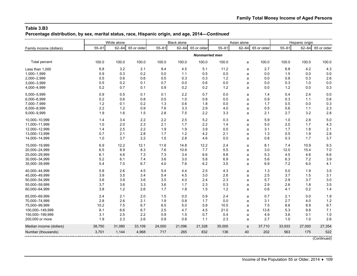**Percentage distribution, by sex, marital status, race, Hispanic origin, and age, 2014—***Continued*

|                         |           | White alone |             |           | <b>Black alone</b> |                       |           | Asian alone |             |           | Hispanic origin |             |
|-------------------------|-----------|-------------|-------------|-----------|--------------------|-----------------------|-----------|-------------|-------------|-----------|-----------------|-------------|
| Family income (dollars) | $55 - 61$ | $62 - 64$   | 65 or older | $55 - 61$ | $62 - 64$          | 65 or older           | $55 - 61$ | $62 - 64$   | 65 or older | $55 - 61$ | $62 - 64$       | 65 or older |
|                         |           |             |             |           |                    | <b>Nonmarried men</b> |           |             |             |           |                 |             |
| Total percent           | 100.0     | 100.0       | 100.0       | 100.0     | 100.0              | 100.0                 | 100.0     | a           | 100.0       | 100.0     | 100.0           | 100.0       |
| Less than 1,000         | 6.8       | 3.2         | 2.1         | 8.4       | 4.5                | 5.1                   | 11.2      | a           | 2.7         | 6.8       | 4.2             | 4.3         |
| 1,000-1,999             | 0.9       | 0.3         | 0.2         | 0.0       | 1.1                | 0.5                   | $0.0\,$   | a           | 0.0         | 1.5       | 0.0             | 0.0         |
| 2,000-2,999             | 0.5       | 0.6         | 0.6         | 0.5       | 0.3                | 0.3                   | $1.2$     | a           | 0.0         | 0.8       | 0.3             | 2.6         |
| 3,000-3,999             | 0.5       | 0.2         | 0.1         | 0.7       | 0.0                | 0.6                   | 0.0       | a           | 0.0         | 0.3       | 1.0             | 0.0         |
| 4,000-4,999             | 0.2       | 0.7         | 0.1         | 0.9       | 0.2                | 0.2                   | 1.2       | a           | 0.0         | 1.2       | 0.0             | 0.3         |
| 5,000-5,999             | 0.9       | 0.5         | 0.1         | 0.1       | 2.2                | 0.7                   | 0.0       | a           | 1.4         | 0.4       | 2.4             | 0.0         |
| 6,000-6,999             | 0.2       | 0.6         | 0.8         | 0.5       | 1.0                | 0.8                   | 0.0       | a           | 0.9         | 0.3       | 1.1             | 0.6         |
| 7,000-7,999             | 1.2       | 0.1         | 0.2         | 1.3       | 0.6                | 1.8                   | 0.0       | a           | 1.7         | 0.5       | 0.0             | 0.3         |
| 8,000-8,999             | 2.2       | $1.2$       | 0.9         | 7.6       | 3.3                | 2.9                   | 4.0       | a           | 0.5         | 0.6       | 1.1             | 2.3         |
| 9,000-9,999             | 1.9       | 1.6         | 1.5         | 2.8       | 7.5                | 2.2                   | 3.3       | a           | 2.1         | 2.7       | 3.2             | 2.8         |
| 10,000-10,999           | 1.4       | 3.4         | 2.2         | 2.2       | 2.5                | 5.2                   | 0.3       | a           | 5.9         | 1.0       | 2.8             | 5.0         |
| 11,000-11,999           | 1.0       | 2.0         | 2.3         | 2.1       | 1.7                | 2.2                   | 1.4       | a           | 5.0         | 2.5       | 1.7             | 4.3         |
| 12,000-12,999           | 1.4       | 2.5         | 2.2         | 1.9       | 1.9                | 3.9                   | $0.0\,$   | a           | 3.1         | 1.7       | 1.8             | 2.1         |
| 13,000-13,999           | 0.7       | 2.1         | 2.8         | 1.7       | 1.2                | 4.2                   | 2.1       | a           | 1.3         | 0.5       | 1.9             | 2.8         |
| 14,000-14,999           | 1.0       | 3.7         | 2.2         | 1.5       | 2.8                | 4.6                   | 0.0       | a           | 0.8         | 0.3       | 1.7             | 3.7         |
| 15,000-19,999           | 6.9       | 12.2        | 12.1        | 11.6      | 14.8               | 12.2                  | 2.4       | a           | 8.1         | 7.4       | 10.9            | 9.3         |
| 20,000-24,999           | 6.5       | 8.9         | 8.3         | 7.6       | 10.8               | 7.7                   | 5.5       | a           | 3.0         | 12.0      | 15.4            | 7.0         |
| 25,000-29,999           | 6.1       | 4.6         | 7.3         | 7.3       | 3.4                | 6.6                   | 9.8       | a           | 5.3         | 4.5       | 4.6             | 6.6         |
| 30,000-34,999           | 5.2       | 6.1         | 7.4         | 3.6       | 3.0                | 5.8                   | 6.9       | a           | 5.6         | 6.3       | 7.2             | 3.9         |
| 35,000-39,999           | 5.4       | 7.0         | 6.7         | 4.0       | 7.6                | 6.2                   | 3.5       | a           | 6.9         | 7.2       | 6.0             | 4.1         |
| 40.000-44.999           | 5.8       | 2.6         | 4.5         | 5.4       | 4.4                | 2.5                   | 4.3       | a           | 1.3         | 5.0       | 1.9             | 3.5         |
| 45,000-49,999           | 3.9       | 3.5         | 3.4         | 5.4       | 4.5                | 3.0                   | 2.6       | a           | 2.5         | 3.7       | 1.5             | 3.1         |
| 50,000-54,999           | 3.6       | 3.9         | 3.6         | 3.5       | 4.0                | 2.4                   | 2.3       | a           | 5.7         | 2.9       | 3.7             | 3.0         |
| 55,000-59,999           | 3.7       | 3.6         | 3.3         | 3.6       | 1.7                | 2.3                   | 0.3       | a           | 2.9         | 2.6       | 1.8             | 3.5         |
| 60,000-64,999           | 3.8       | 1.2         | 2.6         | 1.7       | 1.8                | 1.5                   | 1.2       | a           | 0.6         | 4.1       | 0.2             | 1.4         |
| 65,000-69,999           | 2.4       | 2.1         | 2.0         | 1.5       | 0.0                | 0.9                   | 2.4       | a           | 0.7         | 2.1       | 0.0             | 1.9         |
| 70,000-74,999           | 2.8       | 2.6         | 2.1         | 1.9       | 0.8                | 1.7                   | 0.0       | a           | 3.1         | 2.7       | 4.0             | 1.2         |
| 75,000-99,999           | 10.2      | 7.5         | 6.7         | 6.5       | 5.0                | 5.8                   | 10.5      | a           | 7.5         | 8.6       | 8.9             | 9.7         |
| 100,000-149,999         | 8.1       | 6.6         | 6.7         | 2.5       | 4.7                | 4.5                   | 21.0      | a           | 13.8        | 5.3       | 9.8             | 7.1         |
| 150.000-199.999         | 3.1       | 2.5         | 2.2         | 0.9       | 1.5                | 0.7                   | 0.4       | a           | 4.9         | 3.6       | 0.1             | 1.0         |
| 200,000 or more         | 1.9       | 2.3         | 2.6         | 0.9       | 0.8                | 1.1                   | 2.3       | a           | 2.7         | 1.0       | 1.0             | 2.6         |
| Median income (dollars) | 38,750    | 31,080      | 33,109      | 24,000    | 21,096             | 21,328                | 35,000    | a           | 37,710      | 33,933    | 27,000          | 27,354      |
| Number (thousands)      | 3,701     | 1,144       | 4,968       | 717       | 265                | 832                   | 136       | 40          | 202         | 563       | 175             | 522         |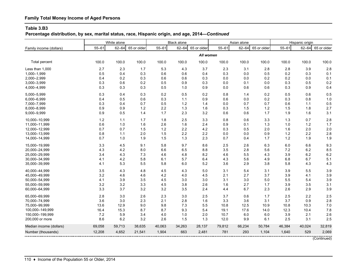# **Family Total Money Income of Aged Persons**

#### **Table 3.B3**

**Percentage distribution, by sex, marital status, race, Hispanic origin, and age, 2014—***Continued*

|                         | White alone |           |             | <b>Black alone</b> |           |             | Asian alone |           |             | Hispanic origin |           |             |
|-------------------------|-------------|-----------|-------------|--------------------|-----------|-------------|-------------|-----------|-------------|-----------------|-----------|-------------|
| Family income (dollars) | $55 - 61$   | $62 - 64$ | 65 or older | $55 - 61$          | $62 - 64$ | 65 or older | $55 - 61$   | $62 - 64$ | 65 or older | $55 - 61$       | $62 - 64$ | 65 or older |
|                         |             |           |             |                    |           | All women   |             |           |             |                 |           |             |
| <b>Total percent</b>    | 100.0       | 100.0     | 100.0       | 100.0              | 100.0     | 100.0       | 100.0       | 100.0     | 100.0       | 100.0           | 100.0     | 100.0       |
| Less than 1,000         | 2.7         | 2.3       | 1.7         | 5.3                | 4.3       | 3.7         | 2.3         | 3.1       | 2.8         | 2.8             | 3.9       | 2.8         |
| 1,000-1,999             | 0.5         | 0.4       | 0.3         | 0.6                | 0.6       | 0.4         | 0.3         | 0.0       | 0.5         | 0.2             | 0.3       | 0.1         |
| 2,000-2,999             | 0.4         | 0.2       | 0.3         | 0.6                | 0.6       | 0.3         | 0.0         | 0.0       | 0.2         | 0.2             | 0.0       | 0.1         |
| 3,000-3,999             | 0.3         | 0.6       | 0.2         | 0.5                | 0.9       | 0.3         | 0.0         | 0.1       | 0.0         | 0.3             | 0.5       | 0.2         |
| 4,000-4,999             | 0.3         | 0.3       | 0.3         | 0.5                | 1.0       | 0.9         | 0.0         | 0.6       | 0.6         | 0.3             | 0.9       | 0.4         |
| 5.000-5.999             | 0.3         | 0.4       | 0.3         | 0.2                | 0.5       | 0.2         | 0.8         | 1.4       | 0.2         | 0.5             | 0.6       | 0.5         |
| 6,000-6,999             | 0.4         | 0.5       | 0.6         | 0.3                | 1.1       | 0.9         | 0.6         | 0.0       | 0.2         | 0.3             | 0.8       | 1.0         |
| 7,000-7,999             | 0.3         | 0.4       | 0.7         | 0.5                | 1.2       | 1.4         | 0.0         | 0.7       | 0.7         | 0.6             | 1.1       | 0.5         |
| 8,000-8,999             | 0.9         | 0.9       | 1.2         | 2.2                | 1.3       | 1.6         | 0.3         | 1.5       | 1.2         | 1.5             | 1.8       | 2.7         |
| 9,000-9,999             | 0.9         | 0.5       | 1.4         | 1.7                | 2.3       | 3.2         | 0.6         | 0.6       | 1.7         | 1.9             | 1.6       | 3.1         |
| 10,000-10,999           | 1.2         | 1.1       | 1.7         | 1.8                | 2.5       | 3.3         | 0.8         | 0.6       | 3.3         | 1.3             | 0.7       | 2.8         |
| 11,000-11,999           | 0.6         | 1.0       | 1.6         | 2.6                | 1.6       | 2.4         | 0.9         | 0.1       | 1.3         | 1.0             | 1.2       | 1.7         |
| 12,000-12,999           | 0.7         | 0.7       | 1.5         | 1.2                | 2.2       | 4.2         | 0.3         | 0.5       | 2.0         | 1.6             | 2.0       | 2.0         |
| 13,000-13,999           | 0.8         | 1.1       | 2.0         | 1.5                | 2.2       | 2.2         | 0.0         | 0.0       | 0.9         | 1.2             | 2.2       | 2.8         |
| 14,000-14,999           | 0.7         | 1.0       | 1.9         | 1.5                | 1.3       | 2.3         | 0.7         | 0.4       | 1.7         | 1.2             | 1.9       | 1.9         |
| 15,000-19,999           | 3.3         | 4.5       | 9.1         | 5.8                | 9.7       | 8.6         | 2.5         | 2.6       | 6.3         | 6.0             | 6.6       | 9.3         |
| 20,000-24,999           | 4.3         | 4.2       | 8.0         | 6.6                | 6.5       | 8.8         | 3.5         | 2.8       | 5.6         | 7.2             | 6.2       | 8.5         |
| 25,000-29,999           | 3.4         | 4.3       | 7.3         | 4.6                | 4.8       | 8.2         | 4.6         | 5.5       | 4.3         | 3.9             | 6.2       | 6.2         |
| 30,000-34,999           | 4.1         | 4.2       | 5.8         | 6.1                | 5.7       | 6.4         | 4.3         | 5.6       | 4.9         | 6.8             | 6.7       | 5.1         |
| 35,000-39,999           | 4.1         | 5.3       | 5.5         | 5.8                | 6.0       | 5.2         | 3.6         | 2.9       | 3.8         | 5.8             | 4.3       | 4.3         |
| 40,000-44,999           | 3.5         | 4.3       | 4.8         | 4.5                | 4.3       | 5.0         | 3.1         | 5.4       | 3.1         | 3.9             | 5.5       | 3.9         |
| 45,000-49,999           | 3.2         | 4.6       | 4.6         | 4.2                | 4.0       | 4.5         | 2.1         | 2.7       | 3.7         | 3.9             | 4.1       | 3.9         |
| 50,000-54,999           | 4.1         | 3.9       | 3.5         | 4.5                | 3.0       | 3.0         | 3.1         | 3.0       | 5.0         | 5.5             | 5.4       | 3.9         |
| 55,000-59,999           | 3.2         | 3.2       | 3.3         | 4.5                | 3.8       | 2.6         | 1.6         | 2.7       | 1.7         | 3.9             | 3.5       | 3.1         |
| 60,000-64,999           | 3.3         | 3.7       | 3.2         | 3.2                | 3.5       | 2.4         | 4.4         | 6.7       | 2.3         | 2.6             | 2.9       | 3.9         |
| 65,000-69,999           | 2.8         | 3.0       | 2.6         | 2.3                | 3.0       | 2.5         | 3.7         | 0.6       | 1.7         | 2.5             | 2.2       | 2.5         |
| 70,000-74,999           | 3.6         | 3.0       | 2.3         | 2.1                | 2.8       | 1.6         | 3.3         | 3.6       | 3.1         | 3.7             | 0.9       | 2.8         |
| 75,000-99,999           | 13.6        | 12.9      | 9.0         | 9.8                | 7.3       | 5.5         | 10.8        | 12.5      | 10.9        | 10.8            | 10.3      | 7.0         |
| 100,000-149,999         | 16.4        | 15.3      | 8.7         | 8.7                | 9.3       | 5.4         | 19.1        | 17.6      | 14.0        | 12.3            | 10.4      | 7.8         |
| 150,000-199,999         | 7.2         | 5.9       | 3.4         | 4.0                | 1.0       | 2.0         | 10.7        | 6.0       | 6.0         | 3.9             | 2.1       | 2.6         |
| 200,000 or more         | 8.6         | 6.2       | 3.2         | 2.6                | 1.5       | 1.3         | 12.0        | 9.9       | 6.1         | 2.5             | 3.1       | 2.5         |
| Median income (dollars) | 69,058      | 59,713    | 38,635      | 40,063             | 34,263    | 28,137      | 79,812      | 66,234    | 50,784      | 46,384          | 40,024    | 32,819      |
| Number (thousands)      | 12,208      | 4,652     | 21,541      | 1,904              | 663       | 2,481       | 781         | 293       | 1,104       | 1,640           | 529       | 2,069       |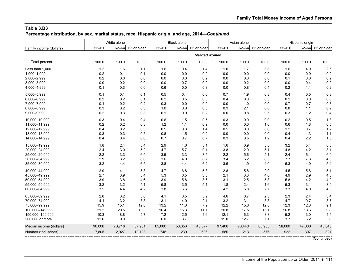**Percentage distribution, by sex, marital status, race, Hispanic origin, and age, 2014—***Continued*

|                         |           | White alone |             |           | <b>Black alone</b> |                      |           | Asian alone |             |           | Hispanic origin |             |
|-------------------------|-----------|-------------|-------------|-----------|--------------------|----------------------|-----------|-------------|-------------|-----------|-----------------|-------------|
| Family income (dollars) | $55 - 61$ | $62 - 64$   | 65 or older | $55 - 61$ | $62 - 64$          | 65 or older          | $55 - 61$ | $62 - 64$   | 65 or older | $55 - 61$ | $62 - 64$       | 65 or older |
|                         |           |             |             |           |                    | <b>Married women</b> |           |             |             |           |                 |             |
| <b>Total percent</b>    | 100.0     | 100.0       | 100.0       | 100.0     | 100.0              | 100.0                | 100.0     | 100.0       | 100.0       | 100.0     | 100.0           | 100.0       |
| Less than 1.000         | 1.2       | 1.6         | 1.1         | 1.6       | 0.4                | 1.4                  | 1.0       | 1.7         | 3.8         | 1.6       | 4.0             | 2.5         |
| 1,000-1,999             | 0.2       | 0.1         | 0.1         | 0.0       | 0.0                | 0.0                  | 0.0       | 0.0         | 0.0         | 0.0       | 0.0             | 0.0         |
| 2,000-2,999             | 0.2       | 0.0         | 0.0         | 0.0       | 0.8                | 0.2                  | 0.0       | 0.0         | 0.0         | 0.1       | 0.0             | 0.2         |
| 3,000-3,999             | 0.0       | 0.2         | 0.0         | 0.0       | 0.7                | 0.0                  | 0.0       | 0.2         | 0.0         | 0.0       | 0.4             | 0.2         |
| 4,000-4,999             | 0.1       | 0.3         | 0.0         | 0.6       | 0.0                | 0.3                  | 0.0       | 0.8         | 0.4         | 0.2       | 1.1             | 0.2         |
| 5.000-5.999             | 0.1       | 0.1         | 0.1         | 0.5       | 0.4                | 0.0                  | 0.7       | 1.9         | 0.3         | 0.4       | 0.5             | 0.3         |
| 6,000-6,999             | 0.2       | 0.2         | 0.1         | 0.2       | 0.5                | 0.0                  | 0.4       | 0.0         | 0.3         | 0.2       | 0.0             | 0.6         |
| 7,000-7,999             | 0.1       | 0.2         | 0.2         | 0.3       | 0.0                | 0.0                  | 0.0       | 1.0         | 0.0         | 0.7       | 0.7             | 0.8         |
| 8,000-8,999             | 0.3       | 0.2         | 0.3         | 1.0       | 0.0                | 0.0                  | 0.3       | 2.1         | 0.0         | 0.8       | 1.1             | 0.9         |
| 9,000-9,999             | 0.2       | 0.3         | 0.3         | 0.1       | 0.0                | 0.2                  | 0.0       | 0.8         | 0.5         | 0.3       | $1.2$           | 0.4         |
| 10,000-10,999           | 0.3       | 0.4         | 0.4         | 0.6       | 1.5                | 0.5                  | 0.3       | 0.0         | 0.0         | 0.2       | 0.5             | 1.3         |
| 11,000-11,999           | 0.2       | 0.2         | 0.3         | 1.2       | 1.1                | 0.9                  | 0.0       | 0.0         | 1.6         | 0.6       | 1.8             | 0.5         |
| 12,000-12,999           | 0.4       | 0.2         | 0.3         | 0.5       | 0.3                | 1.4                  | 0.5       | 0.0         | 0.6         | 1.2       | 0.7             | 1.2         |
| 13,000-13,999           | 0.3       | 0.3         | 0.5         | 0.8       | 1.5                | 0.0                  | 0.0       | 0.0         | 0.0         | 0.4       | 1.3             | 1.1         |
| 14,000-14,999           | 0.4       | 0.4         | 0.6         | 0.7       | 0.7                | 0.7                  | 0.3       | 0.5         | 1.2         | 0.4       | 2.2             | 1.3         |
| 15,000-19,999           | 1.8       | 2.4         | 3.4         | 2.9       | 4.6                | 5.1                  | 1.6       | 0.9         | 5.8         | 3.2       | 5.4             | 8.8         |
| 20,000-24,999           | 2.4       | 3.0         | 5.2         | 4.7       | 5.7                | 9.1                  | 3.8       | 2.0         | 5.1         | 4.8       | 4.2             | 8.1         |
| 25,000-29,999           | 2.2       | 3.3         | 6.5         | 3.5       | 3.3                | 8.5                  | 2.2       | 5.6         | 4.1         | 2.4       | 6.1             | 6.9         |
| 30,000-34,999           | 2.9       | 3.2         | 6.0         | 3.6       | 4.0                | 8.7                  | 3.4       | 5.2         | 6.3         | 7.7       | 7.3             | 4.3         |
| 35,000-39,999           | 3.2       | 4.4         | 6.5         | 3.8       | 4.4                | 6.2                  | 3.6       | 1.9         | 4.0         | 6.3       | 4.0             | 5.4         |
| 40,000-44,999           | 2.9       | 4.1         | 5.8         | 4.7       | 6.8                | 5.8                  | 2.8       | 5.8         | 2.9         | 4.5       | 5.8             | 5.1         |
| 45,000-49,999           | 2.7       | 3.9         | 5.4         | 5.3       | 6.5                | 3.5                  | 2.1       | 3.3         | 4.0         | 4.9       | 2.9             | 4.3         |
| 50,000-54,999           | 3.9       | 3.8         | 4.6         | 3.9       | 5.8                | 3.6                  | 3.1       | 2.5         | 5.8         | 5.8       | 4.2             | 4.0         |
| 55,000-59,999           | 3.2       | 3.2         | 4.1         | 5.8       | 3.5                | 5.1                  | 1.8       | 2.4         | 1.6         | 5.3       | 3.1             | 3.9         |
| 60,000-64,999           | 3.5       | 4.4         | 4.2         | 3.8       | 6.6                | 3.8                  | 4.2       | 5.8         | 2.7         | 3.3       | 4.0             | 4.3         |
| 65.000-69.999           | 2.8       | 3.2         | 3.6         | 4.1       | 3.5                | 5.9                  | 4.6       | 0.7         | 2.3         | 2.3       | 2.4             | 3.4         |
| 70,000-74,999           | 4.1       | 3.2         | 3.3         | 3.1       | 4.0                | 2.1                  | 3.2       | 3.1         | 3.3         | 4.7       | 0.7             | 3.7         |
| 75,000-99,999           | 15.9      | 15.1        | 12.8        | 13.2      | 11.8               | 7.9                  | 12.2      | 15.3        | 12.8        | 12.3      | 12.8            | 9.1         |
| 100,000-149,999         | 21.2      | 20.5        | 13.3        | 16.4      | 15.3               | 11.1                 | 20.8      | 17.5        | 15.1        | 16.8      | 13.6            | 9.8         |
| 150,000-199,999         | 10.3      | 8.8         | 5.7         | 7.2       | 2.5                | 4.6                  | 12.1      | 6.3         | 8.3         | 5.2       | 3.0             | 4.4         |
| 200,000 or more         | 12.6      | 9.0         | 5.5         | 6.0       | 3.7                | 3.6                  | 15.0      | 12.7        | 7.1         | 3.7       | 5.2             | 3.0         |
| Median income (dollars) | 90,000    | 78,716      | 57,901      | 65,000    | 56,656             | 45,577               | 97,400    | 78,440      | 63,953      | 58,000    | 47,000          | 45,040      |
| Number (thousands)      | 7,805     | 2,927       | 10,198      | 748       | 230                | 606                  | 580       | 213         | 576         | 922       | 307             | 821         |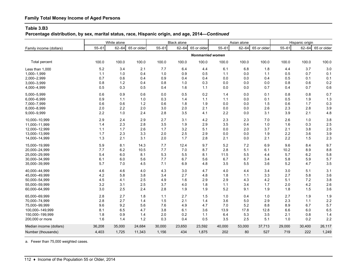# **Family Total Money Income of Aged Persons**

#### **Table 3.B3**

**Percentage distribution, by sex, marital status, race, Hispanic origin, and age, 2014—***Continued*

|                         |           | White alone |             |           | <b>Black alone</b> |                         |           | Asian alone |             |           | Hispanic origin |             |
|-------------------------|-----------|-------------|-------------|-----------|--------------------|-------------------------|-----------|-------------|-------------|-----------|-----------------|-------------|
| Family income (dollars) | $55 - 61$ | $62 - 64$   | 65 or older | $55 - 61$ | $62 - 64$          | 65 or older             | $55 - 61$ | $62 - 64$   | 65 or older | $55 - 61$ | $62 - 64$       | 65 or older |
|                         |           |             |             |           |                    | <b>Nonmarried women</b> |           |             |             |           |                 |             |
| <b>Total percent</b>    | 100.0     | 100.0       | 100.0       | 100.0     | 100.0              | 100.0                   | 100.0     | 100.0       | 100.0       | 100.0     | 100.0           | 100.0       |
| Less than 1.000         | 5.2       | 3.4         | 2.1         | 7.7       | 6.4                | 4.4                     | 6.1       | 6.8         | 1.8         | 4.4       | 3.7             | 3.0         |
| 1,000-1,999             | 1.1       | 1.0         | 0.4         | 1.0       | 0.9                | 0.5                     | 1.1       | 0.0         | 1.1         | 0.5       | 0.7             | 0.1         |
| 2,000-2,999             | 0.7       | 0.6         | 0.4         | 0.9       | 0.4                | 0.4                     | 0.0       | 0.0         | 0.4         | 0.5       | 0.1             | 0.1         |
| 3,000-3,999             | 0.8       | 1.2         | 0.4         | 0.8       | 1.0                | 0.3                     | 0.0       | 0.0         | 0.0         | 0.8       | 0.6             | 0.2         |
| 4,000-4,999             | 0.5       | 0.3         | 0.5         | 0.4       | 1.6                | 1.1                     | 0.0       | 0.0         | 0.7         | 0.4       | 0.7             | 0.6         |
| 5,000-5,999             | 0.6       | 0.9         | 0.6         | 0.0       | 0.5                | 0.2                     | 1.4       | 0.0         | 0.1         | 0.8       | 0.8             | 0.7         |
| 6,000-6,999             | 0.9       | 1.1         | 1.0         | 0.3       | 1.4                | 1.1                     | 1.1       | 0.0         | 0.1         | 0.5       | 1.9             | 1.3         |
| 7,000-7,999             | 0.6       | 0.6         | $1.2$       | 0.6       | 1.8                | 1.9                     | 0.0       | 0.0         | 1.5         | 0.6       | 1.7             | 0.3         |
| 8,000-8,999             | 2.0       | 2.2         | 2.0         | 3.0       | 2.0                | 2.1                     | 0.0       | 0.0         | 2.6         | 2.3       | 2.8             | 3.9         |
| 9,000-9,999             | 2.2       | 1.0         | 2.4         | 2.8       | 3.5                | 4.1                     | 2.2       | 0.0         | 3.1         | 3.9       | 2.1             | 4.8         |
| 10,000-10,999           | 2.9       | 2.4         | 2.9         | 2.7       | 3.1                | 4.2                     | 2.3       | 2.3         | 7.0         | 2.6       | 1.0             | 3.8         |
| 11,000-11,999           | 1.4       | 2.3         | 2.8         | 3.5       | 1.9                | 2.9                     | 3.5       | 0.4         | 1.0         | 1.6       | 0.3             | 2.5         |
| 12,000-12,999           | $1.1$     | 1.7         | 2.6         | 1.7       | 3.2                | 5.1                     | 0.0       | 2.0         | 3.7         | 2.1       | 3.8             | 2.5         |
| 13,000-13,999           | 1.7       | 2.3         | 3.3         | 2.0       | 2.5                | 2.9                     | 0.0       | 0.0         | 1.9         | 2.2       | 3.6             | 3.9         |
| 14,000-14,999           | 1.3       | 2.1         | 3.1         | 2.0       | 1.7                | 2.8                     | 2.1       | 0.0         | 2.1         | 2.2       | 1.5             | 2.3         |
| 15,000-19,999           | 5.9       | 8.1         | 14.3        | 7.7       | 12.4               | 9.7                     | 5.2       | 7.2         | 6.9         | 9.6       | 8.4             | 9.7         |
| 20,000-24,999           | 7.7       | 6.2         | 10.5        | 7.7       | 7.0                | 8.7                     | 2.8       | 5.1         | 6.1         | 10.2      | 8.9             | 8.8         |
| 25,000-29,999           | 5.4       | 6.0         | 8.1         | 5.3       | 5.5                | 8.1                     | 11.5      | 5.5         | 4.4         | 5.7       | 6.2             | 5.8         |
| 30,000-34,999           | 6.1       | 6.0         | 5.6         | 7.7       | 6.7                | 5.6                     | 6.7       | 6.7         | 3.4         | 5.8       | 5.9             | 5.7         |
| 35,000-39,999           | 5.7       | 7.0         | 4.5         | 7.1       | 6.9                | 4.8                     | 3.5       | 5.5         | 3.6         | 5.2       | 4.7             | 3.5         |
| 40,000-44,999           | 4.6       | 4.6         | 4.0         | 4.3       | 3.0                | 4.7                     | 4.0       | 4.4         | 3.4         | 3.0       | 5.1             | 3.1         |
| 45,000-49,999           | 4.2       | 5.8         | 3.8         | 3.4       | 2.7                | 4.8                     | 1.8       | $1.1$       | 3.3         | 2.7       | 5.8             | 3.6         |
| 50,000-54,999           | 4.5       | 4.1         | 2.5         | 4.9       | 1.6                | 2.9                     | 2.9       | 4.3         | 4.2         | 5.1       | 7.2             | 3.8         |
| 55,000-59,999           | 3.2       | 3.1         | 2.5         | 3.7       | 4.0                | 1.8                     | 1.1       | 3.4         | 1.7         | 2.0       | 4.2             | 2.6         |
| 60,000-64,999           | 3.0       | 2.5         | 2.4         | 2.8       | 1.9                | 1.9                     | 5.2       | 9.1         | 1.9         | 1.8       | 15              | 3.6         |
| 65,000-69,999           | 2.8       | 2.7         | 1.8         | 1.1       | 2.7                | 1.5                     | 1.0       | 0.4         | 1.0         | 2.7       | 1.9             | 1.9         |
| 70,000-74,999           | 2.8       | 2.7         | 1.4         | 1.5       | 2.1                | 1.4                     | 3.6       | 5.0         | 2.9         | 2.3       | 1.1             | 2.2         |
| 75,000-99,999           | 9.6       | 9.2         | 5.6         | 7.6       | 4.9                | 4.7                     | 7.0       | 5.2         | 8.8         | 8.9       | 6.7             | 5.7         |
| 100,000-149,999         | 8.1       | 6.5         | 4.7         | 3.8       | 6.1                | 3.6                     | 13.9      | 17.8        | 12.8        | 6.6       | 6.0             | 6.5         |
| 150,000-199,999         | 1.8       | 0.9         | 1.4         | 2.0       | 0.2                | 1.1                     | 6.4       | 5.3         | 3.5         | 2.1       | 0.8             | 1.4         |
| 200,000 or more         | 1.6       | 1.4         | 1.2         | 0.3       | 0.4                | 0.5                     | 3.5       | 2.5         | 5.1         | 1.0       | 0.2             | 2.2         |
| Median income (dollars) | 36,208    | 35,000      | 24,684      | 30,000    | 23,650             | 23,592                  | 40,000    | 53,000      | 37,713      | 29,000    | 30,400          | 26,117      |
| Number (thousands)      | 4,403     | 1,725       | 11,343      | 1,156     | 434                | 1,875                   | 202       | 80          | 527         | 719       | 222             | 1,249       |

a. Fewer than 75,000 weighted cases.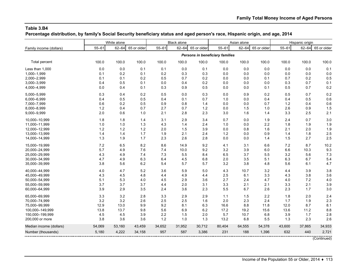**Percentage distribution, by family's Social Security beneficiary status and aged person's race, Hispanic origin, and age, 2014**

|                         | White alone |           |             | <b>Black alone</b> |           |             | Asian alone                     |           |             | Hispanic origin |           |             |
|-------------------------|-------------|-----------|-------------|--------------------|-----------|-------------|---------------------------------|-----------|-------------|-----------------|-----------|-------------|
| Family income (dollars) | $55 - 61$   | $62 - 64$ | 65 or older | $55 - 61$          | $62 - 64$ | 65 or older | $55 - 61$                       | $62 - 64$ | 65 or older | $55 - 61$       | $62 - 64$ | 65 or older |
|                         |             |           |             |                    |           |             | Persons in beneficiary families |           |             |                 |           |             |
| Total percent           | 100.0       | 100.0     | 100.0       | 100.0              | 100.0     | 100.0       | 100.0                           | 100.0     | 100.0       | 100.0           | 100.0     | 100.0       |
| Less than 1,000         | 0.0         | 0.0       | 0.1         | 0.1                | 0.0       | 0.1         | 0.0                             | 0.0       | 0.0         | 0.0             | 0.0       | 0.1         |
| 1,000-1,999             | 0.1         | 0.2       | 0.1         | 0.2                | 0.3       | 0.3         | 0.0                             | 0.0       | 0.0         | 0.0             | 0.0       | 0.0         |
| 2,000-2,999             | 0.1         | 0.1       | 0.2         | 0.5                | 0.7       | 0.2         | 0.0                             | 0.0       | 0.1         | 0.7             | 0.2       | 0.5         |
| 3,000-3,999             | 0.4         | 0.5       | 0.1         | 0.0                | 0.4       | 0.2         | 0.0                             | 0.0       | 0.0         | 0.3             | 0.7       | 0.1         |
| 4,000-4,999             | 0.0         | 0.4       | 0.1         | 0.3                | 0.9       | 0.5         | 0.0                             | 0.0       | 0.1         | 0.5             | 0.7       | 0.2         |
| 5,000-5,999             | 0.3         | 0.4       | 0.2         | 0.5                | 0.0       | 0.3         | 0.0                             | 0.9       | 0.2         | 0.5             | 0.7       | 0.2         |
| 6,000-6,999             | 0.4         | 0.5       | 0.5         | 0.4                | 0.1       | 0.7         | 1.0                             | 0.0       | 0.4         | 0.4             | 0.5       | 0.6         |
| 7,000-7,999             | 0.6         | 0.2       | 0.5         | 0.9                | 0.8       | 1.4         | 0.0                             | 0.0       | 0.7         | 1.2             | 0.4       | 0.6         |
| 8,000-8,999             | 1.2         | 0.4       | 0.7         | 2.7                | 0.7       | 1.2         | 0.0                             | 1.5       | 1.0         | 2.6             | 0.9       | 1.5         |
| 9,000-9,999             | 2.0         | 0.6       | 1.0         | 2.1                | 2.8       | 2.3         | 3.0                             | 1.6       | 1.4         | 3.3             | 2.5       | 2.1         |
| 10,000-10,999           | 1.8         | 1.8       | 1.4         | 3.1                | 2.9       | 3.4         | 0.7                             | 0.0       | 1.9         | 2.4             | 0.7       | 3.0         |
| 11,000-11,999           | 1.0         | 1.0       | 1.3         | 4.3                | 1.4       | 2.4         | 1.0                             | 0.0       | 2.2         | 1.8             | 1.9       | 1.9         |
| 12,000-12,999           | 1.2         | 1.2       | $1.2$       | 2.0                | 1.5       | 3.9         | 0.0                             | 0.8       | 1.6         | 2.1             | 2.0       | 1.9         |
| 13,000-13,999           | 1.4         | 1.4       | 1.7         | 1.9                | 2.1       | 2.4         | 1.2                             | 0.0       | 0.9         | 1.4             | 1.8       | 2.5         |
| 14,000-14,999           | 1.3         | 1.9       | 1.7         | 2.3                | 2.6       | 2.8         | 0.0                             | 0.0       | 1.4         | 1.5             | 2.7       | 2.5         |
| 15,000-19,999           | 7.2         | 6.5       | 8.2         | 8.6                | 14.9      | 9.2         | 4.1                             | 3.1       | 6.6         | 7.2             | 8.7       | 10.2        |
| 20,000-24,999           | 5.7         | 4.9       | 7.6         | 7.4                | 10.0      | 9.2         | 3.2                             | 3.9       | 6.0         | 6.6             | 10.3      | 9.3         |
| 25,000-29,999           | 4.3         | 4.9       | 7.4         | 7.3                | 5.5       | 8.4         | 6.5                             | 3.7       | 5.5         | 3.2             | 5.6       | 7.3         |
| 30,000-34,999           | 4.7         | 4.9       | 6.3         | 6.4                | 4.5       | 6.8         | 2.0                             | 3.5       | 5.1         | 6.3             | 6.7       | 5.4         |
| 35,000-39,999           | 3.8         | 5.6       | $6.2\,$     | 5.4                | 5.7       | 5.7         | 3.2                             | 3.8       | 4.8         | 5.6             | 6.1       | 4.7         |
| 40,000-44,999           | 4.0         | 4.7       | 5.2         | 3.6                | 5.9       | 5.0         | 4.3                             | 10.7      | 3.2         | 4.4             | 3.9       | 3.8         |
| 45,000-49,999           | 4.3         | 4.5       | 4.8         | 4.4                | 4.9       | 4.4         | 2.5                             | 6.1       | 3.3         | 4.3             | 3.8       | 3.6         |
| 50,000-54,999           | 5.1         | 5.3       | 4.0         | 4.5                | 2.9       | 3.6         | 2.7                             | 2.4       | 4.7         | 4.0             | 7.2       | 4.0         |
| 55,000-59,999           | 3.7         | 3.7       | 3.7         | 4.4                | 2.0       | 3.1         | 3.3                             | 2.1       | 2.1         | 3.3             | 2.1       | 3.9         |
| 60,000-64,999           | 3.9         | 2.9       | 3.5         | 2.4                | 3.6       | 2.3         | 5.5                             | 6.7       | 2.6         | 2.3             | 1.7       | 3.0         |
| 65,000-69,999           | 3.3         | 3.2       | 2.8         | 3.3                | 2.9       | 2.9         | 1.1                             | 1.5       | 2.2         | 1.8             | 2.0       | 2.4         |
| 70,000-74,999           | 3.2         | 3.2       | 2.6         | 2.5                | 2.5       | 1.6         | 2.0                             | 2.3       | 2.4         | 1.7             | 1.9       | 2.3         |
| 75,000-99,999           | 12.9        | 13.0      | 9.9         | 9.2                | 8.1       | 6.3         | 16.6                            | 8.8       | 11.8        | 12.0            | 8.7       | 8.1         |
| 100,000-149,999         | 13.8        | 13.7      | 9.8         | 5.6                | 6.9       | 6.2         | 17.2                            | 19.2      | 15.6        | 13.6            | 11.2      | 8.8         |
| 150,000-199,999         | 4.5         | 4.5       | 3.9         | 2.2                | 1.5       | 2.0         | 5.7                             | 10.7      | 6.8         | 3.9             | 1.7       | 2.8         |
| 200,000 or more         | 3.8         | 3.6       | 3.6         | 1.2                | 1.0       | 1.3         | 13.2                            | 6.8       | 5.5         | 1.3             | 2.3       | 2.6         |
| Median income (dollars) | 54,069      | 53,160    | 43,459      | 34,652             | 31,952    | 30,712      | 80,404                          | 64,555    | 54,378      | 43,600          | 37,865    | 34,933      |
| Number (thousands)      | 5,180       | 4,222     | 34,158      | 957                | 587       | 3,386       | 231                             | 188       | 1,396       | 632             | 440       | 2,721       |
|                         |             |           |             |                    |           |             |                                 |           |             |                 |           | (Continued) |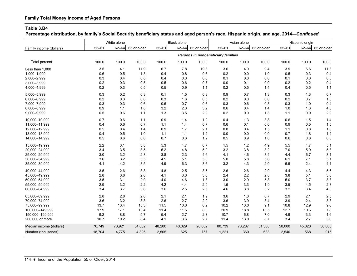**Percentage distribution, by family's Social Security beneficiary status and aged person's race, Hispanic origin, and age, 2014—***Continued*

|                         | White alone |           |             | <b>Black alone</b> |           | Asian alone |                                    |           | Hispanic origin |           |           |             |
|-------------------------|-------------|-----------|-------------|--------------------|-----------|-------------|------------------------------------|-----------|-----------------|-----------|-----------|-------------|
| Family income (dollars) | $55 - 61$   | $62 - 64$ | 65 or older | $55 - 61$          | $62 - 64$ | 65 or older | $55 - 61$                          | $62 - 64$ | 65 or older     | $55 - 61$ | $62 - 64$ | 65 or older |
|                         |             |           |             |                    |           |             | Persons in nonbeneficiary families |           |                 |           |           |             |
| Total percent           | 100.0       | 100.0     | 100.0       | 100.0              | 100.0     | 100.0       | 100.0                              | 100.0     | 100.0           | 100.0     | 100.0     | 100.0       |
| Less than 1,000         | 3.5         | 4.1       | 11.9        | 6.7                | 7.8       | 19.8        | 3.6                                | 4.0       | 9.4             | 3.9       | 6.6       | 11.8        |
| 1,000-1,999             | 0.6         | 0.5       | 1.3         | 0.4                | 0.8       | 0.6         | 0.2                                | 0.0       | 1.0             | 0.5       | 0.3       | 0.4         |
| 2,000-2,999             | 0.3         | 0.4       | 0.8         | 0.4                | 0.3       | 0.6         | 0.1                                | 0.0       | 0.0             | 0.1       | 0.0       | 0.3         |
| 3,000-3,999             | 0.2         | 0.3       | 0.5         | 0.5                | 0.6       | 0.7         | 0.0                                | 0.1       | 0.0             | 0.2       | 0.2       | 0.4         |
| 4,000-4,999             | 0.2         | 0.3       | 0.5         | 0.5                | 0.9       | 1.1         | 0.2                                | 0.5       | 1.4             | 0.4       | 0.5       | 1.1         |
| 5,000-5,999             | 0.3         | 0.2       | 0.3         | 0.1                | 1.5       | 0.3         | 0.9                                | 0.7       | 1.3             | 0.3       | 1.3       | 0.7         |
| 6,000-6,999             | 0.2         | 0.3       | 0.6         | 0.3                | 1.6       | 0.5         | 0.2                                | 0.0       | 0.0             | 0.2       | 0.7       | 1.3         |
| 7,000-7,999             | 0.3         | 0.3       | 0.6         | 0.6                | 0.7       | 0.6         | 0.3                                | 0.6       | 0.3             | 0.3       | 1.0       | 0.4         |
| 8,000-8,999             | 0.9         | 1.1       | 1.8         | 3.2                | 2.3       | 3.2         | 0.6                                | 0.4       | 1.4             | 1.0       | 1.3       | 4.0         |
| 9,000-9,999             | 0.5         | 0.6       | $1.1$       | 1.3                | 3.5       | 2.9         | 0.2                                | 0.0       | 1.3             | 1.1       | 0.9       | 2.9         |
| 10,000-10,999           | 0.7         | 0.6       | 1.1         | 0.9                | 1.4       | 1.9         | 0.4                                | 1.3       | 3.8             | 0.6       | 1.5       | 1.4         |
| 11,000-11,999           | 0.4         | 0.6       | 0.7         | 1.1                | 1.4       | 0.7         | 0.6                                | 0.1       | 0.0             | 0.9       | 0.5       | 1.5         |
| 12,000-12,999           | 0.5         | 0.4       | 1.4         | 0.9                | 1.7       | 2.1         | 0.8                                | 0.4       | 1.5             | 1.1       | 0.8       | 1.6         |
| 13,000-13,999           | 0.4         | 0.5       | 1.0         | 1.1                | 1.1       | 1.2         | 0.0                                | 0.0       | 0.0             | 0.7       | 1.8       | 1.2         |
| 14,000-14,999           | 0.5         | 0.6       | 0.6         | 0.7                | 0.6       | 1.2         | 0.5                                | 0.9       | 1.0             | 0.6       | 0.8       | 0.8         |
| 15,000-19,999           | 2.2         | 3.1       | 3.8         | 5.3                | 4.7       | 6.7         | 1.5                                | 1.2       | 4.9             | 5.5       | 4.7       | 5.1         |
| 20,000-24,999           | 3.4         | 3.5       | 3.5         | 5.2                | 4.8       | 5.0         | 3.2                                | 3.8       | 3.2             | 7.0       | 5.9       | 5.3         |
| 25,000-29,999           | 3.0         | 3.2       | 2.8         | 3.8                | 2.3       | 4.6         | 4.1                                | 4.6       | 3.4             | 4.4       | 6.7       | 3.1         |
| 30,000-34,999           | 3.6         | 3.2       | 3.5         | 4.5                | 5.1       | 5.0         | 5.0                                | 5.8       | 5.6             | 6.1       | 7.1       | 5.1         |
| 35,000-39,999           | 4.1         | 4.2       | 3.5         | 4.9                | 6.3       | 3.6         | 3.2                                | 4.3       | 2.0             | 6.5       | 2.4       | 4.1         |
| 40,000-44,999           | 3.5         | 2.6       | 3.8         | 4.8                | 2.5       | 3.5         | 2.6                                | 2.6       | 2.9             | 4.4       | 4.3       | 5.6         |
| 45,000-49,999           | 2.8         | 3.6       | 2.6         | 4.1                | 3.3       | 3.6         | 2.4                                | 2.2       | 2.8             | 3.8       | 5.1       | 3.6         |
| 50,000-54,999           | 3.5         | 3.1       | 2.9         | 4.0                | 4.6       | 1.8         | 3.0                                | 2.9       | 5.3             | 5.0       | 3.7       | 3.3         |
| 55,000-59,999           | 2.9         | 3.2       | 2.2         | 4.2                | 4.4       | 2.9         | 1.5                                | 3.3       | 1.9             | 3.5       | 4.5       | 2.3         |
| 60,000-64,999           | 3.4         | 3.7       | 3.6         | 3.6                | 2.5       | 2.5         | 4.6                                | 3.8       | 3.2             | 3.2       | 3.4       | 4.8         |
| 65,000-69,999           | 2.8         | 2.8       | 2.6         | 2.1                | 2.1       | 1.9         | 3.6                                | 1.0       | 0.7             | 2.9       | 2.1       | 2.5         |
| 70,000-74,999           | 3.6         | 3.2       | 3.3         | 2.6                | 2.7       | 2.0         | 3.6                                | 3.9       | 3.4             | 3.9       | 2.4       | 3.8         |
| 75,000-99,999           | 13.7        | 13.4      | 10.3        | 11.5               | 10.6      | 6.2         | 10.2                               | 13.0      | 9.1             | 10.8      | 12.9      | 9.0         |
| 100,000-149,999         | 17.9        | 17.1      | 13.4        | 11.4               | 11.5      | 8.3         | 20.9                               | 18.8      | 13.5            | 12.7      | 10.6      | 7.8         |
| 150,000-199,999         | 9.2         | 8.8       | 5.7         | 5.4                | 2.7       | 2.3         | 10.7                               | 6.8       | 7.0             | 4.9       | 3.3       | 1.6         |
| 200,000 or more         | 10.7        | 10.2      | 8.4         | 4.1                | 3.6       | 2.7         | 11.4                               | 13.0      | 8.7             | 3.4       | 2.7       | 3.0         |
| Median income (dollars) | 76,749      | 73,921    | 54,002      | 48,200             | 40,029    | 26,002      | 80,739                             | 78,287    | 51,308          | 50,000    | 45,023    | 36,000      |
| Number (thousands)      | 18,704      | 4,775     | 4,895       | 2,505              | 625       | 757         | 1,221                              | 360       | 633             | 2,540     | 568       | 915         |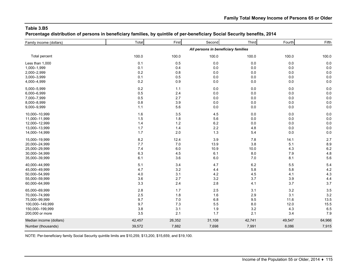**Percentage distribution of persons in beneficiary families, by quintile of per-beneficiary Social Security benefits, 2014**

| Family income (dollars) | Total  | First  | Second                              | Third   | Fourth  | Fifth  |
|-------------------------|--------|--------|-------------------------------------|---------|---------|--------|
|                         |        |        | All persons in beneficiary families |         |         |        |
| Total percent           | 100.0  | 100.0  | 100.0                               | 100.0   | 100.0   | 100.0  |
| Less than 1,000         | 0.1    | 0.5    | 0.0                                 | 0.0     | 0.0     | 0.0    |
| 1,000-1,999             | 0.1    | 0.4    | 0.0                                 | $0.0\,$ | 0.0     | 0.0    |
| 2,000-2,999             | 0.2    | 0.8    | 0.0                                 | 0.0     | 0.0     | 0.0    |
| 3,000-3,999             | 0.1    | 0.5    | 0.0                                 | $0.0\,$ | $0.0\,$ | 0.0    |
| 4,000-4,999             | 0.2    | 0.9    | 0.0                                 | $0.0\,$ | 0.0     | 0.0    |
| 5,000-5,999             | 0.2    | 1.1    | 0.0                                 | $0.0\,$ | 0.0     | 0.0    |
| 6,000-6,999             | 0.5    | 2.4    | 0.0                                 | 0.0     | 0.0     | 0.0    |
| 7,000-7,999             | 0.5    | 2.7    | 0.0                                 | $0.0\,$ | 0.0     | 0.0    |
| 8,000-8,999             | 0.8    | 3.9    | 0.0                                 | $0.0\,$ | 0.0     | 0.0    |
| 9,000-9,999             | 1.1    | 5.6    | 0.0                                 | $0.0\,$ | 0.0     | 0.0    |
| 10,000-10,999           | 1.6    | 3.5    | 4.5                                 | $0.0\,$ | 0.0     | 0.0    |
| 11,000-11,999           | 1.5    | 1.8    | 5.6                                 | $0.0\,$ | 0.0     | 0.0    |
| 12,000-12,999           | 1.4    | 1.2    | 6.2                                 | 0.0     | 0.0     | 0.0    |
| 13,000-13,999           | 1.7    | 1.4    | 2.2                                 | 4.8     | 0.0     | 0.0    |
| 14,000-14,999           | 1.7    | 2.0    | 1.3                                 | 5.4     | 0.0     | 0.0    |
| 15,000-19,999           | 8.2    | 12.4   | 3.9                                 | 7.8     | 14.1    | 2.7    |
| 20,000-24,999           | 7.7    | 7.0    | 13.9                                | 3.8     | 5.1     | 8.9    |
| 25,000-29,999           | 7.4    | 6.0    | 10.9                                | 10.0    | 4.3     | 6.2    |
| 30,000-34,999           | 6.3    | 4.5    | 6.1                                 | 8.0     | 7.9     | 4.8    |
| 35,000-39,999           | 6.1    | 3.6    | 6.0                                 | 7.0     | 8.1     | 5.6    |
| 40,000-44,999           | 5.1    | 3.4    | 4.7                                 | $6.2\,$ | 5.5     | 5.4    |
| 45,000-49,999           | 4.7    | 3.2    | 4.4                                 | 5.8     | 5.8     | 4.2    |
| 50,000-54,999           | 4.0    | 3.1    | 4.2                                 | 4.5     | 4.1     | 4.3    |
| 55,000-59,999           | 3.6    | 2.7    | 3.2                                 | 3.7     | 3.9     | 4.4    |
| 60,000-64,999           | 3.3    | 2.4    | 2.8                                 | 4.1     | 3.7     | 3.7    |
| 65,000-69,999           | 2.8    | 1.7    | 2.5                                 | 3.1     | 3.2     | 3.5    |
| 70,000-74,999           | 2.5    | 1.8    | 1.6                                 | 2.9     | 3.1     | 3.2    |
| 75,000-99,999           | 9.7    | 7.0    | 6.8                                 | 9.5     | 11.6    | 13.5   |
| 100,000-149,999         | 9.7    | 7.3    | 5.5                                 | 8.0     | 12.0    | 15.5   |
| 150,000-199,999         | 3.8    | 3.1    | 1.9                                 | 3.2     | 4.3     | 6.5    |
| 200,000 or more         | 3.5    | 2.1    | 1.7                                 | 2.1     | 3.4     | 7.9    |
| Median income (dollars) | 42,457 | 26,352 | 31,108                              | 42,741  | 49,547  | 64,966 |
| Number (thousands)      | 39,572 | 7,882  | 7,698                               | 7,991   | 8,086   | 7,915  |
|                         |        |        |                                     |         |         |        |

NOTE: Per-beneficiary family Social Security quintile limits are \$10,259, \$13,200, \$15,659, and \$19,100.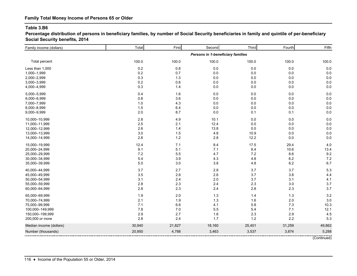**Percentage distribution of persons in beneficiary families, by number of Social Security beneficiaries in family and quintile of per-beneficiary Social Security benefits, 2014**

| Family income (dollars) | Total  | First  | Second                            | Third   | Fourth  | Fifth  |
|-------------------------|--------|--------|-----------------------------------|---------|---------|--------|
|                         |        |        | Persons in 1-beneficiary families |         |         |        |
| Total percent           | 100.0  | 100.0  | 100.0                             | 100.0   | 100.0   | 100.0  |
| Less than 1,000         | 0.2    | 0.8    | 0.0                               | $0.0\,$ | 0.0     | 0.0    |
| 1,000-1,999             | 0.2    | 0.7    | 0.0                               | $0.0\,$ | 0.0     | 0.0    |
| 2,000-2,999             | 0.3    | 1.3    | 0.0                               | 0.0     | 0.0     | 0.0    |
| 3,000-3,999             | 0.2    | 0.8    | 0.0                               | $0.0\,$ | $0.0\,$ | 0.0    |
| 4,000-4,999             | 0.3    | 1.4    | 0.0                               | $0.0\,$ | 0.0     | 0.0    |
| 5,000-5,999             | 0.4    | 1.6    | 0.0                               | 0.0     | 0.0     | 0.0    |
| 6,000-6,999             | 0.8    | 3.6    | 0.0                               | 0.0     | 0.0     | 0.0    |
| 7,000-7,999             | 1.0    | 4.3    | 0.0                               | 0.0     | 0.0     | 0.0    |
| 8,000-8,999             | 1.5    | 6.4    | 0.0                               | $0.0\,$ | 0.0     | 0.0    |
| 9,000-9,999             | 2.0    | 8.7    | 0.0                               | 0.1     | 0.1     | 0.0    |
| 10,000-10,999           | 2.8    | 4.9    | 10.1                              | $0.0\,$ | 0.0     | 0.0    |
| 11,000-11,999           | 2.5    | 2.1    | 12.4                              | $0.0\,$ | 0.0     | 0.0    |
| 12,000-12,999           | 2.6    | 1.4    | 13.8                              | 0.0     | 0.0     | 0.0    |
| 13,000-13,999           | 3.0    | 1.5    | 4.8                               | 10.9    | 0.0     | 0.0    |
| 14,000-14,999           | 2.8    | 1.2    | 2.8                               | 12.2    | 0.0     | 0.0    |
| 15,000-19,999           | 12.4   | 7.1    | 8.4                               | 17.5    | 29.4    | 4.0    |
| 20,000-24,999           | 9.1    | 5.1    | 7.1                               | 8.4     | 10.6    | 13.4   |
| 25,000-29,999           | 7.2    | 5.5    | 4.7                               | 7.2     | 8.6     | 9.2    |
| 30,000-34,999           | 5.4    | 3.9    | 4.3                               | 4.8     | $6.2\,$ | 7.2    |
| 35,000-39,999           | 5.0    | 3.0    | 3.8                               | 4.8     | $6.2\,$ | 6.7    |
| 40,000-44,999           | 3.7    | 2.7    | 2.8                               | 3.7     | 3.7     | 5.3    |
| 45,000-49,999           | 3.5    | 2.6    | 2.6                               | 3.7     | 3.8     | 4.4    |
| 50,000-54,999           | 3.1    | 2.4    | 2.0                               | 3.7     | 3.1     | 4.1    |
| 55,000-59,999           | 2.8    | 2.3    | 2.4                               | 2.3     | 3.0     | 3.7    |
| 60,000-64,999           | 2.8    | 2.3    | 2.4                               | 2.8     | 2.3     | 3.7    |
| 65,000-69,999           | 1.9    | 2.0    | 1.3                               | 1.4     | 1.3     | 3.2    |
| 70,000-74,999           | 2.1    | 1.9    | 1.3                               | 1.6     | 2.0     | 3.0    |
| 75,000-99,999           | 7.1    | 6.6    | 4.1                               | 5.8     | 7.3     | 10.3   |
| 100,000-149,999         | 7.8    | 7.0    | 5.5                               | 5.4     | 7.1     | 12.1   |
| 150,000-199,999         | 2.9    | 2.7    | 1.6                               | 2.3     | 2.9     | 4.5    |
| 200,000 or more         | 2.8    | 2.4    | 1.7                               | $1.2$   | 2.2     | 5.3    |
| Median income (dollars) | 30,940 | 21,827 | 18,160                            | 25,401  | 31,259  | 49,862 |
| Number (thousands)      | 20,950 | 4,788  | 3,463                             | 3,537   | 3,874   | 5,288  |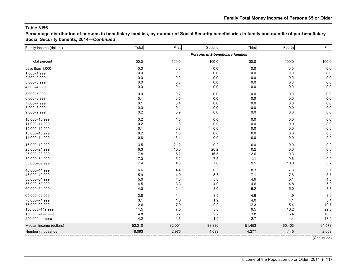**Percentage distribution of persons in beneficiary families, by number of Social Security beneficiaries in family and quintile of per-beneficiary Social Security benefits, 2014—***Continued*

| Family income (dollars) | Total   | First   | Second                            | Third   | Fourth  | Fifth  |
|-------------------------|---------|---------|-----------------------------------|---------|---------|--------|
|                         |         |         | Persons in 2-beneficiary families |         |         |        |
| Total percent           | 100.0   | 100.0   | 100.0                             | 100.0   | 100.0   | 100.0  |
| Less than 1,000         | 0.0     | 0.0     | 0.0                               | 0.0     | 0.0     | 0.0    |
| 1,000-1,999             | 0.0     | 0.0     | 0.0                               | 0.0     | 0.0     | 0.0    |
| 2,000-2,999             | 0.0     | 0.0     | 0.0                               | 0.0     | 0.0     | 0.0    |
| 3,000-3,999             | $0.0\,$ | 0.0     | 0.0                               | $0.0\,$ | 0.0     | 0.0    |
| 4,000-4,999             | 0.0     | 0.1     | 0.0                               | 0.0     | 0.0     | 0.0    |
| 5,000-5,999             | 0.0     | 0.2     | 0.0                               | $0.0\,$ | 0.0     | 0.0    |
| 6,000-6,999             | 0.1     | 0.5     | 0.0                               | 0.0     | 0.0     | 0.0    |
| 7,000-7,999             | 0.1     | 0.4     | 0.0                               | $0.0\,$ | 0.0     | 0.0    |
| 8,000-8,999             | 0.0     | 0.1     | 0.0                               | 0.0     | 0.0     | 0.0    |
| 9,000-9,999             | 0.2     | 0.9     | 0.0                               | 0.0     | 0.0     | 0.0    |
| 10,000-10,999           | 0.2     | 1.5     | 0.0                               | 0.0     | 0.0     | 0.0    |
| 11,000-11,999           | 0.2     | $1.3$   | 0.0                               | 0.0     | $0.0\,$ | 0.0    |
| 12,000-12,999           | 0.1     | 0.8     | 0.0                               | 0.0     | 0.0     | 0.0    |
| 13,000-13,999           | 0.2     | 1.5     | 0.0                               | 0.0     | 0.0     | 0.0    |
| 14,000-14,999           | 0.6     | 3.4     | 0.0                               | 0.0     | 0.0     | 0.0    |
| 15,000-19,999           | 3.5     | 21.2    | 0.2                               | $0.0\,$ | 0.0     | 0.0    |
| 20,000-24,999           | 6.3     | 10.0    | 20.2                              | 0.2     | 0.0     | 0.0    |
| 25,000-29,999           | 7.8     | $6.2\,$ | 16.5                              | 12.6    | 0.3     | 0.0    |
| 30,000-34,999           | 7.3     | 5.2     | 7.5                               | 11.1    | 9.6     | 0.0    |
| 35,000-39,999           | 7.4     | 4.6     | 7.6                               | 9.1     | 10.0    | 3.2    |
| 40,000-44,999           | 6.6     | 4.4     | 6.3                               | 8.3     | 7.3     | 5.7    |
| 45,000-49,999           | 5.9     | 4.0     | 5.7                               | 7.1     | 7.6     | 3.7    |
| 50,000-54,999           | 5.0     | 4.3     | 5.8                               | 4.9     | 5.1     | 4.8    |
| 55,000-59,999           | 4.5     | 3.3     | 4.0                               | 4.6     | 4.8     | 5.9    |
| 60,000-64,999           | 4.0     | 2.4     | 3.0                               | 5.2     | 5.0     | 3.8    |
| 65,000-69,999           | 3.8     | 1.4     | 3.5                               | 4.6     | 4.9     | 3.9    |
| 70,000-74,999           | 3.1     | 1.6     | 1.9                               | 4.0     | 4.1     | 3.4    |
| 75,000-99,999           | 12.6    | 7.9     | 9.0                               | 12.3    | 15.4    | 19.7   |
| 100,000-149,999         | 11.5    | 7.5     | 5.0                               | 9.5     | 16.2    | 22.3   |
| 150,000-199,999         | 4.8     | 3.7     | 2.2                               | 3.8     | 5.4     | 10.6   |
| 200,000 or more         | 4.2     | 1.6     | 1.9                               | 2.7     | 4.4     | 13.0   |
| Median income (dollars) | 53,310  | 32,001  | 38,336                            | 51,453  | 65,403  | 94,573 |
| Number (thousands)      | 18,093  | 2,975   | 4,093                             | 4,277   | 4,145   | 2,603  |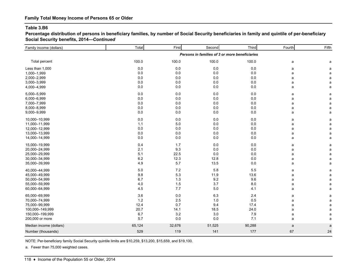**Percentage distribution of persons in beneficiary families, by number of Social Security beneficiaries in family and quintile of per-beneficiary Social Security benefits, 2014—***Continued*

| Family income (dollars) | Total   | First  | Second                                         | Third   | Fourth | Fifth        |
|-------------------------|---------|--------|------------------------------------------------|---------|--------|--------------|
|                         |         |        | Persons in families of 3 or more beneficiaries |         |        |              |
| Total percent           | 100.0   | 100.0  | 100.0                                          | 100.0   | a      | a            |
| Less than 1,000         | 0.0     | 0.0    | 0.0                                            | 0.0     | a      | a            |
| 1,000-1,999             | $0.0\,$ | 0.0    | 0.0                                            | 0.0     | a      | a            |
| 2,000-2,999             | 0.0     | 0.0    | 0.0                                            | 0.0     | a      | a            |
| 3,000-3,999             | 0.0     | 0.0    | 0.0                                            | 0.0     | a      | a            |
| 4,000-4,999             | 0.0     | 0.0    | 0.0                                            | 0.0     | a      | a            |
| 5,000-5,999             | 0.0     | 0.0    | 0.0                                            | 0.0     | a      | a            |
| 6,000-6,999             | 0.0     | 0.0    | 0.0                                            | 0.0     | a      | a            |
| 7,000-7,999             | 0.0     | 0.0    | 0.0                                            | 0.0     | a      | a            |
| 8,000-8,999             | 0.0     | 0.0    | 0.0                                            | $0.0\,$ | a      | a            |
| 9,000-9,999             | 0.0     | 0.0    | 0.0                                            | 0.0     | a      | a            |
| 10,000-10,999           | 0.0     | 0.0    | 0.0                                            | 0.0     | a      | a            |
| 11,000-11,999           | 1.1     | 5.0    | 0.0                                            | 0.0     | a      | a            |
| 12,000-12,999           | 0.0     | 0.0    | 0.0                                            | 0.0     | a      | a            |
| 13,000-13,999           | 0.0     | 0.0    | 0.0                                            | $0.0\,$ | a      | a            |
| 14,000-14,999           | 0.0     | 0.0    | 0.0                                            | 0.0     | a      | a            |
| 15,000-19,999           | 0.4     | 1.7    | 0.0                                            | $0.0\,$ | a      | a            |
| 20,000-24,999           | 2.1     | 9.3    | 0.0                                            | 0.0     | a      | a            |
| 25,000-29,999           | 5.1     | 22.5   | 0.0                                            | $0.0\,$ | a      | a            |
| 30,000-34,999           | 6.2     | 12.3   | 12.8                                           | $0.0\,$ | a      | a            |
| 35,000-39,999           | 4.9     | 5.7    | 13.5                                           | 0.0     | a      | a            |
| 40,000-44,999           | 5.0     | 7.2    | 5.8                                            | 5.5     | a      | a            |
| 45,000 - 49,999         | 9.8     | 5.3    | 11.9                                           | 13.6    | a      | a            |
| 50,000-54,999           | 6.7     | 1.3    | 9.2                                            | 9.6     | a      | a            |
| 55,000-59,999           | 4.0     | 1.5    | 3.7                                            | $8.0\,$ | a      | a            |
| 60,000-64,999           | 4.5     | 7.7    | 5.0                                            | 4.1     | a      | $\mathsf{a}$ |
| 65,000-69,999           | 3.6     | 0.0    | 6.3                                            | 2.4     | a      | $\mathsf a$  |
| 70,000-74,999           | 1.2     | 2.5    | 1.0                                            | 0.5     | a      | $\mathsf a$  |
| 75,000-99,999           | 12.4    | 0.7    | 9.4                                            | 17.4    | a      | a            |
| 100,000-149,999         | 20.7    | 14.1   | 18.5                                           | 24.0    | a      | a            |
| 150,000-199,999         | 6.7     | 3.2    | 3.0                                            | 7.9     | a      | a            |
| 200,000 or more         | 5.7     | 0.0    | 0.0                                            | 7.1     | a      | a            |
| Median income (dollars) | 65,124  | 32,676 | 51,525                                         | 90,288  | a      | a            |
| Number (thousands)      | 529     | 119    | 141                                            | 177     | 67     | 24           |
|                         |         |        |                                                |         |        |              |

NOTE: Per-beneficiary family Social Security quintile limits are \$10,259, \$13,200, \$15,659, and \$19,100.

a. Fewer than 75,000 weighted cases.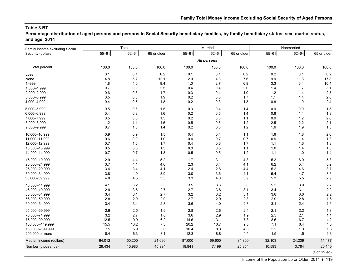**Percentage distribution of aged persons and persons in Social Security beneficiary families, by family beneficiary status, sex, marital status, and age, 2014**

| Family income excluding Social |           | Total     |             |           | Married     |             | Nonmarried |           |             |
|--------------------------------|-----------|-----------|-------------|-----------|-------------|-------------|------------|-----------|-------------|
| Security (dollars)             | $55 - 61$ | $62 - 64$ | 65 or older | $55 - 61$ | $62 - 64$   | 65 or older | $55 - 61$  | $62 - 64$ | 65 or older |
|                                |           |           |             |           | All persons |             |            |           |             |
| Total percent                  | 100.0     | 100.0     | 100.0       | 100.0     | 100.0       | 100.0       | 100.0      | 100.0     | 100.0       |
| Loss                           | 0.1       | 0.1       | 0.2         | 0.1       | 0.1         | 0.2         | 0.2        | 0.1       | 0.2         |
| None                           | 4.8       | 6.7       | 12.1        | 2.0       | 4.3         | 7.6         | 9.9        | 11.3      | 17.8        |
| $1 - 999$                      | 1.8       | 4.0       | 8.4         | 1.0       | 2.7         | 6.8         | 3.3        | 6.4       | 10.4        |
| 1,000-1,999                    | 0.7       | 0.9       | 2.5         | 0.4       | 0.4         | 2.0         | 1.4        | 1.7       | 3.1         |
| 2,000-2,999                    | 0.6       | 0.8       | 1.7         | 0.3       | 0.4         | 1.0         | $1.2$      | 1.4       | 2.5         |
| 3,000-3,999                    | 0.5       | 0.8       | 1.9         | 0.2       | 0.5         | 1.7         | $1.1$      | 1.4       | 2.0         |
| 4,000-4,999                    | 0.4       | 0.5       | 1.8         | 0.2       | 0.3         | 1.3         | 0.8        | 1.0       | 2.4         |
| 5.000-5.999                    | 0.5       | 0.6       | 1.5         | 0.3       | 0.4         | 1.4         | 0.9        | 0.9       | 1.5         |
| 6,000-6,999                    | 0.4       | 0.8       | 1.6         | 0.2       | 0.5         | 1.4         | 0.8        | 1.4       | 1.8         |
| 7,000-7,999                    | 0.5       | 0.6       | 1.5         | 0.2       | 0.3         | 1.1         | 0.9        | 1.2       | 2.0         |
| 8,000-8,999                    | 1.2       | 1.1       | 1.6         | 0.5       | 0.5         | 1.2         | 2.5        | 2.2       | 2.1         |
| 9,000-9,999                    | 0.7       | 1.0       | 1.4         | 0.2       | 0.6         | $1.2$       | 1.6        | 1.9       | 1.5         |
| 10,000-10,999                  | 0.9       | 0.9       | 1.5         | 0.4       | 0.4         | $1.1$       | 1.6        | 1.8       | 2.0         |
| 11,000-11,999                  | 0.6       | 0.9       | 1.0         | 0.4       | 0.7         | 0.7         | 0.9        | 1.4       | 1.3         |
| 12,000-12,999                  | 0.7       | 1.0       | 1.7         | 0.4       | 0.6         | 1.7         | 1.1        | 1.6       | 1.8         |
| 13,000-13,999                  | 0.5       | 0.8       | 1.3         | 0.3       | 0.5         | $1.1$       | 1.0        | 1.4       | 1.6         |
| 14,000-14,999                  | 0.7       | 0.7       | 1.3         | 0.5       | 0.5         | $1.2$       | 1.1        | 1.0       | 1.4         |
| 15,000-19,999                  | 2.9       | 4.4       | 5.2         | 1.7       | 3.1         | 4.8         | 5.2        | 6.9       | 5.8         |
| 20,000-24,999                  | 3.7       | 4.1       | 4.6         | 2.3       | 3.4         | 4.1         | 6.2        | 5.4       | 5.2         |
| 25,000-29,999                  | 3.4       | 3.4       | 4.1         | 2.4       | 2.8         | 4.4         | 5.2        | 4.6       | 3.7         |
| 30,000-34,999                  | 3.8       | 4.0       | 3.9         | 3.0       | 3.6         | 4.1         | 5.4        | 4.7       | 3.6         |
| 35,000-39,999                  | 4.0       | 4.5       | 3.5         | 3.3       | 4.0         | 3.9         | 5.3        | 5.5       | 2.9         |
| 40,000-44,999                  | 4.1       | 3.2       | 3.3         | 3.5       | 3.3         | 3.8         | 5.2        | 3.0       | 2.7         |
| 45,000-49,999                  | 2.9       | 3.6       | 2.7         | 2.7       | 3.8         | 3.1         | 3.4        | 3.1       | 2.2         |
| 50,000-54,999                  | 3.4       | 3.1       | 2.7         | 3.2       | 3.2         | 3.1         | 3.8        | 3.0       | 2.2         |
| 55,000-59,999                  | 2.8       | 2.9       | 2.0         | 2.7       | 2.9         | 2.3         | 2.9        | 2.8       | 1.6         |
| 60,000-64,999                  | 3.4       | 3.4       | 2.3         | 3.6       | 4.0         | 2.8         | 3.1        | 2.4       | 1.6         |
| 65,000-69,999                  | 2.6       | 2.5       | 1.9         | 2.8       | 2.6         | 2.4         | 2.1        | $2.2\,$   | 1.3         |
| 70,000-74,999                  | 3.2       | 2.7       | 1.6         | 3.6       | 2.9         | 1.9         | 2.5        | 2.1       | 1.1         |
| 75,000-99,999                  | 12.5      | 10.9      | $6.2\,$     | 14.6      | 13.1        | 7.8         | 8.6        | 6.7       | 4.2         |
| 100,000-149,999                | 15.5      | 13.2      | 7.3         | 20.2      | 16.7        | 9.8         | 7.1        | 6.4       | 4.0         |
| 150,000-199,999                | 7.5       | 5.9       | 3.0         | 10.4      | 8.3         | 4.3         | 2.2        | 1.3       | 1.3         |
| 200,000 or more                | 8.4       | 6.3       | 3.1         | 12.3      | 8.8         | 4.5         | 1.5        | 1.5       | 1.3         |
| Median income (dollars)        | 64,012    | 50,200    | 21,696      | 87,000    | 69,600      | 34,800      | 32,103     | 24,239    | 11,477      |
| Number (thousands)             | 29,434    | 10,983    | 45,994      | 18,841    | 7,199       | 25,854      | 10,593     | 3,784     | 20,140      |
|                                |           |           |             |           |             |             |            |           | (Continued) |

Income of the Population 55 or Older, 2014 ♦ 119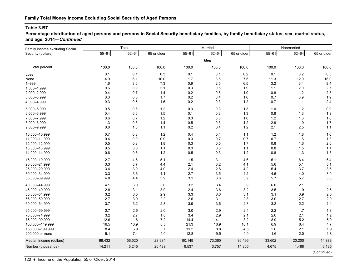**Percentage distribution of aged persons and persons in Social Security beneficiary families, by family beneficiary status, sex, marital status, and age, 2014—***Continued*

| Family income excluding Social |           | Total     |             |           | Married   |             | Nonmarried |           |             |
|--------------------------------|-----------|-----------|-------------|-----------|-----------|-------------|------------|-----------|-------------|
| Security (dollars)             | $55 - 61$ | $62 - 64$ | 65 or older | $55 - 61$ | $62 - 64$ | 65 or older | $55 - 61$  | $62 - 64$ | 65 or older |
|                                |           |           |             |           | Men       |             |            |           |             |
| Total percent                  | 100.0     | 100.0     | 100.0       | 100.0     | 100.0     | 100.0       | 100.0      | 100.0     | 100.0       |
| Loss                           | 0.1       | 0.1       | 0.3         | 0.1       | 0.1       | 0.2         | 0.1        | 0.2       | 0.5         |
| None                           | 4.9       | 6.1       | 10.0        | 1.7       | 3.5       | 7.5         | 11.3       | 12.9      | 16.0        |
| $1 - 999$                      | 1.6       | 3.6       | 7.3         | 0.9       | 2.5       | 6.5         | 3.2        | 6.4       | 9.4         |
| 1,000-1,999                    | 0.6       | 0.9       | 2.1         | 0.3       | 0.5       | 1.9         | 1.1        | 2.0       | 2.7         |
| 2,000-2,999                    | 0.4       | 0.7       | 1.4         | 0.2       | 0.5       | 1.0         | 0.8        | 1.2       | 2.3         |
| 3,000-3,999                    | 0.3       | 0.5       | 1.7         | 0.2       | 0.4       | 1.6         | 0.7        | 0.9       | 1.9         |
| 4,000-4,999                    | 0.3       | 0.5       | 1.6         | 0.2       | 0.3       | 1.2         | 0.7        | 1.1       | 2.4         |
| 5,000-5,999                    | 0.5       | 0.6       | $1.2$       | 0.3       | 0.3       | 1.3         | 1.0        | $1.2$     | 0.9         |
| 6,000-6,999                    | 0.4       | 0.6       | 1.5         | 0.1       | 0.3       | 1.3         | 0.8        | 1.3       | 1.9         |
| 7,000-7,999                    | 0.6       | 0.7       | $1.2$       | 0.3       | 0.3       | 1.0         | $1.2$      | 1.6       | 1.8         |
| 8,000-8,999                    | 1.3       | 0.8       | 1.4         | 0.5       | 0.3       | $1.2$       | 2.8        | 1.9       | 1.7         |
| 9,000-9,999                    | $0.8\,$   | 1.0       | 1.1         | 0.2       | 0.4       | $1.2\,$     | 2.1        | 2.5       | $1.1$       |
| 10,000-10,999                  | 0.7       | 0.8       | 1.2         | 0.4       | 0.4       | 1.1         | 1.2        | 1.8       | 1.6         |
| 11,000-11,999                  | 0.4       | 0.9       | 0.9         | 0.3       | 0.7       | 0.7         | 0.7        | 1.6       | 1.3         |
| 12,000-12,999                  | 0.5       | 0.8       | 1.8         | 0.3       | 0.5       | 1.7         | 0.8        | 1.6       | 2.0         |
| 13,000-13,999                  | 0.5       | 0.6       | 1.1         | 0.3       | 0.3       | $1.1$       | 0.8        | 1.5       | $1.1$       |
| 14,000-14,999                  | 0.6       | 0.6       | $1.2$       | 0.5       | 0.3       | $1.2$       | 0.8        | 1.3       | 1.3         |
| 15,000-19,999                  | 2.7       | 4.6       | 5.1         | 1.5       | 3.1       | 4.6         | 5.1        | 8.4       | 6.4         |
| 20,000-24,999                  | 3.3       | 3.7       | 4.4         | 2.1       | 3.2       | 4.1         | 5.6        | 5.1       | 5.1         |
| 25,000-29,999                  | 3.4       | 3.0       | 4.0         | 2.4       | 2.8       | 4.2         | 5.4        | 3.7       | 3.5         |
| 30,000-34,999                  | 3.3       | 3.6       | 4.1         | 2.7       | 3.5       | $4.2\,$     | 4.6        | 4.0       | 3.9         |
| 35,000-39,999                  | 4.0       | 4.4       | 3.9         | 3.1       | 3.8       | 3.9         | 5.7        | 5.7       | 3.8         |
| 40,000-44,999                  | 4.1       | 3.0       | 3.6         | 3.2       | 3.4       | 3.9         | 6.0        | 2.1       | 3.0         |
| 45,000-49,999                  | 2.8       | 3.1       | 3.0         | 2.4       | 3.6       | 3.2         | 3.5        | 1.9       | 2.5         |
| 50,000-54,999                  | 3.2       | 3.5       | 2.9         | 3.3       | 3.3       | 3.1         | 3.1        | 3.9       | 2.6         |
| 55,000-59,999                  | 2.7       | 3.0       | $2.2\,$     | 2.6       | 3.1       | 2.3         | 3.0        | 2.7       | 2.0         |
| 60,000-64,999                  | 3.7       | 3.2       | 2.3         | 3.9       | 3.6       | 2.8         | 3.2        | $2.2\,$   | 1.4         |
| 65,000-69,999                  | 2.7       | 2.6       | 2.0         | 3.0       | 2.9       | 2.4         | 2.2        | 1.7       | 1.3         |
| 70,000-74,999                  | 3.2       | 2.7       | 1.8         | 3.4       | 2.9       | 2.1         | 2.6        | 2.1       | 1.2         |
| 75,000-99,999                  | 12.6      | 11.6      | 7.2         | 14.4      | 14.1      | 8.2         | 8.9        | 5.2       | 5.0         |
| 100,000-149,999                | 16.5      | 13.9      | 8.5         | 21.3      | 16.9      | 10.1        | 6.9        | 6.4       | 4.7         |
| 150,000-199,999                | 8.4       | 6.9       | 3.7         | 11.2      | 8.8       | 4.5         | 2.6        | 2.1       | 1.9         |
| 200,000 or more                | 9.1       | 7.4       | 4.0         | 12.8      | 9.5       | 4.9         | 1.6        | 2.0       | 1.8         |
| Median income (dollars)        | 69,432    | 56,520    | 28,984      | 90,149    | 73,360    | 36,496      | 33,602     | 20,200    | 14,883      |
| Number (thousands)             | 14,211    | 5,245     | 20,439      | 9,537     | 3,757     | 14,305      | 4,675      | 1,488     | 6,135       |
|                                |           |           |             |           |           |             |            |           | (Continued) |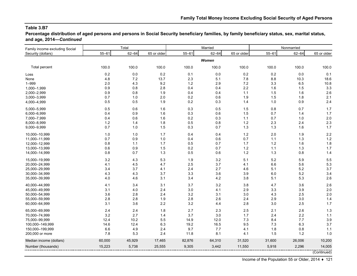**Percentage distribution of aged persons and persons in Social Security beneficiary families, by family beneficiary status, sex, marital status, and age, 2014—***Continued*

| Family income excluding Social |           | Total     |             |           | Married   |             | Nonmarried |           |             |
|--------------------------------|-----------|-----------|-------------|-----------|-----------|-------------|------------|-----------|-------------|
| Security (dollars)             | $55 - 61$ | $62 - 64$ | 65 or older | $55 - 61$ | $62 - 64$ | 65 or older | $55 - 61$  | $62 - 64$ | 65 or older |
|                                |           |           |             |           | Women     |             |            |           |             |
| Total percent                  | 100.0     | 100.0     | 100.0       | 100.0     | 100.0     | 100.0       | 100.0      | 100.0     | 100.0       |
| Loss                           | $0.2\,$   | 0.0       | 0.2         | 0.1       | 0.0       | 0.2         | 0.2        | 0.0       | 0.1         |
| None                           | 4.8       | 7.2       | 13.7        | 2.3       | 5.1       | 7.8         | 8.8        | 10.3      | 18.6        |
| $1 - 999$                      | 2.0       | 4.3       | 9.2         | $1.2$     | 2.9       | 7.2         | 3.3        | 6.5       | 10.8        |
| 1,000-1,999                    | 0.9       | 0.8       | 2.8         | 0.4       | 0.4       | 2.2         | 1.6        | 1.5       | 3.3         |
| 2,000-2,999                    | 0.9       | 0.8       | 1.9         | 0.4       | 0.4       | 1.1         | 1.5        | 1.6       | 2.6         |
| 3,000-3,999                    | 0.7       | 1.0       | 2.0         | 0.2       | 0.6       | 1.9         | 1.5        | 1.8       | 2.1         |
| 4,000-4,999                    | 0.5       | 0.5       | 1.9         | 0.2       | 0.3       | 1.4         | 1.0        | 0.9       | 2.4         |
| 5,000-5,999                    | 0.5       | 0.6       | 1.6         | 0.3       | 0.5       | 1.5         | 0.8        | 0.7       | 1.7         |
| 6,000-6,999                    | 0.4       | 0.9       | 1.6         | 0.3       | 0.6       | 1.5         | 0.7        | 1.4       | 1.7         |
| 7,000-7,999                    | 0.4       | 0.6       | 1.6         | 0.2       | 0.3       | 1.1         | 0.7        | 1.0       | 2.0         |
| 8,000-8,999                    | $1.2$     | 1.4       | 1.8         | 0.5       | 0.8       | 1.2         | 2.3        | 2.4       | 2.3         |
| 9,000-9,999                    | 0.7       | 1.0       | 1.5         | 0.3       | 0.7       | 1.3         | 1.3        | 1.6       | 1.7         |
| 10,000-10,999                  | 1.0       | 1.0       | 1.7         | 0.4       | 0.4       | 1.2         | 2.0        | 1.9       | 2.2         |
| 11,000-11,999                  | 0.7       | 0.9       | 1.0         | 0.4       | 0.6       | 0.7         | $1.1$      | 1.3       | 1.2         |
| 12,000-12,999                  | 0.8       | 1.1       | 1.7         | 0.5       | 0.7       | 1.7         | 1.2        | 1.6       | 1.8         |
| 13,000-13,999                  | 0.6       | 0.9       | 1.5         | 0.2       | 0.7       | $1.2$       | 1.1        | 1.3       | 1.7         |
| 14,000-14,999                  | 0.8       | 0.7       | 1.3         | 0.5       | 0.6       | $1.2$       | 1.3        | 0.8       | 1.4         |
| 15,000-19,999                  | 3.2       | 4.3       | 5.3         | 1.9       | 3.2       | 5.1         | 5.2        | 5.9       | 5.5         |
| 20,000-24,999                  | 4.1       | 4.5       | 4.7         | 2.5       | 3.7       | 4.1         | 6.6        | 5.6       | 5.3         |
| 25,000-29,999                  | 3.4       | 3.7       | 4.1         | 2.4       | 2.7       | 4.6         | 5.1        | 5.2       | 3.7         |
| 30,000-34,999                  | 4.3       | 4.3       | 3.7         | 3.3       | 3.6       | 3.9         | 6.0        | 5.2       | 3.4         |
| 35,000-39,999                  | 4.0       | 4.6       | 3.1         | 3.4       | 4.2       | 3.8         | 5.1        | 5.3       | 2.6         |
| 40,000-44,999                  | 4.1       | 3.4       | 3.1         | 3.7       | 3.2       | 3.8         | 4.7        | 3.6       | 2.6         |
| 45,000-49,999                  | 3.1       | 4.0       | 2.4         | 3.0       | 4.1       | 2.9         | 3.3        | 3.9       | 2.0         |
| 50,000-54,999                  | 3.6       | 2.8       | 2.4         | 3.2       | 3.1       | 3.0         | 4.3        | 2.5       | 2.0         |
| 55,000-59,999                  | 2.8       | 2.8       | 1.9         | 2.8       | 2.6       | 2.4         | 2.9        | 3.0       | 1.4         |
| 60,000-64,999                  | 3.1       | 3.6       | $2.2\,$     | 3.2       | 4.4       | 2.8         | 3.0        | 2.5       | 1.7         |
| 65,000-69,999                  | 2.4       | 2.4       | 1.8         | 2.7       | 2.3       | 2.5         | 2.1        | 2.6       | 1.3         |
| 70,000-74,999                  | 3.2       | 2.7       | 1.4         | 3.7       | 3.0       | 1.7         | 2.4        | 2.2       | 1.1         |
| 75,000-99,999                  | 12.4      | 10.2      | 5.5         | 14.9      | 12.0      | 7.3         | 8.4        | 7.7       | 3.9         |
| 100,000-149,999                | 14.6      | 12.4      | 6.3         | 19.2      | 16.5      | 9.5         | 7.3        | 6.3       | 3.7         |
| 150,000-199,999                | 6.6       | 4.9       | 2.4         | 9.7       | 7.7       | 4.1         | 1.8        | 0.8       | 1.1         |
| 200,000 or more                | 7.8       | 5.3       | 2.4         | 11.8      | 8.1       | 4.1         | 1.5        | 1.2       | 1.0         |
| Median income (dollars)        | 60,000    | 45,929    | 17,465      | 82,876    | 64,310    | 31,520      | 31,600     | 26,006    | 10,200      |
| Number (thousands)             | 15,223    | 5,738     | 25,555      | 9,305     | 3,442     | 11,550      | 5,918      | 2,296     | 14,005      |

(Continued)

Income of the Population 55 or Older, 2014 ♦ 121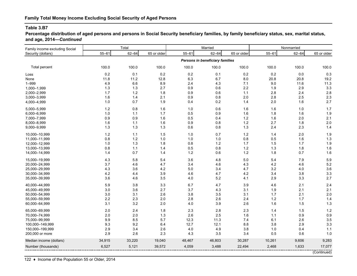**Percentage distribution of aged persons and persons in Social Security beneficiary families, by family beneficiary status, sex, marital status, and age, 2014—***Continued*

| Family income excluding Social |           | Total     |             |           | Married                         |             | Nonmarried |           |             |
|--------------------------------|-----------|-----------|-------------|-----------|---------------------------------|-------------|------------|-----------|-------------|
| Security (dollars)             | $55 - 61$ | $62 - 64$ | 65 or older | $55 - 61$ | $62 - 64$                       | 65 or older | $55 - 61$  | $62 - 64$ | 65 or older |
|                                |           |           |             |           | Persons in beneficiary families |             |            |           |             |
| Total percent                  | 100.0     | 100.0     | 100.0       | 100.0     | 100.0                           | 100.0       | 100.0      | 100.0     | 100.0       |
| Loss                           | 0.2       | 0.1       | 0.2         | 0.2       | 0.1                             | 0.2         | 0.2        | 0.0       | 0.3         |
| None                           | 11.8      | 11.2      | 12.8        | 6.3       | 6.7                             | 8.0         | 20.8       | 20.8      | 19.2        |
| $1 - 999$                      | 4.9       | 6.6       | 8.9         | 2.4       | 4.3                             | 7.1         | 9.0        | 11.6      | 11.3        |
| 1,000-1,999                    | 1.3       | 1.3       | 2.7         | 0.9       | 0.6                             | 2.2         | 1.9        | 2.9       | 3.3         |
| 2,000-2,999                    | 1.7       | 1.2       | 1.8         | 0.9       | 0.6                             | 1.1         | 2.8        | 2.4       | 2.8         |
| 3,000-3,999                    | 1.6       | 1.4       | 2.1         | 0.9       | 0.8                             | 2.0         | 2.8        | 2.5       | 2.3         |
| 4,000-4,999                    | 1.0       | 0.7       | 1.9         | 0.4       | 0.2                             | 1.4         | 2.0        | 1.6       | 2.7         |
| 5,000-5,999                    | $1.2$     | 0.8       | 1.6         | 1.0       | 0.6                             | 1.6         | 1.6        | 1.0       | 1.7         |
| 6,000-6,999                    | 1.0       | 1.1       | 1.7         | 0.5       | 0.9                             | 1.6         | 1.8        | 1.6       | 1.9         |
| 7,000-7,999                    | 0.9       | 0.9       | 1.6         | 0.5       | 0.4                             | $1.2$       | 1.6        | 2.0       | 2.1         |
| 8,000-8,999                    | 1.6       | $1.1$     | 1.6         | 0.9       | 0.8                             | $1.2$       | 2.7        | 1.8       | 2.0         |
| 9,000-9,999                    | 1.3       | 1.3       | 1.3         | 0.6       | 0.8                             | $1.3$       | 2.4        | 2.3       | $1.4$       |
| 10,000-10,999                  | 1.2       | 1.1       | 1.5         | 1.0       | 0.7                             | $1.2$       | 1.4        | 2.0       | 1.9         |
| 11,000-11,999                  | 0.8       | 1.2       | 1.0         | 1.0       | 1.0                             | 0.8         | 0.5        | 1.6       | 1.3         |
| 12,000-12,999                  | 1.0       | 1.3       | 1.8         | 0.8       | 1.2                             | 1.7         | 1.5        | 1.7       | 1.9         |
| 13,000-13,999                  | 0.8       | 1.1       | 1.4         | 0.5       | 0.8                             | $1.2$       | 1.3        | 1.8       | 1.6         |
| 14,000-14,999                  | 1.4       | 0.7       | 1.4         | $1.2$     | 0.6                             | $1.2\,$     | 1.8        | 0.7       | 1.6         |
| 15,000-19,999                  | 4.3       | 5.8       | 5.4         | 3.6       | 4.8                             | $5.0\,$     | 5.4        | 7.9       | 5.9         |
| 20,000-24,999                  | 3.7       | 4.6       | 4.7         | 3.4       | 4.6                             | 4.3         | 4.2        | 4.6       | 5.2         |
| 25,000-29,999                  | 4.3       | 3.6       | 4.2         | 5.0       | 3.4                             | 4.7         | 3.2        | 4.0       | 3.6         |
| 30,000-34,999                  | 4.2       | 4.4       | 3.9         | 4.6       | 4.7                             | $4.2\,$     | 3.4        | 3.8       | 3.3         |
| 35,000-39,999                  | 3.6       | 4.6       | 3.5         | 4.0       | $5.2\,$                         | 4.1         | 2.9        | 3.3       | 2.7         |
| 40,000-44,999                  | 5.9       | 3.8       | 3.3         | 6.7       | 4.7                             | 3.9         | 4.6        | 2.1       | 2.4         |
| 45,000-49,999                  | 3.0       | 3.6       | 2.7         | 3.7       | 4.3                             | 3.1         | 1.9        | 2.1       | 2.1         |
| 50,000-54,999                  | 3.0       | 3.1       | 2.6         | 3.8       | 3.5                             | 3.1         | 1.7        | 2.1       | 2.0         |
| 55,000-59,999                  | 2.2       | 2.3       | 2.0         | 2.8       | 2.6                             | 2.4         | 1.2        | 1.7       | 1.4         |
| 60,000-64,999                  | 3.1       | 3.2       | 2.0         | 4.0       | 3.9                             | 2.6         | 1.6        | 1.5       | 1.3         |
| 65,000-69,999                  | 2.0       | 2.4       | 1.8         | 2.3       | 2.8                             | 2.3         | 1.4        | 1.5       | 1.2         |
| 70,000-74,999                  | 2.0       | 2.0       | 1.3         | 2.6       | 2.5                             | 1.6         | $1.1$      | 0.9       | 0.9         |
| 75,000-99,999                  | 9.9       | 8.5       | 5.7         | 12.3      | 11.3                            | 7.4         | 6.1        | 2.6       | 3.5         |
| 100,000-149,999                | 9.3       | 9.2       | 6.4         | 12.7      | 12.1                            | 8.8         | 3.8        | 2.9       | 3.3         |
| 150,000-199,999                | 2.9       | 3.4       | 2.6         | 4.0       | 4.9                             | 3.8         | 1.0        | 0.4       | 1.1         |
| 200,000 or more                | 2.9       | 2.6       | 2.3         | 4.3       | 3.5                             | 3.4         | 0.5        | 0.6       | 1.0         |
| Median income (dollars)        | 34,915    | 33,220    | 19,040      | 48,467    | 46,803                          | 30,287      | 10,261     | 9,606     | 9,283       |
| Number (thousands)             | 6,527     | 5,121     | 39,572      | 4,059     | 3,488                           | 22,494      | 2,468      | 1,633     | 17,077      |
|                                |           |           |             |           |                                 |             |            |           | (Continued) |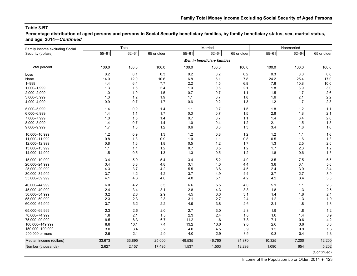**Percentage distribution of aged persons and persons in Social Security beneficiary families, by family beneficiary status, sex, marital status, and age, 2014—***Continued*

| Family income excluding Social |           | Total     |             |           | Married                            |             |           | Nonmarried |             |
|--------------------------------|-----------|-----------|-------------|-----------|------------------------------------|-------------|-----------|------------|-------------|
| Security (dollars)             | $55 - 61$ | $62 - 64$ | 65 or older | $55 - 61$ | $62 - 64$                          | 65 or older | $55 - 61$ | $62 - 64$  | 65 or older |
|                                |           |           |             |           | <b>Men in beneficiary families</b> |             |           |            |             |
| Total percent                  | 100.0     | 100.0     | 100.0       | 100.0     | 100.0                              | 100.0       | 100.0     | 100.0      | 100.0       |
| Loss                           | 0.2       | 0.1       | 0.3         | 0.2       | 0.2                                | 0.2         | 0.3       | 0.0        | 0.6         |
| None                           | 14.0      | 12.0      | 10.6        | 6.8       | 6.1                                | 7.8         | 24.2      | 25.4       | 17.0        |
| $1 - 999$                      | 4.4       | 6.4       | 7.7         | 2.2       | 4.5                                | 6.8         | 7.6       | 10.8       | 10.0        |
| 1,000-1,999                    | 1.3       | 1.6       | 2.4         | 1.0       | 0.6                                | 2.1         | 1.8       | 3.9        | 3.0         |
| 2,000-2,999                    | 1.0       | 1.0       | 1.5         | 0.7       | 0.7                                | 1.1         | 1.5       | 1.7        | 2.6         |
| 3,000-3,999                    | 1.3       | 1.2       | 1.9         | $1.1$     | 0.7                                | 1.8         | 1.6       | 2.1        | 2.2         |
| 4,000-4,999                    | 0.9       | 0.7       | 1.7         | 0.6       | 0.2                                | 1.3         | $1.2$     | 1.7        | 2.8         |
| 5,000-5,999                    | 1.4       | $0.9\,$   | 1.4         | 1.1       | 0.7                                | 1.5         | 1.8       | 1.2        | 1.1         |
| 6,000-6,999                    | 1.4       | 1.1       | 1.7         | 0.3       | 0.7                                | 1.5         | 2.8       | 1.8        | 2.1         |
| 7,000-7,999                    | 1.0       | 1.5       | 1.4         | 0.7       | 0.7                                | 1.1         | 1.4       | 3.4        | 2.0         |
| 8,000-8,999                    | 1.4       | 0.7       | 1.4         | 1.0       | 0.4                                | 1.2         | 2.1       | 1.5        | 1.8         |
| 9,000-9,999                    | 1.7       | 1.0       | 1.2         | 0.6       | 0.6                                | 1.3         | 3.4       | 1.8        | 1.0         |
| 10,000-10,999                  | 1.2       | 0.9       | 1.3         | $1.2$     | $0.8\,$                            | $1.2$       | $1.2$     | 1.1        | 1.6         |
| 11,000-11,999                  | 0.8       | 1.3       | $0.9\,$     | 1.0       | 1.1                                | 0.8         | 0.5       | 1.6        | 1.3         |
| 12,000-12,999                  | 0.8       | 1.6       | 1.8         | 0.5       | 1.2                                | 1.7         | 1.3       | 2.5        | 2.0         |
| 13,000-13,999                  | 1.1       | 1.1       | $1.2$       | 0.7       | 0.5                                | $1.2$       | 1.7       | 2.3        | 1.2         |
| 14,000-14,999                  | 1.5       | 0.5       | 1.3         | 1.3       | 0.5                                | $1.2\,$     | 1.8       | 0.6        | 1.5         |
| 15,000-19,999                  | 3.4       | 5.9       | 5.4         | 3.4       | 5.2                                | 4.9         | 3.5       | 7.5        | 6.5         |
| 20,000-24,999                  | 3.4       | 3.8       | 4.8         | 3.1       | 4.0                                | 4.4         | 3.8       | 3.1        | 5.6         |
| 25,000-29,999                  | 4.3       | 3.7       | 4.2         | 5.5       | 3.6                                | 4.5         | 2.4       | 3.9        | 3.4         |
| 30,000-34,999                  | 3.7       | 4.2       | 4.2         | 3.7       | 4.9                                | 4.4         | 3.7       | 2.7        | 3.9         |
| 35,000-39,999                  | 4.1       | 4.6       | 4.0         | 4.0       | 5.1                                | 4.2         | 4.2       | 3.4        | 3.3         |
| 40,000-44,999                  | 6.0       | 4.2       | 3.5         | 6.6       | 5.5                                | 4.0         | 5.1       | 1.1        | 2.3         |
| 45,000-49,999                  | 2.4       | 3.4       | 3.1         | 2.8       | 4.3                                | 3.3         | 1.8       | 1.3        | 2.5         |
| 50,000-54,999                  | 3.2       | 2.8       | 2.9         | 4.5       | 3.3                                | 3.1         | 1.4       | 1.8        | 2.4         |
| 55,000-59,999                  | 2.3       | 2.3       | 2.3         | 3.1       | 2.7                                | 2.4         | 1.2       | 1.3        | 1.9         |
| 60,000-64,999                  | 3.7       | 3.2       | 2.2         | 4.9       | 3.8                                | 2.6         | 2.1       | 1.8        | 1.3         |
| 65,000-69,999                  | 2.3       | 2.6       | 2.0         | 2.7       | 3.0                                | 2.3         | 1.9       | 1.8        | $1.2$       |
| 70,000-74,999                  | 1.8       | 2.1       | 1.5         | 2.3       | 2.4                                | 1.8         | 1.0       | 1.4        | 0.9         |
| 75,000-99,999                  | 9.5       | 8.3       | 6.7         | 11.2      | 11.6                               | 7.8         | 7.1       | 0.6        | 4.2         |
| 100,000-149,999                | 8.8       | 10.1      | 7.4         | 13.2      | 13.0                               | 9.0         | 2.6       | 3.6        | 3.8         |
| 150,000-199,999                | 3.0       | 3.4       | 3.2         | 4.0       | 4.5                                | 3.9         | 1.5       | 0.9        | 1.6         |
| 200,000 or more                | 2.5       | 2.1       | 2.9         | 4.0       | 2.9                                | 3.5         | 0.3       | 0.4        | 1.3         |
| Median income (dollars)        | 33,673    | 33,895    | 25,000      | 49,535    | 46,760                             | 31,870      | 10,325    | 7,200      | 12,200      |
| Number (thousands)             | 2,627     | 2,157     | 17,495      | 1,537     | 1,503                              | 12,293      | 1,090     | 654        | 5,202       |
|                                |           |           |             |           |                                    |             |           |            | (Continued) |

Income of the Population 55 or Older, 2014 ♦ 123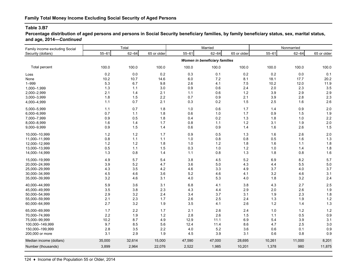**Percentage distribution of aged persons and persons in Social Security beneficiary families, by family beneficiary status, sex, marital status, and age, 2014—***Continued*

| Family income excluding Social | Total     |           |             |           | Married                       |             | Nonmarried |           |             |
|--------------------------------|-----------|-----------|-------------|-----------|-------------------------------|-------------|------------|-----------|-------------|
| Security (dollars)             | $55 - 61$ | $62 - 64$ | 65 or older | $55 - 61$ | $62 - 64$                     | 65 or older | $55 - 61$  | $62 - 64$ | 65 or older |
|                                |           |           |             |           | Women in beneficiary families |             |            |           |             |
| Total percent                  | 100.0     | 100.0     | 100.0       | 100.0     | 100.0                         | 100.0       | 100.0      | 100.0     | 100.0       |
| Loss                           | 0.2       | 0.0       | $0.2\,$     | 0.3       | 0.1                           | 0.2         | 0.2        | 0.0       | 0.1         |
| None                           | 10.2      | 10.7      | 14.6        | 6.0       | 7.2                           | 8.1         | 18.1       | 17.7      | 20.2        |
| $1 - 999$                      | 5.3       | 6.7       | 9.8         | 2.6       | 4.1                           | 7.5         | 10.2       | 12.0      | 11.9        |
| 1,000-1,999                    | 1.3       | 1.1       | 3.0         | 0.9       | 0.6                           | 2.4         | 2.0        | 2.3       | 3.5         |
| 2,000-2,999                    | 2.1       | 1.4       | 2.1         | $1.1$     | 0.6                           | $1.2$       | 3.9        | 2.9       | 2.9         |
| 3,000-3,999                    | 1.8       | 1.5       | 2.2         | 0.7       | 0.9                           | 2.1         | 3.9        | 2.8       | 2.3         |
| 4,000-4,999                    | 1.1       | 0.7       | 2.1         | 0.3       | 0.2                           | 1.5         | 2.5        | 1.6       | 2.6         |
| 5,000-5,999                    | 1.1       | 0.7       | 1.8         | 1.0       | 0.6                           | 1.7         | 1.4        | 0.9       | 2.0         |
| 6,000-6,999                    | 0.7       | 1.1       | 1.8         | 0.6       | 1.0                           | 1.7         | 0.9        | 1.5       | 1.9         |
| 7,000-7,999                    | 0.9       | 0.5       | 1.8         | 0.4       | 0.2                           | 1.3         | 1.8        | 1.0       | 2.2         |
| 8,000-8,999                    | 1.6       | 1.4       | 1.7         | 0.8       | 1.1                           | $1.2$       | 3.1        | 1.9       | 2.0         |
| 9,000-9,999                    | $0.9\,$   | 1.5       | 1.4         | 0.6       | 0.9                           | 1.4         | 1.6        | 2.6       | 1.5         |
| 10,000-10,999                  | $1.2$     | $1.2$     | 1.7         | 0.9       | 0.5                           | 1.3         | 1.6        | 2.6       | 2.0         |
| 11,000-11,999                  | 0.8       | $1.1$     | 1.1         | 1.0       | 0.8                           | 0.8         | 0.5        | 1.6       | 1.3         |
| 12,000-12,999                  | 1.2       | 1.2       | 1.8         | 1.0       | 1.2                           | 1.8         | 1.6        | 1.1       | 1.8         |
| 13,000-13,999                  | 0.5       | 1.1       | 1.5         | 0.3       | 1.0                           | $1.2$       | 1.0        | 1.4       | 1.8         |
| 14,000-14,999                  | 1.3       | 0.8       | 1.4         | 1.1       | 0.8                           | 1.3         | 1.8        | 0.8       | 1.6         |
| 15,000-19,999                  | 4.9       | 5.7       | 5.4         | 3.8       | 4.5                           | $5.2\,$     | 6.9        | 8.2       | 5.7         |
| 20,000-24,999                  | 3.9       | 5.2       | 4.7         | 3.6       | $5.0\,$                       | 4.3         | 4.4        | 5.5       | 5.0         |
| 25,000-29,999                  | 4.3       | 3.5       | 4.2         | 4.6       | 3.3                           | 4.9         | 3.7        | 4.0       | 3.7         |
| 30,000-34,999                  | 4.5       | 4.6       | $3.6\,$     | 5.2       | 4.6                           | 4.1         | 3.2        | 4.6       | 3.1         |
| 35,000-39,999                  | 3.2       | 4.6       | 3.1         | 4.0       | 5.3                           | 4.0         | 1.8        | 3.2       | 2.4         |
| 40,000-44,999                  | 5.9       | 3.6       | 3.1         | 6.8       | 4.1                           | $3.8\,$     | 4.3        | 2.7       | 2.5         |
| 45,000-49,999                  | 3.5       | 3.8       | 2.3         | 4.3       | 4.4                           | 2.9         | 2.0        | 2.6       | 1.9         |
| 50,000-54,999                  | 2.9       | 3.2       | 2.4         | 3.4       | 3.7                           | 3.1         | 1.9        | 2.3       | 1.8         |
| 55,000-59,999                  | 2.1       | 2.3       | 1.7         | 2.6       | 2.5                           | 2.4         | 1.3        | 1.9       | 1.2         |
| 60,000-64,999                  | 2.7       | 3.2       | 1.9         | 3.5       | 4.1                           | 2.6         | $1.2$      | 1.4       | 1.3         |
| 65,000-69,999                  | 1.7       | 2.2       | 1.7         | 2.1       | 2.6                           | 2.4         | 1.0        | $1.2$     | $1.2$       |
| 70,000-74,999                  | 2.2       | 1.9       | $1.2$       | 2.8       | 2.6                           | 1.5         | $1.1$      | 0.5       | 0.9         |
| 75,000-99,999                  | 10.2      | 8.7       | 4.9         | 12.9      | 11.1                          | 6.9         | 5.4        | 3.9       | 3.1         |
| 100,000-149,999                | 9.7       | 8.5       | 5.6         | 12.4      | 11.4                          | 8.6         | 4.7        | 2.5       | 3.0         |
| 150,000-199,999                | 2.8       | 3.5       | 2.2         | 4.0       | 5.2                           | 3.6         | 0.6        | 0.1       | 0.9         |
| 200,000 or more                | 3.1       | 2.9       | 1.9         | 4.5       | 3.9                           | 3.1         | 0.6        | 0.8       | 0.9         |
| Median income (dollars)        | 35,000    | 32,614    | 15,000      | 47,590    | 47,000                        | 28,695      | 10,261     | 11,000    | 8,201       |
| Number (thousands)             | 3,899     | 2,964     | 22,076      | 2,522     | 1,985                         | 10,201      | 1,378      | 980       | 11,875      |
|                                |           |           |             |           |                               |             |            |           |             |